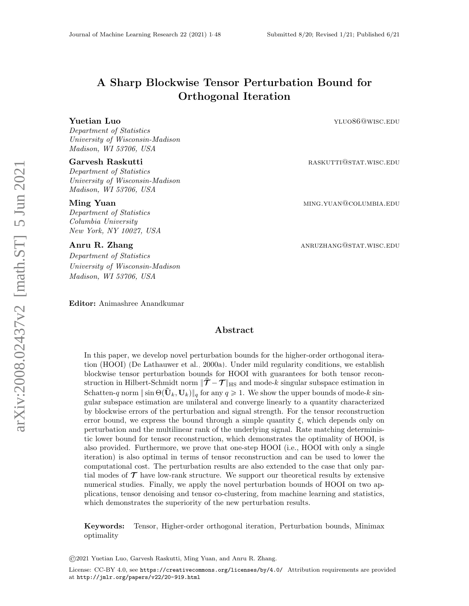# A Sharp Blockwise Tensor Perturbation Bound for Orthogonal Iteration

**Yuetian Luo yluo86@wisc.edu** yluo86@wisc.edu

Department of Statistics University of Wisconsin-Madison Madison, WI 53706, USA

#### Garvesh Raskutti **Garvesh Raskutti raskutti** raskutti raskutti raskutti raskutti raskutti raskutti raskutti raskutti raskutti raskutti raskutti raskutti raskutti raskutti raskutti raskutti raskutti raskutti raskutti rask

Department of Statistics University of Wisconsin-Madison Madison, WI 53706, USA

Department of Statistics Columbia University New York, NY 10027, USA

Department of Statistics University of Wisconsin-Madison Madison, WI 53706, USA

Editor: Animashree Anandkumar

**Ming Yuan** ming and the set of the set of the set of the set of the set of the set of the set of the set of the set of the set of the set of the set of the set of the set of the set of the set of the set of the set of the

Anru R. Zhang annual annual annual annual annual annual annual annual annual annual annual annual annual annu

# Abstract

In this paper, we develop novel perturbation bounds for the higher-order orthogonal iteration (HOOI) [\(De Lathauwer et al., 2000a\)](#page-41-0). Under mild regularity conditions, we establish blockwise tensor perturbation bounds for HOOI with guarantees for both tensor reconstruction in Hilbert-Schmidt norm  $\|\hat{\mathcal{T}}-\mathcal{T}\|_{\text{HS}}$  and mode-k singular subspace estimation in Schatten-q norm  $\|\sin\Theta(\hat{\mathbf{U}}_k, \mathbf{U}_k)\|_q$  for any  $q \geq 1$ . We show the upper bounds of mode-k singular subspace estimation are unilateral and converge linearly to a quantity characterized by blockwise errors of the perturbation and signal strength. For the tensor reconstruction error bound, we express the bound through a simple quantity  $\xi$ , which depends only on perturbation and the multilinear rank of the underlying signal. Rate matching deterministic lower bound for tensor reconstruction, which demonstrates the optimality of HOOI, is also provided. Furthermore, we prove that one-step HOOI (i.e., HOOI with only a single iteration) is also optimal in terms of tensor reconstruction and can be used to lower the computational cost. The perturbation results are also extended to the case that only partial modes of  $\mathcal T$  have low-rank structure. We support our theoretical results by extensive numerical studies. Finally, we apply the novel perturbation bounds of HOOI on two applications, tensor denoising and tensor co-clustering, from machine learning and statistics, which demonstrates the superiority of the new perturbation results.

Keywords: Tensor, Higher-order orthogonal iteration, Perturbation bounds, Minimax optimality

©2021 Yuetian Luo, Garvesh Raskutti, Ming Yuan, and Anru R. Zhang.

License: CC-BY 4.0, see <https://creativecommons.org/licenses/by/4.0/>. Attribution requirements are provided at <http://jmlr.org/papers/v22/20-919.html>.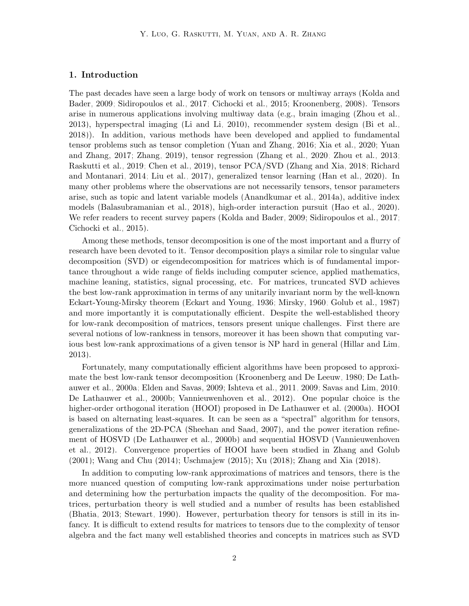#### 1. Introduction

The past decades have seen a large body of work on tensors or multiway arrays [\(Kolda and](#page-42-0) [Bader, 2009;](#page-42-0) [Sidiropoulos et al., 2017;](#page-45-0) [Cichocki et al., 2015;](#page-40-0) [Kroonenberg, 2008\)](#page-43-0). Tensors arise in numerous applications involving multiway data (e.g., brain imaging [\(Zhou et al.,](#page-47-1) [2013\)](#page-47-1), hyperspectral imaging [\(Li and Li, 2010\)](#page-43-1), recommender system design [\(Bi et al.,](#page-39-0) [2018\)](#page-39-0)). In addition, various methods have been developed and applied to fundamental tensor problems such as tensor completion [\(Yuan and Zhang, 2016;](#page-47-2) [Xia et al., 2020;](#page-46-0) [Yuan](#page-47-3) [and Zhang, 2017;](#page-47-3) [Zhang, 2019\)](#page-47-4), tensor regression [\(Zhang et al., 2020;](#page-47-5) [Zhou et al., 2013;](#page-47-1) [Raskutti et al., 2019;](#page-44-0) [Chen et al., 2019\)](#page-40-1), tensor PCA/SVD [\(Zhang and Xia, 2018;](#page-47-6) [Richard](#page-44-1) [and Montanari, 2014;](#page-44-1) [Liu et al., 2017\)](#page-43-2), generalized tensor learning [\(Han et al., 2020\)](#page-42-1). In many other problems where the observations are not necessarily tensors, tensor parameters arise, such as topic and latent variable models [\(Anandkumar et al., 2014a\)](#page-39-1), additive index models [\(Balasubramanian et al., 2018\)](#page-39-2), high-order interaction pursuit [\(Hao et al., 2020\)](#page-42-2). We refer readers to recent survey papers [\(Kolda and Bader, 2009;](#page-42-0) [Sidiropoulos et al., 2017;](#page-45-0) [Cichocki et al., 2015\)](#page-40-0).

Among these methods, tensor decomposition is one of the most important and a flurry of research have been devoted to it. Tensor decomposition plays a similar role to singular value decomposition (SVD) or eigendecomposition for matrices which is of fundamental importance throughout a wide range of fields including computer science, applied mathematics, machine leaning, statistics, signal processing, etc. For matrices, truncated SVD achieves the best low-rank approximation in terms of any unitarily invariant norm by the well-known Eckart-Young-Mirsky theorem [\(Eckart and Young, 1936;](#page-41-1) [Mirsky, 1960;](#page-44-2) [Golub et al., 1987\)](#page-41-2) and more importantly it is computationally efficient. Despite the well-established theory for low-rank decomposition of matrices, tensors present unique challenges. First there are several notions of low-rankness in tensors, moreover it has been shown that computing various best low-rank approximations of a given tensor is NP hard in general [\(Hillar and Lim,](#page-42-3) [2013\)](#page-42-3).

Fortunately, many computationally efficient algorithms have been proposed to approximate the best low-rank tensor decomposition [\(Kroonenberg and De Leeuw, 1980;](#page-43-3) [De Lath](#page-41-0)[auwer et al., 2000a;](#page-41-0) [Elden and Savas, 2009;](#page-41-3) [Ishteva et al., 2011,](#page-42-4) [2009;](#page-42-5) [Savas and Lim, 2010;](#page-44-3) [De Lathauwer et al., 2000b;](#page-41-4) [Vannieuwenhoven et al., 2012\)](#page-45-1). One popular choice is the higher-order orthogonal iteration (HOOI) proposed in [De Lathauwer et al.](#page-41-0) [\(2000a\)](#page-41-0). HOOI is based on alternating least-squares. It can be seen as a "spectral" algorithm for tensors, generalizations of the 2D-PCA [\(Sheehan and Saad, 2007\)](#page-45-2), and the power iteration refinement of HOSVD [\(De Lathauwer et al., 2000b\)](#page-41-4) and sequential HOSVD [\(Vannieuwenhoven](#page-45-1) [et al., 2012\)](#page-45-1). Convergence properties of HOOI have been studied in [Zhang and Golub](#page-47-7) [\(2001\)](#page-47-7); [Wang and Chu](#page-46-1) [\(2014\)](#page-46-1); [Uschmajew](#page-45-3) [\(2015\)](#page-45-3); [Xu](#page-46-2) [\(2018\)](#page-46-2); [Zhang and Xia](#page-47-6) [\(2018\)](#page-47-6).

In addition to computing low-rank approximations of matrices and tensors, there is the more nuanced question of computing low-rank approximations under noise perturbation and determining how the perturbation impacts the quality of the decomposition. For matrices, perturbation theory is well studied and a number of results has been established [\(Bhatia, 2013;](#page-39-3) [Stewart, 1990\)](#page-45-4). However, perturbation theory for tensors is still in its infancy. It is difficult to extend results for matrices to tensors due to the complexity of tensor algebra and the fact many well established theories and concepts in matrices such as SVD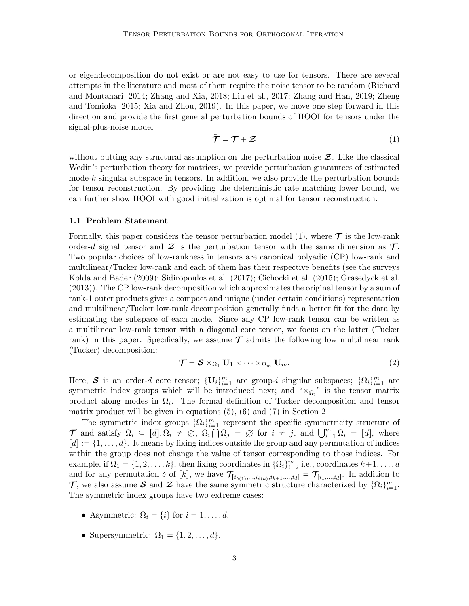or eigendecomposition do not exist or are not easy to use for tensors. There are several attempts in the literature and most of them require the noise tensor to be random [\(Richard](#page-44-1) [and Montanari, 2014;](#page-44-1) [Zhang and Xia, 2018;](#page-47-6) [Liu et al., 2017;](#page-43-2) [Zhang and Han, 2019;](#page-47-8) [Zheng](#page-47-9) [and Tomioka, 2015;](#page-47-9) [Xia and Zhou, 2019\)](#page-46-3). In this paper, we move one step forward in this direction and provide the first general perturbation bounds of HOOI for tensors under the signal-plus-noise model

<span id="page-2-0"></span>
$$
\widetilde{\mathcal{T}} = \mathcal{T} + \mathcal{Z}
$$
 (1)

without putting any structural assumption on the perturbation noise  $\mathcal{Z}$ . Like the classical Wedin's perturbation theory for matrices, we provide perturbation guarantees of estimated mode-k singular subspace in tensors. In addition, we also provide the perturbation bounds for tensor reconstruction. By providing the deterministic rate matching lower bound, we can further show HOOI with good initialization is optimal for tensor reconstruction.

#### 1.1 Problem Statement

Formally, this paper considers the tensor perturbation model  $(1)$ , where  $\mathcal T$  is the low-rank order-d signal tensor and  $\mathcal Z$  is the perturbation tensor with the same dimension as  $\mathcal T$ . Two popular choices of low-rankness in tensors are canonical polyadic (CP) low-rank and multilinear/Tucker low-rank and each of them has their respective benefits (see the surveys [Kolda and Bader](#page-42-0) [\(2009\)](#page-42-0); [Sidiropoulos et al.](#page-45-0) [\(2017\)](#page-45-0); [Cichocki et al.](#page-40-0) [\(2015\)](#page-40-0); [Grasedyck et al.](#page-42-6) [\(2013\)](#page-42-6)). The CP low-rank decomposition which approximates the original tensor by a sum of rank-1 outer products gives a compact and unique (under certain conditions) representation and multilinear/Tucker low-rank decomposition generally finds a better fit for the data by estimating the subspace of each mode. Since any CP low-rank tensor can be written as a multilinear low-rank tensor with a diagonal core tensor, we focus on the latter (Tucker rank) in this paper. Specifically, we assume  $\mathcal T$  admits the following low multilinear rank (Tucker) decomposition:

$$
\mathcal{T} = \mathcal{S} \times_{\Omega_1} \mathbf{U}_1 \times \cdots \times_{\Omega_m} \mathbf{U}_m.
$$
 (2)

Here, S is an order-d core tensor;  $\{U_i\}_{i=1}^m$  are group-i singular subspaces;  $\{\Omega_i\}_{i=1}^m$  are symmetric index groups which will be introduced next; and " $\times_{\Omega_i}$ " is the tensor matrix product along modes in  $\Omega_i$ . The formal definition of Tucker decomposition and tensor matrix product will be given in equations  $(5)$ ,  $(6)$  and  $(7)$  in Section [2.](#page-7-1)

The symmetric index groups  $\{\Omega_i\}_{i=1}^m$  represent the specific symmetricity structure of The symmetric index groups  $\{Y_i\}_{i=1}^m$  represent the specific symmetricity structure of  $\mathcal{T}$  and satisfy  $\Omega_i \subseteq [d], \Omega_i \neq \emptyset$ ,  $\Omega_i \cap \Omega_j = \emptyset$  for  $i \neq j$ , and  $\bigcup_{i=1}^m \Omega_i = [d]$ , where  $[d] := \{1, \ldots, d\}$ . It means by fixing indices outside the group and any permutation of indices within the group does not change the value of tensor corresponding to those indices. For example, if  $\Omega_1 = \{1, 2, ..., k\}$ , then fixing coordinates in  $\{\Omega_i\}_{i=2}^m$  i.e., coordinates  $k+1, ..., d$ and for any permutation  $\delta$  of  $[k]$ , we have  $\mathcal{T}_{[i_{\delta(1)},...,i_{\delta(k)},i_{k+1},...,i_d]} = \mathcal{T}_{[i_1,...,i_d]}$ . In addition to T, we also assume S and Z have the same symmetric structure characterized by  $\{\Omega_i\}_{i=1}^m$ . The symmetric index groups have two extreme cases:

- Asymmetric:  $\Omega_i = \{i\}$  for  $i = 1, \ldots, d$ ,
- Supersymmetric:  $\Omega_1 = \{1, 2, \ldots, d\}.$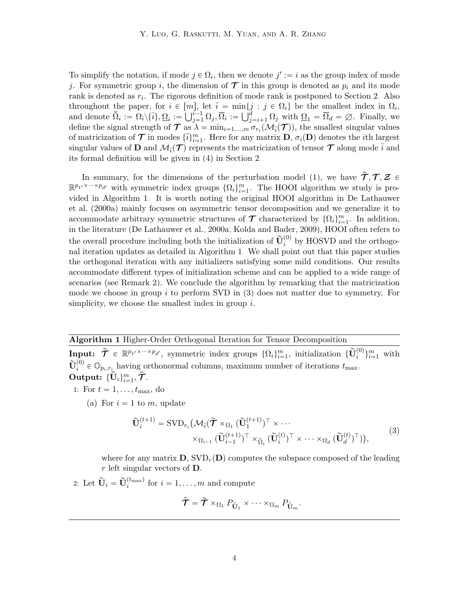To simplify the notation, if mode  $j \in \Omega_i$ , then we denote  $j' := i$  as the group index of mode j. For symmetric group i, the dimension of  $\mathcal T$  in this group is denoted as  $p_i$  and its mode rank is denoted as  $r_i$ . The rigorous definition of mode rank is postponed to Section [2.](#page-7-1) Also throughout the paper, for  $i \in [m]$ , let  $\bar{i} = \min\{j : j \in \Omega_i\}$  be the smallest index in  $\Omega_i$ , throughout the paper, for  $i \in [m]$ ,<br>and denote  $\check{\Omega}_i := \Omega_i \backslash {\{\overline{i}\}}$ ,  $\underline{\Omega}_i := \bigcup_{j=1}^{i-1}$  $\begin{array}{l} \mu_j,\;\mathrm{let}\;\, i=\;\mathrm{min}\{j\},\ \overline{\Omega}_i:=\bigcup_j^d\ j\end{array}$  $_{j=i+1}^a \Omega_j$  with  $\Omega_1 = \Omega_d = \emptyset$ . Finally, we define the signal strength of  $\mathcal T$  as  $\lambda = \min_{i=1,\dots,m} \sigma_{r_i}(\mathcal M_{\overline i}(\mathcal T))$ , the smallest singular values of matricization of  $\mathcal T$  in modes  $\{\bar{i}\}_{i=1}^m$ . Here for any matrix  $\mathbf D, \sigma_i(\mathbf D)$  denotes the *i*th largest singular values of **D** and  $\mathcal{M}_{\bar{i}}(\mathcal{T})$  represents the matricization of tensor  $\mathcal{T}$  along mode  $\bar{i}$  and its formal definition will be given in [\(4\)](#page-7-2) in Section [2.](#page-7-1)

In summary, for the dimensions of the perturbation model [\(1\)](#page-2-0), we have  $\tilde{\mathcal{T}}, \mathcal{T}, \mathcal{Z} \in$  $\mathbb{R}^{p_1 \times \cdots \times p_{d'}}$  with symmetric index groups  $\{\Omega_i\}_{i=1}^m$ . The HOOI algorithm we study is provided in Algorithm [1.](#page-3-0) It is worth noting the original HOOI algorithm in [De Lathauwer](#page-41-0) [et al.](#page-41-0) [\(2000a\)](#page-41-0) mainly focuses on asymmetric tensor decomposition and we generalize it to accommodate arbitrary symmetric structures of  $\mathcal T$  characterized by  $\{\Omega_i\}_{i=1}^m$ . In addition, in the literature [\(De Lathauwer et al., 2000a;](#page-41-0) [Kolda and Bader, 2009\)](#page-42-0), HOOI often refers to the overall procedure including both the initialization of  $\tilde{\mathbf{U}}_i^{(0)}$  by HOSVD and the orthogonal iteration updates as detailed in Algorithm [1.](#page-3-0) We shall point out that this paper studies the orthogonal iteration with any initializers satisfying some mild conditions. Our results accommodate different types of initialization scheme and can be applied to a wide range of scenarios (see Remark [2\)](#page-11-0). We conclude the algorithm by remarking that the matricization mode we choose in group  $i$  to perform SVD in [\(3\)](#page-3-1) does not matter due to symmetry. For simplicity, we choose the smallest index in group  $i$ .

# Algorithm 1 Higher-Order Orthogonal Iteration for Tensor Decomposition

<span id="page-3-0"></span>Input:  $\widetilde{\mathcal{T}} \in \mathbb{R}^{p_1 \times \cdots \times p_{d'}},$  symmetric index groups  $\{\Omega_i\}_{i=1}^m$ , initialization  $\{\widetilde{\mathbf{U}}_i^{(0)}\}_{i=1}^m$  with  $\widetilde{\mathbf{U}}_i^{(0)} \in \mathbb{O}_{p_i,r_i}$  having orthonormal columns, maximum number of iterations  $t_{\text{max}}$ .  $\overset{\circ}{\operatorname{Output}}: \{\hat{\mathbf{U}}_i\}_{i=1}^m, \hat{\mathcal{T}}.$ 

- 1: For  $t = 1, \ldots, t_{\text{max}}$ , do
	- (a) For  $i = 1$  to m, update

<span id="page-3-1"></span>
$$
\widetilde{\mathbf{U}}_{i}^{(t+1)} = \text{SVD}_{r_{i}} \big( \mathcal{M}_{\overline{i}}(\widetilde{\boldsymbol{\mathcal{T}}} \times_{\Omega_{1}} (\widetilde{\mathbf{U}}_{1}^{(t+1)})^{\top} \times \cdots \times_{\Omega_{d}} (\widetilde{\mathbf{U}}_{d}^{(t)})^{\top} \big) \times \cdots \times_{\Omega_{d}} (\widetilde{\mathbf{U}}_{d}^{(t)})^{\top} \big), \tag{3}
$$

where for any matrix  $\mathbf{D}$ ,  $SVD_r(\mathbf{D})$  computes the subspace composed of the leading r left singular vectors of  $D$ .

2: Let  $\widehat{\mathbf{U}}_i = \widetilde{\mathbf{U}}_i^{(t_{\text{max}})}$  for  $i = 1, ..., m$  and compute

$$
\hat{\mathcal{T}} = \tilde{\mathcal{T}} \times_{\Omega_1} P_{\hat{\mathbf{U}}_1} \times \cdots \times_{\Omega_m} P_{\hat{\mathbf{U}}_m}.
$$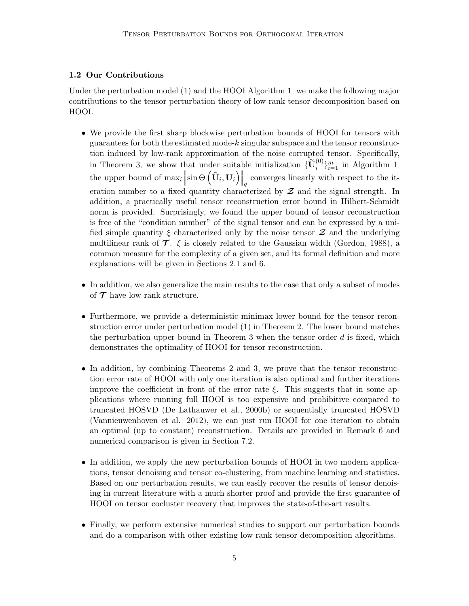# 1.2 Our Contributions

Under the perturbation model [\(1\)](#page-2-0) and the HOOI Algorithm [1,](#page-3-0) we make the following major contributions to the tensor perturbation theory of low-rank tensor decomposition based on HOOI.

- We provide the first sharp blockwise perturbation bounds of HOOI for tensors with guarantees for both the estimated mode-k singular subspace and the tensor reconstruction induced by low-rank approximation of the noise corrupted tensor. Specifically, in Theorem [3,](#page-14-0) we show that under suitable initialization  $\{\widetilde{\mathbf{U}}_i^{(0)}\}_{i=1}^m$  in Algorithm [1,](#page-3-0) the upper bound of  $\max_i$ hat under suit $\|\sin\Theta\left(\mathbf{\hat{U}}_i, \mathbf{U}_i\right)\|$ at<br>∖∥ converges linearly with respect to the iteration number to a fixed quantity characterized by  $Z$  and the signal strength. In addition, a practically useful tensor reconstruction error bound in Hilbert-Schmidt norm is provided. Surprisingly, we found the upper bound of tensor reconstruction is free of the "condition number" of the signal tensor and can be expressed by a unified simple quantity  $\xi$  characterized only by the noise tensor  $\mathcal Z$  and the underlying multilinear rank of  $\mathcal T$ .  $\xi$  is closely related to the Gaussian width [\(Gordon, 1988\)](#page-41-5), a common measure for the complexity of a given set, and its formal definition and more explanations will be given in Sections [2.1](#page-8-2) and [6.](#page-19-0)
- In addition, we also generalize the main results to the case that only a subset of modes of  $\mathcal T$  have low-rank structure.
- Furthermore, we provide a deterministic minimax lower bound for the tensor reconstruction error under perturbation model [\(1\)](#page-2-0) in Theorem [2.](#page-13-0) The lower bound matches the perturbation upper bound in Theorem [3](#page-14-0) when the tensor order  $d$  is fixed, which demonstrates the optimality of HOOI for tensor reconstruction.
- In addition, by combining Theorems [2](#page-13-0) and [3,](#page-14-0) we prove that the tensor reconstruction error rate of HOOI with only one iteration is also optimal and further iterations improve the coefficient in front of the error rate  $\xi$ . This suggests that in some applications where running full HOOI is too expensive and prohibitive compared to truncated HOSVD [\(De Lathauwer et al., 2000b\)](#page-41-4) or sequentially truncated HOSVD [\(Vannieuwenhoven et al., 2012\)](#page-45-1), we can just run HOOI for one iteration to obtain an optimal (up to constant) reconstruction. Details are provided in Remark [6](#page-14-1) and numerical comparison is given in Section [7.2.](#page-24-0)
- In addition, we apply the new perturbation bounds of HOOI in two modern applications, tensor denoising and tensor co-clustering, from machine learning and statistics. Based on our perturbation results, we can easily recover the results of tensor denoising in current literature with a much shorter proof and provide the first guarantee of HOOI on tensor cocluster recovery that improves the state-of-the-art results.
- Finally, we perform extensive numerical studies to support our perturbation bounds and do a comparison with other existing low-rank tensor decomposition algorithms.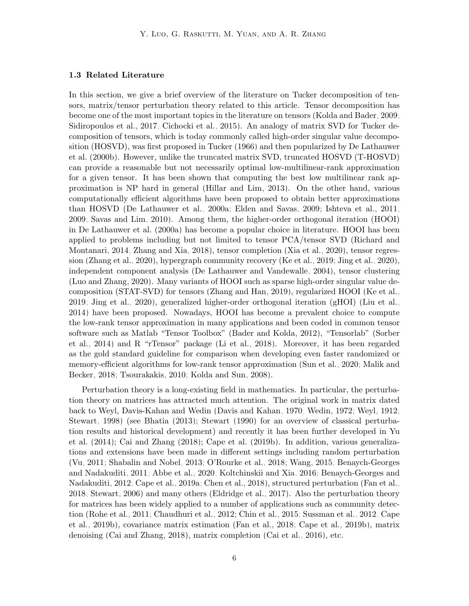#### 1.3 Related Literature

In this section, we give a brief overview of the literature on Tucker decomposition of tensors, matrix/tensor perturbation theory related to this article. Tensor decomposition has become one of the most important topics in the literature on tensors [\(Kolda and Bader, 2009;](#page-42-0) [Sidiropoulos et al., 2017;](#page-45-0) [Cichocki et al., 2015\)](#page-40-0). An analogy of matrix SVD for Tucker decomposition of tensors, which is today commonly called high-order singular value decomposition (HOSVD), was first proposed in [Tucker](#page-45-5) [\(1966\)](#page-45-5) and then popularized by [De Lathauwer](#page-41-4) [et al.](#page-41-4) [\(2000b\)](#page-41-4). However, unlike the truncated matrix SVD, truncated HOSVD (T-HOSVD) can provide a reasonable but not necessarily optimal low-multilinear-rank approximation for a given tensor. It has been shown that computing the best low multilinear rank approximation is NP hard in general [\(Hillar and Lim, 2013\)](#page-42-3). On the other hand, various computationally efficient algorithms have been proposed to obtain better approximations than HOSVD [\(De Lathauwer et al., 2000a;](#page-41-0) [Elden and Savas, 2009;](#page-41-3) [Ishteva et al., 2011,](#page-42-4) [2009;](#page-42-5) [Savas and Lim, 2010\)](#page-44-3). Among them, the higher-order orthogonal iteration (HOOI) in [De Lathauwer et al.](#page-41-0) [\(2000a\)](#page-41-0) has become a popular choice in literature. HOOI has been applied to problems including but not limited to tensor PCA/tensor SVD [\(Richard and](#page-44-1) [Montanari, 2014;](#page-44-1) [Zhang and Xia, 2018\)](#page-47-6), tensor completion [\(Xia et al., 2020\)](#page-46-0), tensor regression [\(Zhang et al., 2020\)](#page-47-5), hypergraph community recovery [\(Ke et al., 2019;](#page-42-7) [Jing et al., 2020\)](#page-42-8), independent component analysis [\(De Lathauwer and Vandewalle, 2004\)](#page-41-6), tensor clustering [\(Luo and Zhang, 2020\)](#page-43-4). Many variants of HOOI such as sparse high-order singular value decomposition (STAT-SVD) for tensors [\(Zhang and Han, 2019\)](#page-47-8), regularized HOOI [\(Ke et al.,](#page-42-7) [2019;](#page-42-7) [Jing et al., 2020\)](#page-42-8), generalized higher-order orthogonal iteration (gHOI) [\(Liu et al.,](#page-43-5) [2014\)](#page-43-5) have been proposed. Nowadays, HOOI has become a prevalent choice to compute the low-rank tensor approximation in many applications and been coded in common tensor software such as Matlab "Tensor Toolbox" [\(Bader and Kolda, 2012\)](#page-39-4), "Tensorlab" [\(Sorber](#page-45-6) [et al., 2014\)](#page-45-6) and R "rTensor" package [\(Li et al., 2018\)](#page-43-6). Moreover, it has been regarded as the gold standard guideline for comparison when developing even faster randomized or memory-efficient algorithms for low-rank tensor approximation [\(Sun et al., 2020;](#page-45-7) [Malik and](#page-44-4) [Becker, 2018;](#page-44-4) [Tsourakakis, 2010;](#page-45-8) [Kolda and Sun, 2008\)](#page-43-7).

Perturbation theory is a long-existing field in mathematics. In particular, the perturbation theory on matrices has attracted much attention. The original work in matrix dated back to Weyl, Davis-Kahan and Wedin [\(Davis and Kahan, 1970;](#page-40-2) [Wedin, 1972;](#page-46-4) [Weyl, 1912;](#page-46-5) [Stewart, 1998\)](#page-45-9) (see [Bhatia](#page-39-3) [\(2013\)](#page-39-3); [Stewart](#page-45-4) [\(1990\)](#page-45-4) for an overview of classical perturbation results and historical development) and recently it has been further developed in [Yu](#page-47-10) [et al.](#page-47-10) [\(2014\)](#page-47-10); [Cai and Zhang](#page-40-3) [\(2018\)](#page-40-3); [Cape et al.](#page-40-4) [\(2019b\)](#page-40-4). In addition, various generalizations and extensions have been made in different settings including random perturbation [\(Vu, 2011;](#page-46-6) [Shabalin and Nobel, 2013;](#page-44-5) [O'Rourke et al., 2018;](#page-44-6) [Wang, 2015;](#page-46-7) [Benaych-Georges](#page-39-5) [and Nadakuditi, 2011;](#page-39-5) [Abbe et al., 2020;](#page-39-6) [Koltchinskii and Xia, 2016;](#page-43-8) [Benaych-Georges and](#page-39-7) [Nadakuditi, 2012;](#page-39-7) [Cape et al., 2019a;](#page-40-5) [Chen et al., 2018\)](#page-40-6), structured perturbation [\(Fan et al.,](#page-41-7) [2018;](#page-41-7) [Stewart, 2006\)](#page-45-10) and many others [\(Eldridge et al., 2017\)](#page-41-8). Also the perturbation theory for matrices has been widely applied to a number of applications such as community detection [\(Rohe et al., 2011;](#page-44-7) [Chaudhuri et al., 2012;](#page-40-7) [Chin et al., 2015;](#page-40-8) [Sussman et al., 2012;](#page-45-11) [Cape](#page-40-4) [et al., 2019b\)](#page-40-4), covariance matrix estimation [\(Fan et al., 2018;](#page-41-7) [Cape et al., 2019b\)](#page-40-4), matrix denoising [\(Cai and Zhang, 2018\)](#page-40-3), matrix completion [\(Cai et al., 2016\)](#page-40-9), etc.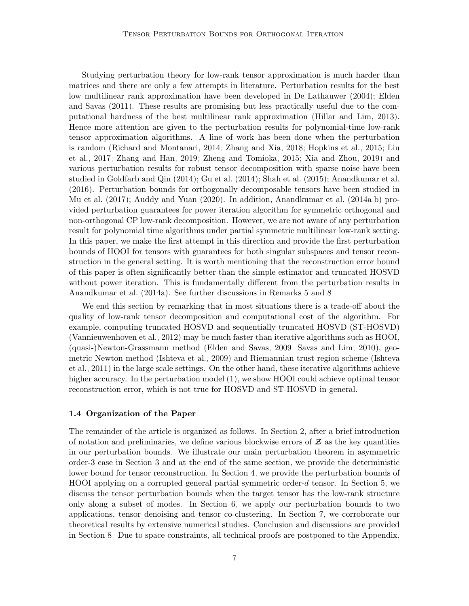Studying perturbation theory for low-rank tensor approximation is much harder than matrices and there are only a few attempts in literature. Perturbation results for the best low multilinear rank approximation have been developed in [De Lathauwer](#page-40-10) [\(2004\)](#page-40-10); [Elden](#page-41-9) [and Savas](#page-41-9) [\(2011\)](#page-41-9). These results are promising but less practically useful due to the computational hardness of the best multilinear rank approximation [\(Hillar and Lim, 2013\)](#page-42-3). Hence more attention are given to the perturbation results for polynomial-time low-rank tensor approximation algorithms. A line of work has been done when the perturbation is random [\(Richard and Montanari, 2014;](#page-44-1) [Zhang and Xia, 2018;](#page-47-6) [Hopkins et al., 2015;](#page-42-9) [Liu](#page-43-2) [et al., 2017;](#page-43-2) [Zhang and Han, 2019;](#page-47-8) [Zheng and Tomioka, 2015;](#page-47-9) [Xia and Zhou, 2019\)](#page-46-3) and various perturbation results for robust tensor decomposition with sparse noise have been studied in [Goldfarb and Qin](#page-41-10) [\(2014\)](#page-41-10); [Gu et al.](#page-42-10) [\(2014\)](#page-42-10); [Shah et al.](#page-45-12) [\(2015\)](#page-45-12); [Anandkumar et al.](#page-39-8) [\(2016\)](#page-39-8). Perturbation bounds for orthogonally decomposable tensors have been studied in [Mu et al.](#page-44-8) [\(2017\)](#page-44-8); [Auddy and Yuan](#page-39-9) [\(2020\)](#page-39-9). In addition, [Anandkumar et al.](#page-39-1) [\(2014a,](#page-39-1)[b\)](#page-39-10) provided perturbation guarantees for power iteration algorithm for symmetric orthogonal and non-orthogonal CP low-rank decomposition. However, we are not aware of any perturbation result for polynomial time algorithms under partial symmetric multilinear low-rank setting. In this paper, we make the first attempt in this direction and provide the first perturbation bounds of HOOI for tensors with guarantees for both singular subspaces and tensor reconstruction in the general setting. It is worth mentioning that the reconstruction error bound of this paper is often significantly better than the simple estimator and truncated HOSVD without power iteration. This is fundamentally different from the perturbation results in [Anandkumar et al.](#page-39-1) [\(2014a\)](#page-39-1). See further discussions in Remarks [5](#page-13-1) and [8.](#page-15-0)

We end this section by remarking that in most situations there is a trade-off about the quality of low-rank tensor decomposition and computational cost of the algorithm. For example, computing truncated HOSVD and sequentially truncated HOSVD (ST-HOSVD) [\(Vannieuwenhoven et al., 2012\)](#page-45-1) may be much faster than iterative algorithms such as HOOI, (quasi-)Newton-Grassmann method [\(Elden and Savas, 2009;](#page-41-3) [Savas and Lim, 2010\)](#page-44-3), geometric Newton method [\(Ishteva et al., 2009\)](#page-42-5) and Riemannian trust region scheme [\(Ishteva](#page-42-4) [et al., 2011\)](#page-42-4) in the large scale settings. On the other hand, these iterative algorithms achieve higher accuracy. In the perturbation model [\(1\)](#page-2-0), we show HOOI could achieve optimal tensor reconstruction error, which is not true for HOSVD and ST-HOSVD in general.

#### 1.4 Organization of the Paper

The remainder of the article is organized as follows. In Section [2,](#page-7-1) after a brief introduction of notation and preliminaries, we define various blockwise errors of  $\mathcal Z$  as the key quantities in our perturbation bounds. We illustrate our main perturbation theorem in asymmetric order-3 case in Section [3](#page-10-0) and at the end of the same section, we provide the deterministic lower bound for tensor reconstruction. In Section [4,](#page-14-2) we provide the perturbation bounds of HOOI applying on a corrupted general partial symmetric order-d tensor. In Section [5,](#page-17-0) we discuss the tensor perturbation bounds when the target tensor has the low-rank structure only along a subset of modes. In Section [6,](#page-19-0) we apply our perturbation bounds to two applications, tensor denoising and tensor co-clustering. In Section [7,](#page-22-0) we corroborate our theoretical results by extensive numerical studies. Conclusion and discussions are provided in Section [8.](#page-26-0) Due to space constraints, all technical proofs are postponed to the Appendix.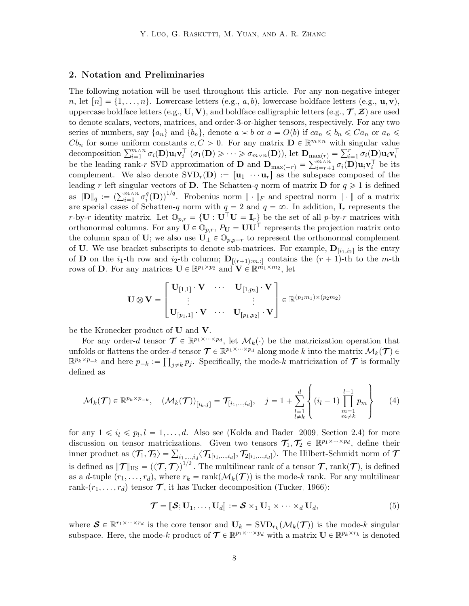#### <span id="page-7-1"></span>2. Notation and Preliminaries

The following notation will be used throughout this article. For any non-negative integer n, let  $[n] = \{1, \ldots, n\}$ . Lowercase letters (e.g., a, b), lowercase boldface letters (e.g.,  $\mathbf{u}, \mathbf{v}$ ), uppercase boldface letters (e.g.,  $\mathbf{U}, \mathbf{V}$ ), and boldface calligraphic letters (e.g.,  $\mathcal{T}, \mathcal{Z}$ ) are used to denote scalars, vectors, matrices, and order-3-or-higher tensors, respectively. For any two series of numbers, say  $\{a_n\}$  and  $\{b_n\}$ , denote  $a \geq b$  or  $a = O(b)$  if  $ca_n \leq b_n \leq Ca_n$  or  $a_n \leq$  $Cb_n$  for some uniform constants  $c, C > 0$ . For any matrix  $\mathbf{D} \in \mathbb{R}^{m \times n}$  with singular value  $Cb_n$  for some uniform constants  $c, C > 0$ . For any matrix  $\mathbf{D} \in \mathbb{R}^{m \times n}$  with s<br>decomposition  $\sum_{i=1}^{m \times n} \sigma_i(\mathbf{D}) \mathbf{u}_i \mathbf{v}_i^{\top}$   $(\sigma_1(\mathbf{D}) \geqslant \cdots \geqslant \sigma_{m \times n}(\mathbf{D}))$ , let  $\mathbf{D}_{\max(r)} = \sum_{i=1}^{r}$  $_{i=1}^r \, \sigma_i(\mathbf{D}) \mathbf{u}_i \mathbf{v}_i^\top$ decomposition  $\sum_{i=1} \sigma_i(\mathbf{D}) \mathbf{u}_i \mathbf{v}_i$  ( $\sigma_1(\mathbf{D}) \geq \cdots \geq \sigma_{m \lor n}(\mathbf{D})$ ), let  $\mathbf{D}_{\max(r)}$ <br>be the leading rank-r SVD approximation of  $\mathbf{D}$  and  $\mathbf{D}_{\max(-r)} = \sum_{i=r+1}^{m \land n}$  $\sum_{i=r+1}^{m\wedge n}\sigma_i(\mathbf{D})\mathbf{u}_i\mathbf{v}_i^{\top}$  be its complement. We also denote  $SVD_r(\mathbf{D}) := [\mathbf{u}_1 \cdots \mathbf{u}_r]$  as the subspace composed of the leading r left singular vectors of **D**. The Schatten-q norm of matrix **D** for  $q \ge 1$  is defined reading r left singular<br>as  $\|\mathbf{D}\|_q := \left(\sum_{i=1}^{m \wedge n} \sigma_i^q\right)$  $\binom{q}{i}$ (D))<sup>1/q</sup>. Frobenius norm  $\|\cdot\|_F$  and spectral norm  $\|\cdot\|$  of a matrix are special cases of Schatten-q norm with  $q = 2$  and  $q = \infty$ . In addition,  $\mathbf{I}_r$  represents the r-by-r identity matrix. Let  $\mathbb{O}_{p,r} = \{ \mathbf{U} : \mathbf{U}^\top \mathbf{U} = \mathbf{I}_r \}$  be the set of all p-by-r matrices with orthonormal columns. For any  $\mathbf{U} \in \mathbb{O}_{p,r}$ ,  $P_{\mathbf{U}} = \mathbf{U}\mathbf{U}^{\top}$  represents the projection matrix onto the column span of U; we also use  $\mathbf{U}_{\perp} \in \mathbb{O}_{p,p-r}$  to represent the orthonormal complement of U. We use bracket subscripts to denote sub-matrices. For example,  $\mathbf{D}_{[i_1,i_2]}$  is the entry of **D** on the  $i_1$ -th row and  $i_2$ -th column;  $\mathbf{D}_{[(r+1):m,:]}$  contains the  $(r + 1)$ -th to the m-th rows of **D**. For any matrices  $\mathbf{U} \in \mathbb{R}^{p_1 \times p_2}$  and  $\mathbf{V} \in \mathbb{R}^{m_1 \times m_2}$ , let

$$
\mathbf{U}\otimes\mathbf{V}=\begin{bmatrix}\mathbf{U}_{[1,1]}\cdot\mathbf{V} & \cdots & \mathbf{U}_{[1,p_2]}\cdot\mathbf{V}\\ \vdots & & \vdots \\ \mathbf{U}_{[p_1,1]}\cdot\mathbf{V} & \cdots & \mathbf{U}_{[p_1,p_2]}\cdot\mathbf{V}\end{bmatrix}\in\mathbb{R}^{(p_1m_1)\times (p_2m_2)}
$$

be the Kronecker product of U and V.

For any order-d tensor  $\mathcal{T} \in \mathbb{R}^{p_1 \times \cdots \times p_d}$ , let  $\mathcal{M}_k(\cdot)$  be the matricization operation that unfolds or flattens the order-d tensor  $\mathcal{T} \in \mathbb{R}^{p_1 \times \dots \times p_d}$  along mode k into the matrix  $\mathcal{M}_k(\mathcal{T}) \in$  $\mathbb{R}^{p_k \times p_{-k}}$  and here  $p_{-k} := \prod_{j \neq k} p_j$ . Specifically, the mode-k matricization of  $\mathcal T$  is formally defined as

<span id="page-7-2"></span>
$$
\mathcal{M}_{k}(\boldsymbol{\mathcal{T}}) \in \mathbb{R}^{p_{k} \times p_{-k}}, \quad (\mathcal{M}_{k}(\boldsymbol{\mathcal{T}}))_{[i_{k},j]} = \mathcal{T}_{[i_{1},...,i_{d}]}, \quad j = 1 + \sum_{\substack{l=1 \ l \neq k}}^{d} \left\{ (i_{l} - 1) \prod_{\substack{m=1 \ m \neq k}}^{l-1} p_{m} \right\} \qquad (4)
$$

for any  $1 \leq i_l \leq p_l, l = 1, ..., d$ . Also see [\(Kolda and Bader, 2009,](#page-42-0) Section 2.4) for more discussion on tensor matricizations. Given two tensors  $\mathcal{T}_1, \mathcal{T}_2 \in \mathbb{R}^{p_1 \times \cdots \times p_d}$ , define their discussion on tensor matricizations. Given two tensors  $\mathcal{T}_1, \mathcal{T}_2 \in \mathbb{R}^{p_1 \wedge \cdots \wedge p_d}$ , define then<br>inner product as  $\langle \mathcal{T}_1, \mathcal{T}_2 \rangle = \sum_{i_1,\ldots,i_d} \langle \mathcal{T}_{1[i_1,\ldots,i_d]}, \mathcal{T}_{2[i_1,\ldots,i_d]} \rangle$ . The Hilbert-Schmidt norm of is defined as  $\|\mathcal{T}\|_{\text{HS}} = (\langle \mathcal{T}, \mathcal{T} \rangle)^{1/2}$ . The multilinear rank of a tensor  $\mathcal{T}$ , rank $(\mathcal{T})$ , is defined as a d-tuple  $(r_1, \ldots, r_d)$ , where  $r_k = \text{rank}(\mathcal{M}_k(\mathcal{T}))$  is the mode-k rank. For any multilinear rank- $(r_1, \ldots, r_d)$  tensor  $\mathcal T$ , it has Tucker decomposition [\(Tucker, 1966\)](#page-45-5):

<span id="page-7-0"></span>
$$
\mathcal{T} = [\![\mathcal{S}; \mathbf{U}_1, \dots, \mathbf{U}_d]\!] := \mathcal{S} \times_1 \mathbf{U}_1 \times \dots \times_d \mathbf{U}_d,\tag{5}
$$

where  $\mathcal{S} \in \mathbb{R}^{r_1 \times \cdots \times r_d}$  is the core tensor and  $\mathbf{U}_k = \text{SVD}_{r_k}(\mathcal{M}_k(\mathcal{T}))$  is the mode-k singular subspace. Here, the mode-k product of  $\mathcal{T} \in \mathbb{R}^{p_1 \times \cdots \times p_d}$  with a matrix  $\mathbf{U} \in \mathbb{R}^{p_k \times r_k}$  is denoted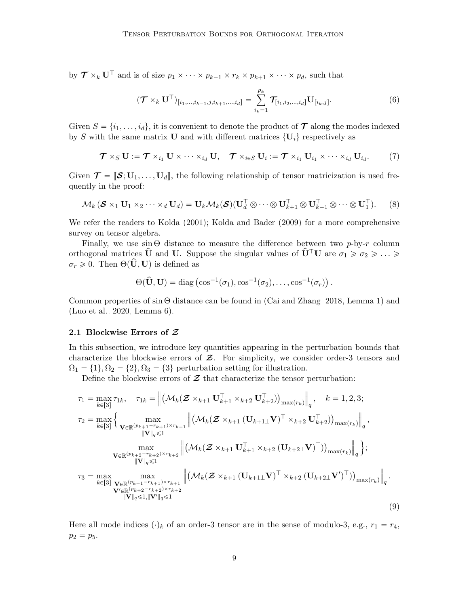by  $\mathcal{T} \times_k \mathbf{U}^\top$  and is of size  $p_1 \times \cdots \times p_{k-1} \times r_k \times p_{k+1} \times \cdots \times p_d$ , such that

<span id="page-8-1"></span><span id="page-8-0"></span>
$$
(\mathcal{T} \times_k \mathbf{U}^{\top})_{[i_1, ..., i_{k-1}, j, i_{k+1}, ..., i_d]} = \sum_{i_k=1}^{p_k} \mathcal{T}_{[i_1, i_2, ..., i_d]} \mathbf{U}_{[i_k, j]}.
$$
(6)

Given  $S = \{i_1, \ldots, i_d\}$ , it is convenient to denote the product of  $\mathcal T$  along the modes indexed by S with the same matrix U and with different matrices  $\{U_i\}$  respectively as

<span id="page-8-4"></span>
$$
\boldsymbol{\mathcal{T}} \times_S \mathbf{U} := \boldsymbol{\mathcal{T}} \times_{i_1} \mathbf{U} \times \cdots \times_{i_d} \mathbf{U}, \quad \boldsymbol{\mathcal{T}} \times_{i \in S} \mathbf{U}_i := \boldsymbol{\mathcal{T}} \times_{i_1} \mathbf{U}_{i_1} \times \cdots \times_{i_d} \mathbf{U}_{i_d}.
$$
 (7)

Given  $\mathcal{T} = [\mathcal{S}; U_1, \ldots, U_d]$ , the following relationship of tensor matricization is used frequently in the proof:

$$
\mathcal{M}_k\left(\mathbf{S} \times_1 \mathbf{U}_1 \times_2 \cdots \times_d \mathbf{U}_d\right) = \mathbf{U}_k \mathcal{M}_k(\mathbf{S}) (\mathbf{U}_d^\top \otimes \cdots \otimes \mathbf{U}_{k+1}^\top \otimes \mathbf{U}_{k-1}^\top \otimes \cdots \otimes \mathbf{U}_1^\top). \tag{8}
$$

We refer the readers to [Kolda](#page-42-11) [\(2001\)](#page-42-11); [Kolda and Bader](#page-42-0) [\(2009\)](#page-42-0) for a more comprehensive survey on tensor algebra.

Finally, we use  $\sin \Theta$  distance to measure the difference between two p-by-r column orthogonal matrices  $\hat{\mathbf{U}}$  and U. Suppose the singular values of  $\hat{\mathbf{U}}^{\top} \mathbf{U}$  are  $\sigma_1 \geqslant \sigma_2 \geqslant \ldots \geqslant$  $\sigma_r \geq 0$ . Then  $\Theta(\mathbf{U}, \mathbf{U})$  is defined as

<span id="page-8-3"></span>
$$
\Theta(\widehat{\mathbf{U}},\mathbf{U}) = \text{diag}(\cos^{-1}(\sigma_1), \cos^{-1}(\sigma_2), \dots, \cos^{-1}(\sigma_r)).
$$

Common properties of  $\sin \Theta$  distance can be found in [\(Cai and Zhang, 2018,](#page-40-3) Lemma 1) and [\(Luo et al., 2020,](#page-44-9) Lemma 6).

### <span id="page-8-2"></span>2.1 Blockwise Errors of Z

In this subsection, we introduce key quantities appearing in the perturbation bounds that characterize the blockwise errors of  $\mathcal{Z}$ . For simplicity, we consider order-3 tensors and  $\Omega_1 = \{1\}, \Omega_2 = \{2\}, \Omega_3 = \{3\}$  perturbation setting for illustration.

Define the blockwise errors of  $\mathcal Z$  that characterize the tensor perturbation:

$$
\tau_{1} = \max_{k \in [3]} \tau_{1k}, \quad \tau_{1k} = \left\| (\mathcal{M}_{k}(\mathbf{Z} \times_{k+1} \mathbf{U}_{k+1}^{\top} \times_{k+2} \mathbf{U}_{k+2}^{\top}))_{\max(r_{k})} \right\|_{q}, \quad k = 1, 2, 3;
$$
\n
$$
\tau_{2} = \max_{k \in [3]} \left\{ \max_{\substack{\mathbf{V} \in \mathbb{R}^{(p_{k+1}-r_{k+1}) \times r_{k+1}} \\ \|\mathbf{V}\|_{q} \leq 1}} \left\| (\mathcal{M}_{k}(\mathbf{Z} \times_{k+1} (\mathbf{U}_{k+1} \mathbf{V})^{\top} \times_{k+2} \mathbf{U}_{k+2}^{\top}))_{\max(r_{k})} \right\|_{q},
$$
\n
$$
\max_{\substack{\mathbf{V} \in \mathbb{R}^{(p_{k+2}-r_{k+2}) \times r_{k+2}} \\ \|\mathbf{V}\|_{q} \leq 1}} \left\| (\mathcal{M}_{k}(\mathbf{Z} \times_{k+1} \mathbf{U}_{k+1}^{\top} \times_{k+2} (\mathbf{U}_{k+2} \mathbf{V})^{\top}))_{\max(r_{k})} \right\|_{q};
$$
\n
$$
\tau_{3} = \max_{k \in [3]} \max_{\substack{\mathbf{V} \in \mathbb{R}^{(p_{k+1}-r_{k+1}) \times r_{k+1}} \\ \|\mathbf{V}\|_{q} \leq 1}} \left\| (\mathcal{M}_{k}(\mathbf{Z} \times_{k+1} (\mathbf{U}_{k+1} \mathbf{V})^{\top} \times_{k+2} (\mathbf{U}_{k+2} \mathbf{V}')^{\top}))_{\max(r_{k})} \right\|_{q}.
$$
\n
$$
\left\| (\mathcal{M}_{k}(\mathbf{Z} \times_{k+1} (\mathbf{U}_{k+1} \mathbf{V})^{\top} \times_{k+2} (\mathbf{U}_{k+2} \mathbf{V}')^{\top}))_{\max(r_{k})} \right\|_{q}.
$$
\n
$$
(9)
$$

Here all mode indices  $(\cdot)_k$  of an order-3 tensor are in the sense of modulo-3, e.g.,  $r_1 = r_4$ ,  $p_2 = p_5.$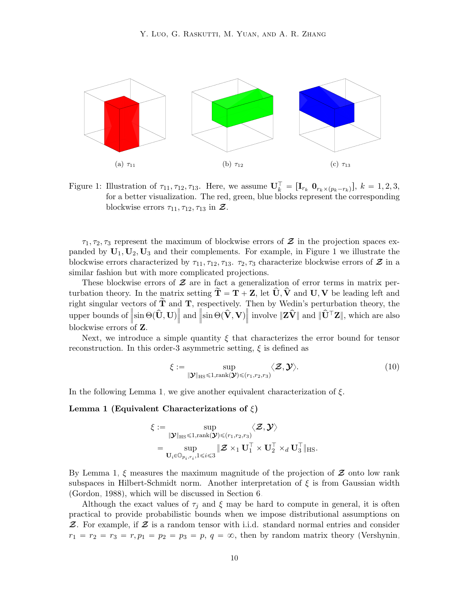

Figure 1: Illustration of  $\tau_{11}, \tau_{12}, \tau_{13}$ . Here, we assume  $\mathbf{U}_k^{\top} = [\mathbf{I}_{r_k} \ \mathbf{0}_{r_k \times (p_k - r_k)}], k = 1, 2, 3,$ for a better visualization. The red, green, blue blocks represent the corresponding blockwise errors  $\tau_{11}, \tau_{12}, \tau_{13}$  in  $\mathcal{Z}$ .

 $\tau_1, \tau_2, \tau_3$  represent the maximum of blockwise errors of  $\mathcal{Z}$  in the projection spaces expanded by  $U_1, U_2, U_3$  and their complements. For example, in Figure [1](#page-9-0) we illustrate the blockwise errors characterized by  $\tau_{11}, \tau_{12}, \tau_{13}. \tau_2, \tau_3$  characterize blockwise errors of  $\mathcal{Z}$  in a similar fashion but with more complicated projections.

These blockwise errors of  $\mathcal Z$  are in fact a generalization of error terms in matrix perturbation theory. In the matrix setting  $T = T + Z$ , let  $U, V$  and  $U, V$  be leading left and right singular vectors of  $\tilde{T}$  and  $T$ , respectively. Then by Wedin's perturbation theory, the upper bounds of  $\left\|\sin\Theta(\hat{\mathbf{U}}, \mathbf{U})\right\|$  and  $\|\sin \Theta(\hat{\mathbf{V}}, \mathbf{V})\|$  involve  $\|\mathbf{Z}\hat{\mathbf{V}}\|$  and  $\|\hat{\mathbf{U}}^{\top}\mathbf{Z}\|$ , which are also blockwise errors of Z.

Next, we introduce a simple quantity  $\xi$  that characterizes the error bound for tensor reconstruction. In this order-3 asymmetric setting,  $\xi$  is defined as

<span id="page-9-2"></span><span id="page-9-1"></span><span id="page-9-0"></span>
$$
\xi := \sup_{\|\mathbf{\mathcal{Y}}\|_{\text{HS}} \leq 1, \text{rank}(\mathbf{\mathcal{Y}}) \leq (r_1, r_2, r_3)} \langle \mathbf{\mathcal{Z}}, \mathbf{\mathcal{Y}} \rangle. \tag{10}
$$

In the following Lemma [1,](#page-9-1) we give another equivalent characterization of  $\xi$ .

#### Lemma 1 (Equivalent Characterizations of  $\xi$ )

$$
\xi := \sup_{\substack{\|\boldsymbol{\mathcal{Y}}\|_{\text{HS}} \leq 1, \text{rank}(\boldsymbol{\mathcal{Y}}) \leq (r_1, r_2, r_3) \\ \cdots \\ \mathbf{U}_i \in \mathbb{O}_{p_i, r_i}, 1 \leq i \leq 3}} \langle \boldsymbol{\mathcal{Z}}, \boldsymbol{\mathcal{Y}} \rangle} \langle \boldsymbol{\mathcal{Z}}, \boldsymbol{\mathcal{Y}} \rangle
$$
  
 
$$
= \sup_{\mathbf{U}_i \in \mathbb{O}_{p_i, r_i}, 1 \leq i \leq 3} \|\boldsymbol{\mathcal{Z}} \times_1 \mathbf{U}_1^\top \times \mathbf{U}_2^\top \times_d \mathbf{U}_3^\top \|_{\text{HS}}.
$$

By Lemma [1,](#page-9-1)  $\xi$  measures the maximum magnitude of the projection of  $\mathcal Z$  onto low rank subspaces in Hilbert-Schmidt norm. Another interpretation of  $\xi$  is from Gaussian width [\(Gordon, 1988\)](#page-41-5), which will be discussed in Section [6.](#page-19-0)

Although the exact values of  $\tau_i$  and  $\xi$  may be hard to compute in general, it is often practical to provide probabilistic bounds when we impose distributional assumptions on  $\mathcal Z$ . For example, if  $\mathcal Z$  is a random tensor with i.i.d. standard normal entries and consider  $r_1 = r_2 = r_3 = r, p_1 = p_2 = p_3 = p, q = \infty$ , then by random matrix theory [\(Vershynin,](#page-45-13)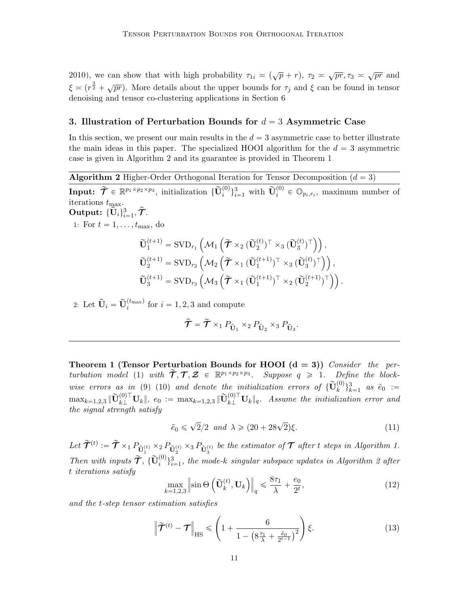[2010\)](#page-45-13), we can show that with high probability  $\tau_{1i} \approx (\sqrt{p} + r)$ ,  $\tau_2 \approx \sqrt{pr}, \tau_3 \approx \sqrt{pr}$  and  $\xi \approx (r^{\frac{3}{2}} + \sqrt{pr})$ . More details about the upper bounds for  $\tau_j$  and  $\xi$  can be found in tensor denoising and tensor co-clustering applications in Section [6.](#page-19-0)

# <span id="page-10-0"></span>3. Illustration of Perturbation Bounds for  $d = 3$  Asymmetric Case

In this section, we present our main results in the  $d = 3$  asymmetric case to better illustrate the main ideas in this paper. The specialized HOOI algorithm for the  $d = 3$  asymmetric case is given in Algorithm [2](#page-10-1) and its guarantee is provided in Theorem [1.](#page-10-2)

**Algorithm 2** Higher-Order Orthogonal Iteration for Tensor Decomposition  $(d = 3)$ 

<span id="page-10-1"></span> $\textbf{Input:} \ \ \widetilde{\bm{\mathcal{T}}} \in \ \mathbb{R}^{p_1 \times p_2 \times p_3}, \ \text{initialization} \ \{\widetilde{\mathbf{U}}_i^{(0)}\}_{i=1}^3 \ \text{with} \ \ \widetilde{\mathbf{U}}_i^{(0)} \in \mathbb{O}_{p_i,r_i}, \ \text{maximum number of}$ iterations  $t_{\text{max}}$ .

Output:  $\{\widehat{\mathbf{U}}_i\}_{i=1}^3, \widehat{\boldsymbol{\mathcal{T}}}.$ 

1: For  $t = 1, \ldots, t_{\text{max}}$ , do

$$
\begin{aligned} &\widetilde{\mathbf{U}}_{1}^{(t+1)} = \text{SVD}_{r_{1}}\left(\mathcal{M}_{1}\left(\widetilde{\boldsymbol{\mathcal{T}}}\times_{2}(\widetilde{\mathbf{U}}_{2}^{(t)})^{\top}\times_{3}(\widetilde{\mathbf{U}}_{3}^{(t)})^{\top}\right)\right),\\ &\widetilde{\mathbf{U}}_{2}^{(t+1)} = \text{SVD}_{r_{2}}\left(\mathcal{M}_{2}\left(\widetilde{\boldsymbol{\mathcal{T}}}\times_{1}(\widetilde{\mathbf{U}}_{1}^{(t+1)})^{\top}\times_{3}(\widetilde{\mathbf{U}}_{3}^{(t)})^{\top}\right)\right),\\ &\widetilde{\mathbf{U}}_{3}^{(t+1)} = \text{SVD}_{r_{3}}\left(\mathcal{M}_{3}\left(\widetilde{\boldsymbol{\mathcal{T}}}\times_{1}(\widetilde{\mathbf{U}}_{1}^{(t+1)})^{\top}\times_{2}(\widetilde{\mathbf{U}}_{2}^{(t+1)})^{\top}\right)\right). \end{aligned}
$$

2: Let  $\hat{\mathbf{U}}_i = \tilde{\mathbf{U}}_i^{(t_{\text{max}})}$  for  $i = 1, 2, 3$  and compute

$$
\hat{\mathcal{T}} = \tilde{\mathcal{T}} \times_1 P_{\hat{\mathbf{U}}_1} \times_2 P_{\hat{\mathbf{U}}_2} \times_3 P_{\hat{\mathbf{U}}_3}.
$$

<span id="page-10-2"></span>Theorem 1 (Tensor Perturbation Bounds for HOOI  $(d = 3)$ ) Consider the per-turbation model [\(1\)](#page-2-0) with  $\widetilde{\mathcal{T}}, \mathcal{T}, \mathcal{Z} \in \mathbb{R}^{p_1 \times p_2 \times p_3}$ . Suppose  $q \geq 1$ . Define the block-wise errors as in [\(9\)](#page-8-3) [\(10\)](#page-9-2) and denote the initialization errors of  $\{\widetilde{\mathbf{U}}_k^{(0)}\}_{k=1}^3$  as  $\tilde{e}_0$  :=  $\max_{k=1,2,3} \|\widetilde{\mathbf{U}}^{(0)\top}_{k\perp} \mathbf{U}_{k} \|, \; e_0 \; := \; \max_{k=1,2,3} \|\widetilde{\mathbf{U}}^{(0)\top}_{k\perp} \mathbf{U}_{k} \|_q. \;\; Assume \; \textit{the \; initialization error and}$ the signal strength satisfy

$$
\tilde{e}_0 \leqslant \sqrt{2}/2 \quad and \quad \lambda \geqslant (20 + 28\sqrt{2})\xi. \tag{11}
$$

Let  $\tilde{\mathcal{T}}^{(t)} := \tilde{\mathcal{T}} \times_1 P_{\tilde{U}_1^{(t)}} \times_2 P_{\tilde{U}_2^{(t)}} \times_3 P_{\tilde{U}_3^{(t)}}$  be the estimator of  $\mathcal T$  after t steps in Algorithm [1.](#page-3-0) Then with inputs  $\tilde{\mathcal{T}}$ ,  ${\{\tilde{\mathbf{U}}_i^{(0)}\}}_{i=1}^3$ , the mode-k singular subspace updates in Algorithm [2](#page-10-1) after t iterations satisfy

<span id="page-10-4"></span><span id="page-10-3"></span>
$$
\max_{k=1,2,3} \left\| \sin \Theta \left( \tilde{\mathbf{U}}_k^{(t)}, \mathbf{U}_k \right) \right\|_q \leq \frac{8\tau_1}{\lambda} + \frac{e_0}{2^t},\tag{12}
$$

and the t-step tensor estimation satisfies

$$
\left\| \widetilde{\mathcal{T}}^{(t)} - \mathcal{T} \right\|_{\text{HS}} \leqslant \left( 1 + \frac{6}{1 - \left( 8\frac{\tau_1}{\lambda} + \frac{\tilde{e}_0}{2^{t-1}} \right)^2} \right) \xi. \tag{13}
$$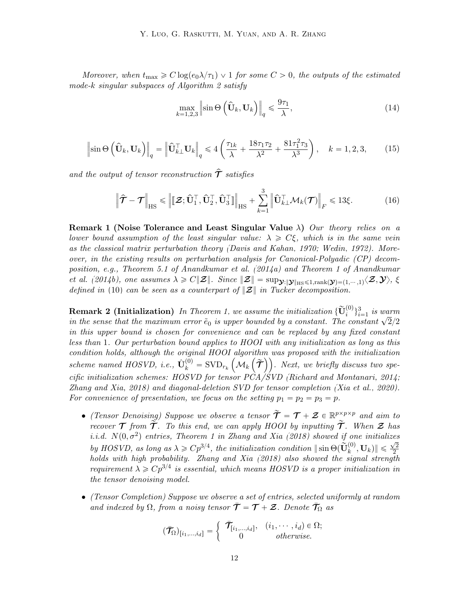Moreover, when  $t_{\text{max}} \geq C \log(e_0 \lambda/\tau_1) \vee 1$  for some  $C > 0$ , the outputs of the estimated mode-k singular subspaces of Algorithm [2](#page-10-1) satisfy

<span id="page-11-3"></span><span id="page-11-2"></span>
$$
\max_{k=1,2,3} \left\| \sin \Theta \left( \widehat{\mathbf{U}}_k, \mathbf{U}_k \right) \right\|_q \le \frac{9\tau_1}{\lambda},\tag{14}
$$

<span id="page-11-1"></span>
$$
\left\|\sin\Theta\left(\hat{\mathbf{U}}_k,\mathbf{U}_k\right)\right\|_q = \left\|\hat{\mathbf{U}}_{k\perp}^\top\mathbf{U}_k\right\|_q \leq 4\left(\frac{\tau_{1k}}{\lambda} + \frac{18\tau_1\tau_2}{\lambda^2} + \frac{81\tau_1^2\tau_3}{\lambda^3}\right), \quad k = 1, 2, 3, \tag{15}
$$

and the output of tensor reconstruction  $\hat{\mathcal{T}}$  satisfies

$$
\left\| \hat{\mathbf{T}} - \mathbf{T} \right\|_{\text{HS}} \leq \left\| \left[ \mathbf{Z}; \hat{\mathbf{U}}_1^\top, \hat{\mathbf{U}}_2^\top, \hat{\mathbf{U}}_3^\top \right] \right\|_{\text{HS}} + \sum_{k=1}^3 \left\| \hat{\mathbf{U}}_{k\perp}^\top \mathcal{M}_k(\mathbf{T}) \right\|_F \leq 13\xi.
$$
 (16)

Remark 1 (Noise Tolerance and Least Singular Value  $\lambda$ ) Our theory relies on a lower bound assumption of the least singular value:  $\lambda \geq C \xi$ , which is in the same vein as the classical matrix perturbation theory [\(Davis and Kahan, 1970;](#page-40-2) [Wedin, 1972\)](#page-46-4). Moreover, in the existing results on perturbation analysis for Canonical-Polyadic (CP) decomposition, e.g., Theorem 5.1 of [Anandkumar et al.](#page-39-1) [\(2014a\)](#page-39-1) and Theorem 1 of [Anandkumar](#page-39-10) *[et al.](#page-39-10) [\(2014b\)](#page-39-10), one assumes*  $\lambda \geq C ||\mathcal{Z}||$ . Since  $||\mathcal{Z}|| = \sup_{\mathbf{\mathcal{Y}} : ||\mathbf{\mathcal{Y}}||_{\text{HS}} \leq 1, \text{rank}(\mathbf{\mathcal{Y}})=(1, \cdots, 1)} \langle \mathcal{Z}, \mathbf{\mathcal{Y}} \rangle$ ,  $\xi$ defined in [\(10\)](#page-9-2) can be seen as a counterpart of  $\|\mathbf{Z}\|$  in Tucker decomposition.

<span id="page-11-0"></span>**Remark 2 (Initialization)** In Theorem [1,](#page-10-2) we assume the initialization  $\{\widetilde{\mathbf{U}}_{i}^{(0)}\}_{i=1}^{3}$  is warm in the sense that the maximum error  $\tilde{e}_0$  is upper bounded by a constant. The constant  $\sqrt{2}/2$ in this upper bound is chosen for convenience and can be replaced by any fixed constant less than 1. Our perturbation bound applies to HOOI with any initialization as long as this  $condition$  holds, although the original HOOI algorithm was proposed with the initialization scheme named HOSVD, i.e.,  $\hat{\mathbf{U}}_k^{(0)} = \text{SVD}_{r_k} \left( \mathcal{M}_k \left( \widetilde{\boldsymbol{\mathcal{T}}} \right) \right)$ . Next, we briefly discuss two specific initialization schemes: HOSVD for tensor PCA/SVD [\(Richard and Montanari, 2014;](#page-44-1) [Zhang and Xia, 2018\)](#page-47-6) and diagonal-deletion SVD for tensor completion [\(Xia et al., 2020\)](#page-46-0). For convenience of presentation, we focus on the setting  $p_1 = p_2 = p_3 = p$ .

- (Tensor Denoising) Suppose we observe a tensor  $\widetilde{\mathcal{T}} = \mathcal{T} + \mathcal{Z} \in \mathbb{R}^{p \times p \times p}$  and aim to recover  $\mathcal T$  from  $\widetilde{\mathcal T}$ . To this end, we can apply HOOI by inputting  $\widetilde{\mathcal T}$ . When  $\mathcal Z$  has i.i.d.  $N(0, \sigma^2)$  entries, Theorem 1 in [Zhang and Xia](#page-47-6) [\(2018\)](#page-47-6) showed if one initializes by HOSVD, as long as  $\lambda \geqslant C p^{3/4}$ , the initialization condition  $\|\sin\Theta(\tilde{\mathbf{U}}_k^{(0)}, \mathbf{U}_k)\|$  $\frac{1}{\sqrt{2}}$ by HOSVD, as long as  $\lambda \geqslant \mathcal{O}p^{\alpha}$ , the initialization condition  $\|\sin \Theta(\mathbf{C}_k, \mathbf{C}_k)\| \leqslant \frac{\gamma}{2}$ <br>holds with high probability. [Zhang and Xia](#page-47-6) [\(2018\)](#page-47-6) also showed the signal strength requirement  $\lambda \geq C p^{3/4}$  is essential, which means HOSVD is a proper initialization in the tensor denoising model.
- (Tensor Completion) Suppose we observe a set of entries, selected uniformly at random and indexed by  $\Omega$ , from a noisy tensor  $\bar{\mathcal{T}} = \mathcal{T} + \mathcal{Z}$ . Denote  $\mathcal{T}_{\Omega}$  as

$$
(\bar{\mathcal{T}}_{\Omega})_{[i_1,\ldots,i_d]} = \begin{cases} \bar{\mathcal{T}}_{[i_1,\ldots,i_d]}, & (i_1,\cdots,i_d) \in \Omega; \\ 0 & otherwise. \end{cases}
$$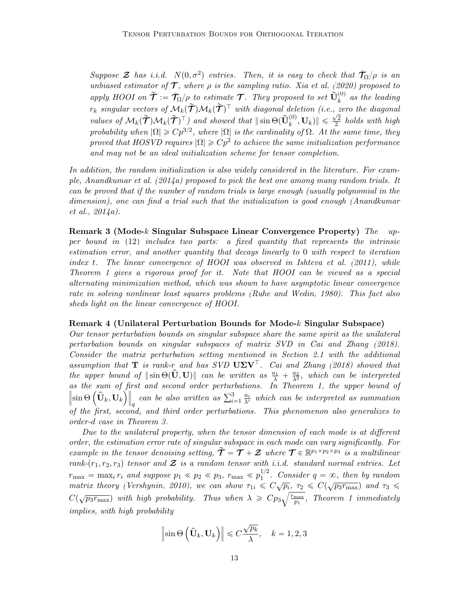Suppose  $\mathcal Z$  has i.i.d.  $N(0, \sigma^2)$  entries. Then, it is easy to check that  $\bar{T}_{\Omega}/\rho$  is an unbiased estimator of  $\mathcal T$ , where  $\rho$  is the sampling ratio. [Xia et al.](#page-46-0) [\(2020\)](#page-46-0) proposed to apply HOOI on  $\widetilde{\mathcal{T}} := \overline{\mathcal{T}}_{\Omega}/\rho$  to estimate  $\mathcal{T}$ . They proposed to set  $\widetilde{\mathbf{U}}_k^{(0)}$  as the leading  $r_k$  singular vectors of  $\mathcal{M}_k(\tilde{\mathcal{T}})\mathcal{M}_k(\tilde{\mathcal{T}})^{\top}$  with diagonal deletion (i.e., zero the diagonal values of  $M_k(\tilde{\mathcal{T}})\mathcal{M}_k(\tilde{\mathcal{T}})^{\top}$  and showed that  $\|\sin\Theta(\tilde{\mathbf{U}}_k^{(0)}, \mathbf{U}_k)\| \leq \frac{\sqrt{2}}{2}$  $\frac{\sqrt{2}}{2}$  holds with high probability when  $|\Omega| \geqslant C p^{3/2}$ , where  $|\Omega|$  is the cardinality of  $\Omega$ . At the same time, they proved that HOSVD requires  $|\Omega| \geqslant Cp^2$  to achieve the same initialization performance and may not be an ideal initialization scheme for tensor completion.

In addition, the random initialization is also widely considered in the literature. For exam-ple, [Anandkumar et al.](#page-39-1)  $(2014a)$  proposed to pick the best one among many random trials. It can be proved that if the number of random trials is large enough (usually polynomial in the dimension), one can find a trial such that the initialization is good enough [\(Anandkumar](#page-39-1) [et al., 2014a\)](#page-39-1).

Remark 3 (Mode-k Singular Subspace Linear Convergence Property) The upper bound in [\(12\)](#page-10-3) includes two parts: a fixed quantity that represents the intrinsic estimation error, and another quantity that decays linearly to 0 with respect to iteration index t. The linear convergence of HOOI was observed in [Ishteva et al.](#page-42-4) [\(2011\)](#page-42-4), while Theorem [1](#page-10-2) gives a rigorous proof for it. Note that HOOI can be viewed as a special alternating minimization method, which was shown to have asymptotic linear convergence rate in solving nonlinear least squares problems [\(Ruhe and Wedin, 1980\)](#page-44-10). This fact also sheds light on the linear convergence of HOOI.

### <span id="page-12-0"></span>Remark 4 (Unilateral Perturbation Bounds for Mode-k Singular Subspace)

Our tensor perturbation bounds on singular subspace share the same spirit as the unilateral perturbation bounds on singular subspaces of matrix SVD in [Cai and Zhang](#page-40-3) [\(2018\)](#page-40-3). Consider the matrix perturbation setting mentioned in Section [2.1](#page-8-2) with the additional assumption that **T** is rank-r and has SVD  $U\Sigma V$ <sup> $\perp$ </sup>. [Cai and Zhang](#page-40-3) [\(2018\)](#page-40-3) showed that the upper bound of  $\|\sin\Theta(\hat{\mathbf{U}}, \mathbf{U})\|$  can be written as  $\frac{a_1}{\lambda} + \frac{a_2}{\lambda^2}$ , which can be interpreted as the sum of first and second order perturbations. In Theorem [1,](#page-10-2) the upper bound of as the sum of<br>  $\sin \Theta \left( \hat{\mathbf{U}}_k, \mathbf{U}_k \right)$  $\tilde{\parallel}$ For an a second order perturbations. In Theorem 1, the upper bound of can be also written as  $\sum_{i=1}^{3} \frac{a_i}{\lambda^i}$  which can be interpreted as summation of the first, second, and third order perturbations. This phenomenon also generalizes to order-d case in Theorem [3.](#page-14-0)

Due to the unilateral property, when the tensor dimension of each mode is at different order, the estimation error rate of singular subspace in each mode can vary significantly. For example in the tensor denoising setting,  $\widetilde{\mathcal{T}} = \mathcal{T} + \mathcal{Z}$  where  $\mathcal{T} \in \mathbb{R}^{p_1 \times p_2 \times p_3}$  is a multilinear rank- $(r_1, r_2, r_3)$  tensor and  $\mathcal Z$  is a random tensor with i.i.d. standard normal entries. Let  $r_{\text{max}} = \max_i r_i$  and suppose  $p_1 \ll p_2 \ll p_3$ ,  $r_{\text{max}} \ll p_1^{1/2}$  $1/2$ . Consider  $q = \infty$ , then by random matrix theory [\(Vershynin, 2010\)](#page-45-13), we can show  $\tau_{1i} \leq C \sqrt{p_i}$ ,  $\tau_2 \leq C(\sqrt{p_3r_{\text{max}}})$  and  $\tau_3 \leq$  $C(\sqrt{p_3r_{\max}})$  with high probability. Thus when  $\lambda \geqslant Cp_3$  $\langle p_i$  $r_{\text{max}}$  $\frac{\text{max}}{p_1}$ , Theorem [1](#page-10-2) immediately implies, with high probability

$$
\left\|\sin\Theta\left(\widehat{\mathbf{U}}_k,\mathbf{U}_k\right)\right\| \leq C\frac{\sqrt{p_k}}{\lambda}, \quad k = 1,2,3
$$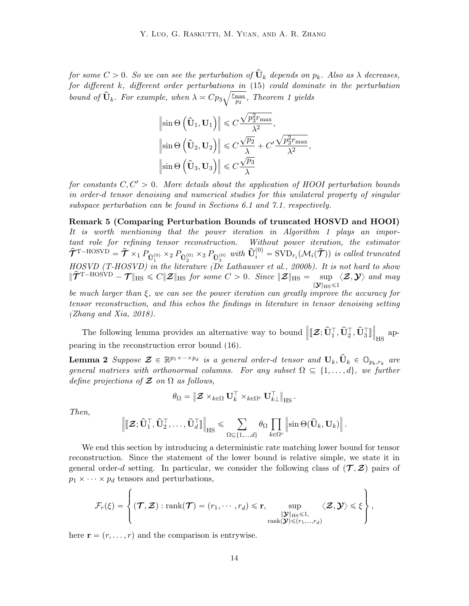for some  $C > 0$ . So we can see the perturbation of  $\widehat{\mathbf{U}}_k$  depends on  $p_k$ . Also as  $\lambda$  decreases,  $for\,\, different\,\, different\,\,order\,\,perturbations\,\,in\,\,(15)\,\,could\,\,dominate\,\,in\,\,the\,\,perturbation$  $for\,\, different\,\, different\,\,order\,\,perturbations\,\,in\,\,(15)\,\,could\,\,dominate\,\,in\,\,the\,\,perturbation$  $for\,\, different\,\, different\,\,order\,\,perturbations\,\,in\,\,(15)\,\,could\,\,dominate\,\,in\,\,the\,\,perturbation$ bound of  $\widehat{U}_k$ . For example, when  $\lambda \approx Cp_3\sqrt{\frac{r_{\text{max}}}{p_2}}$  $\frac{\text{max}}{p_2}$ , Theorem [1](#page-10-2) yields

$$
\|\sin\Theta\left(\hat{\mathbf{U}}_1, \mathbf{U}_1\right)\| \leq C \frac{\sqrt{p_3^2 r_{\text{max}}}}{\lambda^2},
$$

$$
\|\sin\Theta\left(\hat{\mathbf{U}}_2, \mathbf{U}_2\right)\| \leq C \frac{\sqrt{p_2}}{\lambda} + C' \frac{\sqrt{p_3^2 r_{\text{max}}}}{\lambda^2},
$$

$$
\|\sin\Theta\left(\hat{\mathbf{U}}_3, \mathbf{U}_3\right)\| \leq C \frac{\sqrt{p_3}}{\lambda}
$$

for constants  $C, C' > 0$ . More details about the application of HOOI perturbation bounds in order-d tensor denoising and numerical studies for this unilateral property of singular subspace perturbation can be found in Sections [6.1](#page-19-1) and [7.1,](#page-23-0) respectively.

<span id="page-13-1"></span>Remark 5 (Comparing Perturbation Bounds of truncated HOSVD and HOOI) It is worth mentioning that the power iteration in Algorithm [1](#page-3-0) plays an important role for refining tensor reconstruction. Without power iteration, the estimator  $\hat{\mathcal{T}}^{\text{T-HOSVD}} = \tilde{\mathcal{T}} \times_1 P_{\tilde{\mathbf{U}}_1^{(0)}} \times_2 P_{\tilde{\mathbf{U}}_2^{(0)}} \times_3 P_{\tilde{\mathbf{U}}_3^{(0)}}$  with  $\tilde{\mathbf{U}}_i^{(0)} = \text{SVD}_{r_i}(\mathcal{M}_i(\tilde{\mathcal{T}}))$  is called truncated HOSVD (T-HOSVD) in the literature [\(De Lathauwer et al., 2000b\)](#page-41-4). It is not hard to show  $\|\hat{\mathcal{T}}^{T-HOSVD} - \mathcal{T}\|_{\text{HS}} \leq C \|\mathcal{Z}\|_{\text{HS}}$  for some  $C > 0$ . Since  $\|\mathcal{Z}\|_{\text{HS}} = \sup \langle \mathcal{Z}, \mathcal{Y} \rangle$  and may  $\|{\boldsymbol{\mathcal{Y}}}\|_{\rm HS}$   $\leqslant$  1

be much larger than  $\xi$ , we can see the power iteration can greatly improve the accuracy for tensor reconstruction, and this echos the findings in literature in tensor denoising setting [\(Zhang and Xia, 2018\)](#page-47-6).

The following lemma provides an alternative way to bound  $\left\|[\mathbf{\mathcal{Z}};\hat{\mathbf{U}}_1^\top,\hat{\mathbf{U}}_2^\top,\hat{\mathbf{U}}_3^\top] \right\|$  $\parallel$ HS appearing in the reconstruction error bound [\(16\)](#page-11-2).

**Lemma 2** Suppose  $\mathcal{Z} \in \mathbb{R}^{p_1 \times \cdots \times p_d}$  is a general order-d tensor and  $\mathbf{U}_k, \hat{\mathbf{U}}_k \in \mathbb{O}_{p_k, r_k}$  are general matrices with orthonormal columns. For any subset  $\Omega \subseteq \{1, \ldots, d\}$ , we further define projections of  $\mathcal Z$  on  $\Omega$  as follows,

<span id="page-13-2"></span>
$$
\theta_\Omega = \left\| \boldsymbol{\mathcal{Z}} \times_{k \in \Omega} \mathbf{U}_k^\top \times_{k \in \Omega^c} \mathbf{U}_{k\perp}^\top \right\|_{\mathrm{HS}}.
$$

Then,

$$
\left\|[\![\boldsymbol{\mathcal{Z}};\widehat{\mathbf{U}}_1^\top,\widehat{\mathbf{U}}_2^\top,\ldots,\widehat{\mathbf{U}}_d^\top]\!]\right\|_{\mathrm{HS}} \leqslant \sum_{\Omega \subseteq \{1,\ldots,d\}} \theta_\Omega \prod_{k \in \Omega^c} \left\|\sin\Theta(\widehat{\mathbf{U}}_k,\mathbf{U}_k)\right\|.
$$

We end this section by introducing a deterministic rate matching lower bound for tensor reconstruction. Since the statement of the lower bound is relative simple, we state it in general order-d setting. In particular, we consider the following class of  $(\mathcal{T}, \mathcal{Z})$  pairs of  $p_1 \times \cdots \times p_d$  tensors and perturbations,

$$
\mathcal{F}_r(\xi) = \left\{ (\mathcal{T}, \mathcal{Z}) : \mathrm{rank}(\mathcal{T}) = (r_1, \cdots, r_d) \leqslant r, \underset{\mathrm{rank}(\mathcal{Y}) \leqslant (r_1, \ldots, r_d)}{\sup} \langle \mathcal{Z}, \mathcal{Y} \rangle \leqslant \xi \right\},\
$$

<span id="page-13-0"></span>here  $\mathbf{r} = (r, \dots, r)$  and the comparison is entrywise.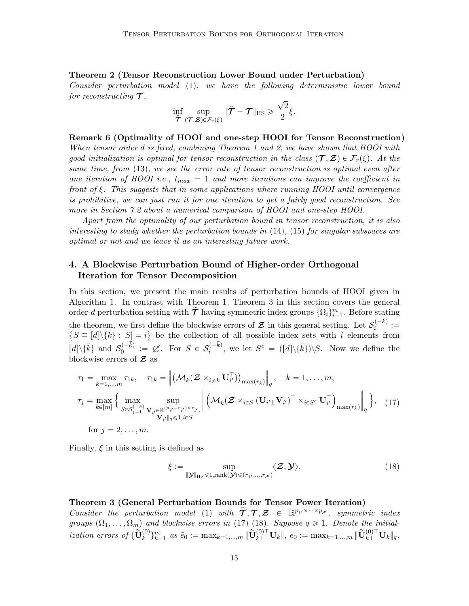Theorem 2 (Tensor Reconstruction Lower Bound under Perturbation)

Consider perturbation model [\(1\)](#page-2-0), we have the following deterministic lower bound for reconstructing  $\mathcal{T},$ ?

$$
\inf_{\widehat{\boldsymbol{\mathcal{T}}}} \sup_{(\boldsymbol{\mathcal{T}},\boldsymbol{\mathcal{Z}})\in\mathcal{F}_r(\xi)} \|\widehat{\boldsymbol{\mathcal{T}}}-\boldsymbol{\mathcal{T}}\|_{\mathrm{HS}} \geqslant \frac{\sqrt{2}}{2}\xi.
$$

<span id="page-14-1"></span>Remark 6 (Optimality of HOOI and one-step HOOI for Tensor Reconstruction) When tensor order d is fixed, combining Theorem [1](#page-10-2) and [2,](#page-13-0) we have shown that HOOI with good initialization is optimal for tensor reconstruction in the class  $(\mathcal{T}, \mathcal{Z}) \in \mathcal{F}_r(\xi)$ . At the same time, from [\(13\)](#page-10-4), we see the error rate of tensor reconstruction is optimal even after one iteration of HOOI i.e.,  $t_{max} = 1$  and more iterations can improve the coefficient in front of ξ. This suggests that in some applications where running HOOI until convergence is prohibitive, we can just run it for one iteration to get a fairly good reconstruction. See more in Section [7.2](#page-24-0) about a numerical comparison of HOOI and one-step HOOI.

Apart from the optimality of our perturbation bound in tensor reconstruction, it is also interesting to study whether the perturbation bounds in [\(14\)](#page-11-3), [\(15\)](#page-11-1) for singular subspaces are optimal or not and we leave it as an interesting future work.

# <span id="page-14-2"></span>4. A Blockwise Perturbation Bound of Higher-order Orthogonal Iteration for Tensor Decomposition

In this section, we present the main results of perturbation bounds of HOOI given in Algorithm [1.](#page-3-0) In contrast with Theorem [1,](#page-10-2) Theorem [3](#page-14-0) in this section covers the general order-d perturbation setting with  $\tilde{\mathcal{T}}$  having symmetric index groups  $\{\Omega_i\}_{i=1}^m$ . Before stating the theorem, we first define the blockwise errors of  $\mathcal Z$  in this general setting. Let  $\mathcal S_i^{(-\bar k)}$ the theorem, we first define the blockwise errors of  $\mathcal Z$  in this general setting. Let  $\mathcal S_i^{(-\kappa)}$  :=  $S \subseteq [d] \setminus {\bar{k}} : |S| = i$  be the collection of all possible index sets with i elements from  $\bar{[d]}\backslash\{\bar{k}\}$  and  $\mathcal{S}_0^{(-\bar{k})}$  $\mathcal{O}_0^{(-\bar{k})} := \varnothing$ . For  $S \in \mathcal{S}_i^{(-\bar{k})}$  $i_i^{(-k)}$ , we let  $S^c = ([d] \setminus {\bar{k}}) \setminus S$ . Now we define the blockwise errors of  $\mathcal Z$  as

<span id="page-14-3"></span>
$$
\tau_1 = \max_{k=1,\dots,m} \tau_{1k}, \quad \tau_{1k} = \left\| \left( \mathcal{M}_{\bar{k}} (\mathbf{Z} \times_{i \neq \bar{k}} \mathbf{U}_{i'}^{\top}) \right)_{\max(r_k)} \right\|_q, \quad k = 1,\dots,m;
$$
\n
$$
\tau_j = \max_{k \in [m]} \left\{ \max_{S \in \mathcal{S}_{j-1}^{(-\bar{k})}} \sup_{\mathbf{V}_{i'} \in \mathbb{R}^{(p_{i'} - r_{i'}) \times r_{i'}}} \left\| \left( \mathcal{M}_{\bar{k}} (\mathbf{Z} \times_{i \in S} (\mathbf{U}_{i'} \mathbf{V}_{i'})^{\top} \times_{i \in S^c} \mathbf{U}_{i'}^{\top}) \right)_{\max(r_k)} \right\|_q \right\}, \quad (17)
$$
\n
$$
\text{for } j = 2,\dots,m.
$$

Finally,  $\xi$  in this setting is defined as

<span id="page-14-4"></span>
$$
\xi := \sup_{\|\mathbf{\mathcal{Y}}\|_{\text{HS}} \leq 1, \text{rank}(\mathbf{\mathcal{Y}}) \leq (r_1, \dots, r_{d'})} \langle \mathbf{\mathcal{Z}}, \mathbf{\mathcal{Y}} \rangle. \tag{18}
$$

#### <span id="page-14-0"></span>Theorem 3 (General Perturbation Bounds for Tensor Power Iteration)

Consider the perturbation model [\(1\)](#page-2-0) with  $\tilde{\mathcal{T}}, \mathcal{T}, \mathcal{Z} \in \mathbb{R}^{p_1 \times \cdots \times p_d}$ , symmetric index groups  $(\Omega_1, \ldots, \Omega_m)$  and blockwise errors in [\(17\)](#page-14-3) [\(18\)](#page-14-4). Suppose  $q \geq 1$ . Denote the initial- $\tilde{u}$  ization errors of  $\{\widetilde{\mathbf{U}}_k^{(0)}\}_{k=1}^m$  as  $\tilde{e}_0 := \max_{k=1,...,m} \|\widetilde{\mathbf{U}}_{k\perp}^{(0)\top} \mathbf{U}_k\|_r$ ,  $e_0 := \max_{k=1,...,m} \|\widetilde{\mathbf{U}}_{k\perp}^{(0)\top} \mathbf{U}_k\|_q$ .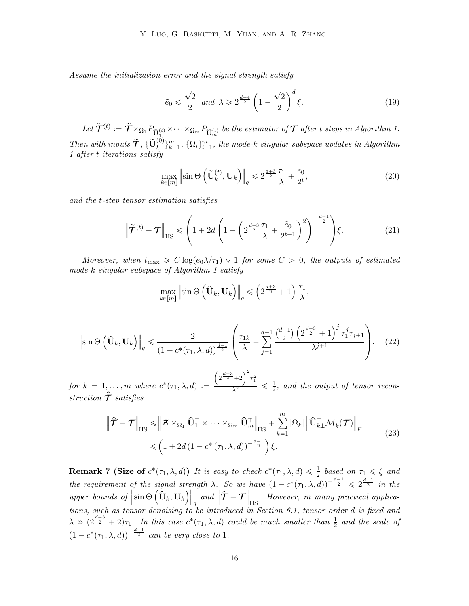Assume the initialization error and the signal strength satisfy

<span id="page-15-1"></span>
$$
\tilde{e}_0 \leq \frac{\sqrt{2}}{2}
$$
 and  $\lambda \geq 2^{\frac{d+4}{2}} \left( 1 + \frac{\sqrt{2}}{2} \right)^d \xi.$  (19)

 $Let \ \widetilde{\mathcal{T}}^{(t)} := \widetilde{\mathcal{T}} \times_{\Omega_1} P_{\widetilde{\mathbf{U}}_1^{(t)}} \times \cdots \times_{\Omega_m} P_{\widetilde{\mathbf{U}}_m^{(t)}}$  be the estimator of  $\mathcal T$  after t steps in Algorithm [1.](#page-3-0) Then with inputs  $\widetilde{\mathcal{T}}$ ,  $\{\widetilde{\mathbf{U}}_k^{(0)}\}_{k=1}^m$ ,  $\{\Omega_i\}_{i=1}^m$ , the mode-k singular subspace updates in Algorithm [1](#page-3-0) after t iterations satisfy

<span id="page-15-3"></span><span id="page-15-2"></span>
$$
\max_{k \in [m]} \left\| \sin \Theta \left( \tilde{\mathbf{U}}_k^{(t)}, \mathbf{U}_k \right) \right\|_q \leq 2^{\frac{d+3}{2}} \frac{\tau_1}{\lambda} + \frac{e_0}{2^t},\tag{20}
$$

and the t-step tensor estimation satisfies

$$
\left\| \widetilde{\mathcal{T}}^{(t)} - \mathcal{T} \right\|_{\text{HS}} \leqslant \left( 1 + 2d \left( 1 - \left( 2^{\frac{d+3}{2}} \frac{\tau_1}{\lambda} + \frac{\tilde{e}_0}{2^{t-1}} \right)^2 \right)^{-\frac{d-1}{2}} \right) \xi. \tag{21}
$$

Moreover, when  $t_{\text{max}} \geq C \log(e_0 \lambda / \tau_1) \vee 1$  for some  $C > 0$ , the outputs of estimated mode-k singular subspace of Algorithm [1](#page-3-0) satisfy

$$
\max_{k \in [m]} \left\| \sin \Theta\left(\hat{\mathbf{U}}_k, \mathbf{U}_k\right) \right\|_q \leqslant \left(2^{\frac{d+3}{2}} + 1\right) \frac{\tau_1}{\lambda},
$$

<span id="page-15-4"></span>
$$
\left\|\sin\Theta\left(\hat{\mathbf{U}}_k, \mathbf{U}_k\right)\right\|_q \leq \frac{2}{\left(1 - c^*(\tau_1, \lambda, d)\right)^{\frac{d-1}{2}}} \left(\frac{\tau_{1k}}{\lambda} + \sum_{j=1}^{d-1} \frac{\binom{d-1}{j} \left(2^{\frac{d+3}{2}} + 1\right)^j \tau_1^j \tau_{j+1}}{\lambda^{j+1}}\right). \tag{22}
$$

for  $k = 1, ..., m$  where  $c^*(\tau_1, \lambda, d) :=$  $2^{\frac{d+3}{2}}+2$  $\sqrt{2}$  $\frac{1}{\lambda^2}$  +2  $\frac{\tau_1^2}{2}$   $\leqslant$   $\frac{1}{2}$  $\frac{1}{2}$ , and the output of tensor reconstruction  $\hat{\tau}$  satisfies

<span id="page-15-5"></span>
$$
\left\| \hat{\mathcal{T}} - \mathcal{T} \right\|_{\text{HS}} \leq \left\| \mathcal{Z} \times_{\Omega_1} \hat{\mathbf{U}}_1^{\top} \times \cdots \times_{\Omega_m} \hat{\mathbf{U}}_m^{\top} \right\|_{\text{HS}} + \sum_{k=1}^m |\Omega_k| \left\| \hat{\mathbf{U}}_{k\perp}^{\top} \mathcal{M}_{k}(\mathcal{T}) \right\|_F
$$
\n
$$
\leq \left( 1 + 2d \left( 1 - c^* \left( \tau_1, \lambda, d \right) \right)^{-\frac{d-1}{2}} \right) \xi.
$$
\n(23)

<span id="page-15-6"></span><span id="page-15-0"></span>**Remark 7 (Size of**  $c^*(\tau_1, \lambda, d)$ ) It is easy to check  $c^*(\tau_1, \lambda, d) \leq \frac{1}{2}$  based on  $\tau_1 \leq \xi$  and the requirement of the signal strength  $\lambda$ . So we have  $(1 - c^*(\tau_1, \lambda, d))^{-\frac{d-1}{2}} \leqslant 2^{\frac{d-1}{2}}$  in the upper bounds of  $\text{ }$  of the signal st<br> $\text{ }$  sin  $\Theta\left( \widehat{\mathbf{U}}_k, \mathbf{U}_k \right)$  $\mathbf{r}$ q and  $\|\hat{\mathcal{T}} - \mathcal{T}\|$  $_{\rm HS}$ . However, in many practical applications, such as tensor denoising to be introduced in Section [6.1,](#page-19-1) tensor order d is fixed and  $\lambda \gg (2^{\frac{d+3}{2}}+2)\tau_1$ . In this case  $c^*(\tau_1, \lambda, d)$  could be much smaller than  $\frac{1}{2}$  and the scale of  $(1 - c^*(\tau_1, \lambda, d))^{-\frac{d-1}{2}}$  can be very close to 1.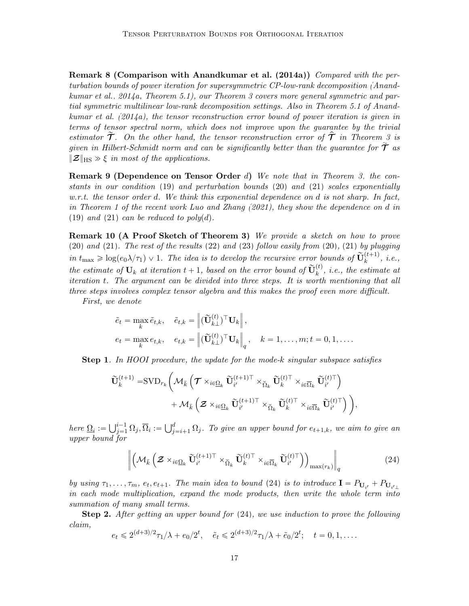Remark 8 (Comparison with [Anandkumar et al.](#page-39-1) [\(2014a\)](#page-39-1)) Compared with the perturbation bounds of power iteration for supersymmetric CP-low-rank decomposition [\(Anand](#page-39-1)[kumar et al., 2014a,](#page-39-1) Theorem 5.1), our Theorem [3](#page-14-0) covers more general symmetric and partial symmetric multilinear low-rank decomposition settings. Also in Theorem 5.1 of [Anand](#page-39-1)[kumar et al.](#page-39-1) [\(2014a\)](#page-39-1), the tensor reconstruction error bound of power iteration is given in terms of tensor spectral norm, which does not improve upon the guarantee by the trivial estimator  $\widetilde{\mathcal{T}}$ . On the other hand, the tensor reconstruction error of  $\widehat{\mathcal{T}}$  in Theorem [3](#page-14-0) is given in Hilbert-Schmidt norm and can be significantly better than the guarantee for  $\tilde{\mathcal{T}}$  as  $\|\mathcal{Z}\|_{\text{HS}} \gg \xi$  in most of the applications.

**Remark 9 (Dependence on Tensor Order d)** We note that in Theorem [3,](#page-14-0) the constants in our condition [\(19\)](#page-15-1) and perturbation bounds [\(20\)](#page-15-2) and [\(21\)](#page-15-3) scales exponentially  $w.r.t.$  the tensor order d. We think this exponential dependence on d is not sharp. In fact, in Theorem 1 of the recent work [Luo and Zhang](#page-43-9) [\(2021\)](#page-43-9), they show the dependence on d in  $(19)$  and  $(21)$  can be reduced to poly $(d)$ .

Remark 10 (A Proof Sketch of Theorem [3\)](#page-14-0) We provide a sketch on how to prove  $(20)$  and  $(21)$ . The rest of the results  $(22)$  and  $(23)$  follow easily from  $(20)$ ,  $(21)$  by plugging in  $t_{\max} \geqslant \log(e_0 \lambda/\tau_1) \vee 1$ . The idea is to develop the recursive error bounds of  $\widetilde{\mathbf{U}}_k^{(t+1)}$ , i.e., the estimate of  $\mathbf{U}_k$  at iteration  $t + 1$ , based on the error bound of  $\widetilde{\mathbf{U}}_k^{(t)}$ , i.e., the estimate at iteration t. The argument can be divided into three steps. It is worth mentioning that all three steps involves complex tensor algebra and this makes the proof even more difficult.

First, we denote

$$
\tilde{e}_t = \max_k \tilde{e}_{t,k}, \quad \tilde{e}_{t,k} = \left\| (\widetilde{\mathbf{U}}_{k\perp}^{(t)})^\top \mathbf{U}_k \right\|,
$$
  
\n
$$
e_t = \max_k e_{t,k}, \quad e_{t,k} = \left\| (\widetilde{\mathbf{U}}_{k\perp}^{(t)})^\top \mathbf{U}_k \right\|_q, \quad k = 1, \dots, m; t = 0, 1, \dots.
$$

Step 1. In HOOI procedure, the update for the mode-k singular subspace satisfies ˆ

$$
\begin{aligned} \widetilde{\mathbf{U}}_k^{(t+1)}=&\text{SVD}_{r_k}\bigg(\mathcal{M}_{\bar{k}}\left(\boldsymbol{\mathcal{T}}\times_{i\in\overline{\Omega}_k}\widetilde{\mathbf{U}}_{i'}^{(t+1)\top}\times_{\breve{\Omega}_k}\widetilde{\mathbf{U}}_k^{(t)\top}\times_{i\in\overline{\Omega}_k}\widetilde{\mathbf{U}}_{i'}^{(t)\top}\right)\\ &+\mathcal{M}_{\bar{k}}\left(\boldsymbol{\mathcal{Z}}\times_{i\in\overline{\Omega}_k}\widetilde{\mathbf{U}}_{i'}^{(t+1)\top}\times_{\breve{\Omega}_k}\widetilde{\mathbf{U}}_k^{(t)\top}\times_{i\in\overline{\Omega}_k}\widetilde{\mathbf{U}}_{i'}^{(t)\top}\right)\bigg), \end{aligned}
$$

here  $\Omega_i := \bigcup_{j=1}^{i-1}$  $i^{-1}_{j=1} \Omega_j, \overline{\Omega}_i := \bigcup_j^d$  $_{j=i+1}^a \Omega_j$ . To give an upper bound for  $e_{t+1,k},$  we aim to give an upper bound for

<span id="page-16-0"></span>
$$
\left\| \left( \mathcal{M}_{\bar{k}} \left( \mathcal{Z} \times_{i \in \Omega_k} \tilde{\mathbf{U}}_{i'}^{(t+1)\top} \times_{\check{\Omega}_k} \tilde{\mathbf{U}}_k^{(t)\top} \times_{i \in \overline{\Omega}_k} \tilde{\mathbf{U}}_{i'}^{(t)\top} \right) \right)_{\max(r_k)} \right\|_q
$$
(24)

by using  $\tau_1, \ldots, \tau_m$ ,  $e_t, e_{t+1}$ . The main idea to bound [\(24\)](#page-16-0) is to introduce  $\mathbf{I} = P_{\mathbf{U}_{i'}} + P_{\mathbf{U}_{i' \perp}}$ in each mode multiplication, expand the mode products, then write the whole term into summation of many small terms.

**Step 2.** After getting an upper bound for  $(24)$ , we use induction to prove the following claim,

$$
e_t \leq 2^{(d+3)/2} \tau_1/\lambda + e_0/2^t
$$
,  $\tilde{e}_t \leq 2^{(d+3)/2} \tau_1/\lambda + \tilde{e}_0/2^t$ ;  $t = 0, 1, \ldots$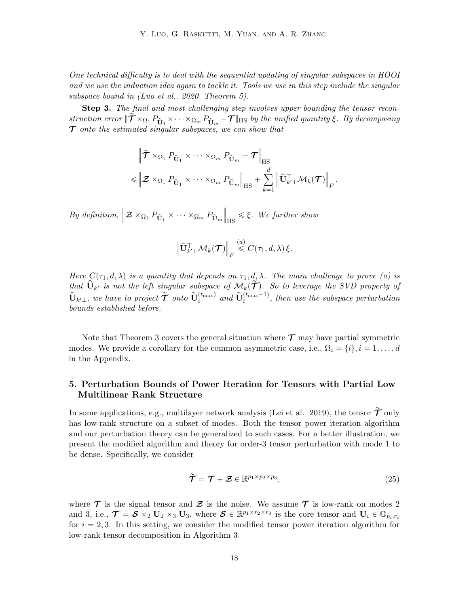One technical difficulty is to deal with the sequential updating of singular subspaces in HOOI and we use the induction idea again to tackle it. Tools we use in this step include the singular subspace bound in [\(Luo et al., 2020,](#page-44-9) Theorem 5).

Step 3. The final and most challenging step involves upper bounding the tensor reconstruction error  $\|\tilde{\mathcal{T}} \times_{\Omega_1} P_{\hat{U}_1} \times \cdots \times_{\Omega_m} P_{\hat{U}_m} - \mathcal{T}\|$ Hs by the unified quantity  $\xi$ . By decomposing  $\mathcal T$  onto the estimated singular subspaces, we can show that

$$
\|\tilde{\boldsymbol{\tau}} \times_{\Omega_1} P_{\hat{\mathbf{U}}_1} \times \cdots \times_{\Omega_m} P_{\hat{\mathbf{U}}_m} - \boldsymbol{\tau} \|_{\text{HS}} \leq \|\boldsymbol{\mathcal{Z}} \times_{\Omega_1} P_{\hat{\mathbf{U}}_1} \times \cdots \times_{\Omega_m} P_{\hat{\mathbf{U}}_m} \|_{\text{HS}} + \sum_{k=1}^d \|\hat{\mathbf{U}}_{k'}^{\top} \mathcal{M}_k(\boldsymbol{\mathcal{T}})\|_{\text{F}}.
$$

By definition,  $\|Z \times_{\Omega_1} P_{\hat{\mathbf{U}}_1} \times \cdots \times_{\Omega_m} P_{\hat{\mathbf{U}}_m}$  $\Big\|$  $H_{\text{HS}} \leq \xi$ . We further show

$$
\left\| \widehat{\mathbf{U}}_{k'\perp}^{\top} \mathcal{M}_k(\mathcal{T}) \right\|_F \stackrel{(a)}{\leqslant} C(\tau_1,d,\lambda) \, \xi.
$$

Here  $C(\tau_1, d, \lambda)$  is a quantity that depends on  $\tau_1, d, \lambda$ . The main challenge to prove (a) is that  $\hat{\mathbf{U}}_{k'}$  is not the left singular subspace of  $\mathcal{M}_k(\tilde{\mathcal{T}})$ . So to leverage the SVD property of  $\hat{\mathbf{U}}_{k'\perp}$ , we have to project  $\tilde{\mathcal{T}}$  onto  $\tilde{\mathbf{U}}_i^{(t_{\text{max}})}$  and  $\tilde{\mathbf{U}}_i^{(t_{\text{max}}-1)}$ , then use the subspace perturbation bounds established before.

Note that Theorem [3](#page-14-0) covers the general situation where  $\mathcal{T}$  may have partial symmetric modes. We provide a corollary for the common asymmetric case, i.e.,  $\Omega_i = \{i\}, i = 1, \ldots, d$ in the Appendix.

# <span id="page-17-0"></span>5. Perturbation Bounds of Power Iteration for Tensors with Partial Low Multilinear Rank Structure

In some applications, e.g., multilayer network analysis [\(Lei et al., 2019\)](#page-43-10), the tensor  $\tilde{\mathcal{T}}$  only has low-rank structure on a subset of modes. Both the tensor power iteration algorithm and our perturbation theory can be generalized to such cases. For a better illustration, we present the modified algorithm and theory for order-3 tensor perturbation with mode 1 to be dense. Specifically, we consider

<span id="page-17-1"></span>
$$
\widetilde{\mathcal{T}} = \mathcal{T} + \mathcal{Z} \in \mathbb{R}^{p_1 \times p_2 \times p_3},\tag{25}
$$

where  $\mathcal T$  is the signal tensor and  $\mathcal Z$  is the noise. We assume  $\mathcal T$  is low-rank on modes 2 and 3, i.e.,  $\mathcal{T} = \mathcal{S} \times_2 \mathbf{U}_2 \times_3 \mathbf{U}_3$ , where  $\mathcal{S} \in \mathbb{R}^{p_1 \times r_2 \times r_3}$  is the core tensor and  $\mathbf{U}_i \in \mathbb{O}_{p_i,r_i}$ for  $i = 2, 3$ . In this setting, we consider the modified tensor power iteration algorithm for low-rank tensor decomposition in Algorithm [3.](#page-18-0)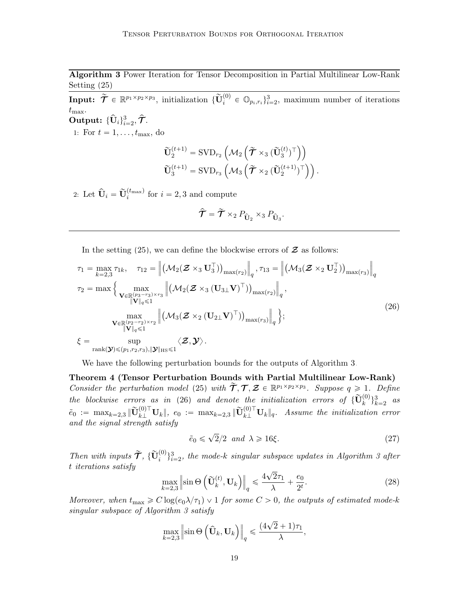Algorithm 3 Power Iteration for Tensor Decomposition in Partial Multilinear Low-Rank Setting [\(25\)](#page-17-1)

<span id="page-18-0"></span>Input:  $\widetilde{\mathcal{T}} \in \mathbb{R}^{p_1 \times p_2 \times p_3}$ , initialization  $\{\widetilde{\mathbf{U}}_i^{(0)} \in \mathbb{O}_{p_i,r_i}\}_{i=2}^3$ , maximum number of iterations  $t_{\text{max}}$ . Output:  $\{\widehat{\mathbf{U}}_i\}_{i=2}^3, \widehat{\boldsymbol{\mathcal{T}}}.$ 

1: For  $t = 1, \ldots, t_{\text{max}}$ , do

$$
\begin{aligned} &\widetilde{\mathbf{U}}_{2}^{(t+1)} = \text{SVD}_{r_{2}}\left(\mathcal{M}_{2}\left(\widetilde{\boldsymbol{\mathcal{T}}}\times_{3}(\widetilde{\mathbf{U}}_{3}^{(t)})^{\top}\right)\right)\\ &\widetilde{\mathbf{U}}_{3}^{(t+1)} = \text{SVD}_{r_{3}}\left(\mathcal{M}_{3}\left(\widetilde{\boldsymbol{\mathcal{T}}}\times_{2}(\widetilde{\mathbf{U}}_{2}^{(t+1)})^{\top}\right)\right).\end{aligned}
$$

2: Let  $\widehat{\mathbf{U}}_i = \widetilde{\mathbf{U}}_i^{(t_{\text{max}})}$  for  $i = 2, 3$  and compute

<span id="page-18-1"></span>
$$
\hat{\mathcal{T}} = \tilde{\mathcal{T}} \times_2 P_{\hat{\mathbf{U}}_2} \times_3 P_{\hat{\mathbf{U}}_3}.
$$

In the setting  $(25)$ , we can define the blockwise errors of  $\mathcal Z$  as follows:

$$
\tau_{1} = \max_{k=2,3} \tau_{1k}, \quad \tau_{12} = \left\| (\mathcal{M}_{2}(\mathcal{Z} \times_{3} \mathbf{U}_{3}^{\top}))_{\max(r_{2})} \right\|_{q}, \tau_{13} = \left\| (\mathcal{M}_{3}(\mathcal{Z} \times_{2} \mathbf{U}_{2}^{\top}))_{\max(r_{3})} \right\|_{q}
$$

$$
\tau_{2} = \max \left\{ \max_{\substack{\mathbf{V} \in \mathbb{R}^{(p_{3}-r_{3}) \times r_{3} \\ \|\mathbf{V}\|_{q} \leq 1}} \left\| (\mathcal{M}_{2}(\mathcal{Z} \times_{3} (\mathbf{U}_{3\perp} \mathbf{V})^{\top}))_{\max(r_{2})} \right\|_{q},
$$

$$
\max_{\substack{\mathbf{V} \in \mathbb{R}^{(p_{2}-r_{2}) \times r_{2} \\ \|\mathbf{V}\|_{q} \leq 1}} \left\| (\mathcal{M}_{3}(\mathcal{Z} \times_{2} (\mathbf{U}_{2\perp} \mathbf{V})^{\top}))_{\max(r_{3})} \right\|_{q};
$$

$$
\xi = \sup_{\text{rank}(\mathbf{Y}) \leq (p_{1}, p_{2}, p_{3}), \|\mathbf{Y}\|_{\text{HS}} \leq 1} \langle \mathbf{Z}, \mathbf{Y} \rangle.
$$

$$
(26)
$$

We have the following perturbation bounds for the outputs of Algorithm [3.](#page-18-0)

Theorem 4 (Tensor Perturbation Bounds with Partial Multilinear Low-Rank) Consider the perturbation model [\(25\)](#page-17-1) with  $\widetilde{\mathcal{T}}, \mathcal{T}, \mathcal{Z} \in \mathbb{R}^{p_1 \times p_2 \times p_3}$ . Suppose  $q \geq 1$ . Define the blockwise errors as in [\(26\)](#page-18-1) and denote the initialization errors of  $\{\widetilde{\mathbf{U}}_{k}^{(0)}\}_{k=2}^{3}$  as  $\tilde{e}_0 := \max_{k=2,3} \|\widetilde{\mathbf{U}}_{k\perp}^{(0)\top} \mathbf{U}_{k}\|, \; e_0 := \max_{k=2,3} \|\widetilde{\mathbf{U}}_{k\perp}^{(0)\top} \mathbf{U}_{k}\|_q.$  Assume the initialization error and the signal strength satisfy

<span id="page-18-2"></span>
$$
\tilde{e}_0 \leqslant \sqrt{2}/2 \ \ and \ \lambda \geqslant 16\xi. \tag{27}
$$

Then with inputs  $\widetilde{\mathcal{T}}$ ,  $\{\widetilde{\mathbf{U}}_i^{(0)}\}_{i=2}^3$ , the mode-k singular subspace updates in Algorithm [3](#page-18-0) after t iterations satisfy  $\overline{\phantom{a}}$ 

$$
\max_{k=2,3} \left\| \sin \Theta \left( \tilde{\mathbf{U}}_k^{(t)}, \mathbf{U}_k \right) \right\|_q \le \frac{4\sqrt{2}\tau_1}{\lambda} + \frac{e_0}{2^t}.\tag{28}
$$

Moreover, when  $t_{\text{max}} \geq C \log(e_0 \lambda/\tau_1) \vee 1$  for some  $C > 0$ , the outputs of estimated mode-k singular subspace of Algorithm [3](#page-18-0) satisfy

$$
\max_{k=2,3} \left\| \sin \Theta\left(\hat{\mathbf{U}}_k, \mathbf{U}_k\right) \right\|_q \leqslant \frac{(4\sqrt{2}+1)\tau_1}{\lambda},
$$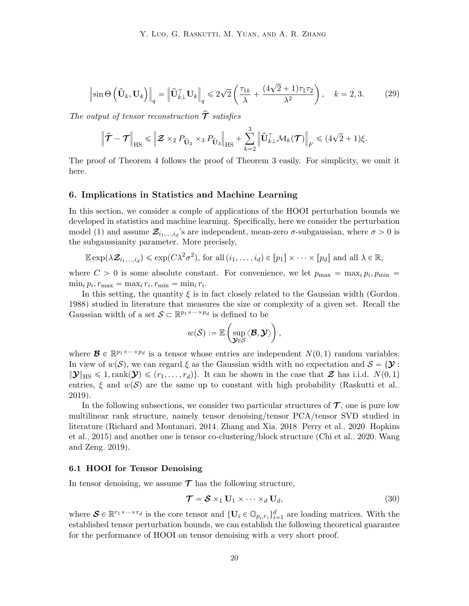$$
\left\|\sin\Theta\left(\hat{\mathbf{U}}_k,\mathbf{U}_k\right)\right\|_q = \left\|\hat{\mathbf{U}}_{k\perp}^\top \mathbf{U}_k\right\|_q \leq 2\sqrt{2}\left(\frac{\tau_{1k}}{\lambda} + \frac{(4\sqrt{2}+1)\tau_1\tau_2}{\lambda^2}\right), \quad k = 2, 3. \tag{29}
$$

The output of tensor reconstruction  $\hat{\mathcal{T}}$  satisfies

$$
\left\| \hat{\mathbf{T}} - \mathbf{T} \right\|_{\mathrm{HS}} \leq \left\| \mathbf{Z} \times_2 P_{\hat{\mathbf{U}}_2} \times_3 P_{\hat{\mathbf{U}}_3} \right\|_{\mathrm{HS}} + \sum_{k=2}^3 \left\| \hat{\mathbf{U}}_{k\perp}^{\top} \mathcal{M}_k(\mathbf{T}) \right\|_F \leq (4\sqrt{2} + 1)\xi.
$$

The proof of Theorem [4](#page-18-2) follows the proof of Theorem [3](#page-14-0) easily. For simplicity, we omit it here.

#### <span id="page-19-0"></span>6. Implications in Statistics and Machine Learning

In this section, we consider a couple of applications of the HOOI perturbation bounds we developed in statistics and machine learning. Specifically, here we consider the perturbation model [\(1\)](#page-2-0) and assume  $\mathcal{Z}_{i_1,\dots,i_d}$ 's are independent, mean-zero  $\sigma$ -subgaussian, where  $\sigma > 0$  is the subgaussianity parameter. More precisely,

$$
\mathbb{E} \exp(\lambda \mathcal{Z}_{i_1,\dots,i_d}) \leq \exp(C\lambda^2 \sigma^2), \text{ for all } (i_1,\dots,i_d) \in [p_1] \times \cdots \times [p_d] \text{ and all } \lambda \in \mathbb{R},
$$

where  $C > 0$  is some absolute constant. For convenience, we let  $p_{\text{max}} = \max_i p_i, p_{\text{min}} =$  $\min_i p_i, r_{\max} = \max_i r_i, r_{\min} = \min_i r_i.$ 

In this setting, the quantity  $\xi$  is in fact closely related to the Gaussian width [\(Gordon,](#page-41-5) [1988\)](#page-41-5) studied in literature that measures the size or complexity of a given set. Recall the Gaussian width of a set  $S \subset \mathbb{R}^{p_1 \times \cdots \times p_d}$  is defined to be

$$
w(\mathcal{S}) := \mathbb{E} \left( \sup_{\mathcal{Y} \in \mathcal{S}} \langle \mathcal{B}, \mathcal{Y} \rangle \right),
$$

where  $\mathcal{B} \in \mathbb{R}^{p_1 \times \cdots \times p_d}$  is a tensor whose entries are independent  $N(0, 1)$  random variables. In view of  $w(S)$ , we can regard  $\xi$  as the Gaussian width with no expectation and  $S = \{Y :$  $\|\mathbf{\mathcal{Y}}\|_{\text{HS}} \leq 1, \text{rank}(\mathbf{\mathcal{Y}}) \leq (r_1, \ldots, r_d)$ . It can be shown in the case that  $\mathbf{\mathcal{Z}}$  has i.i.d.  $N(0, 1)$ entries,  $\xi$  and  $w(S)$  are the same up to constant with high probability [\(Raskutti et al.,](#page-44-0) [2019\)](#page-44-0).

In the following subsections, we consider two particular structures of  $\mathcal T$ , one is pure low multilinear rank structure, namely tensor denoising/tensor PCA/tensor SVD studied in literature [\(Richard and Montanari, 2014;](#page-44-1) [Zhang and Xia, 2018;](#page-47-6) [Perry et al., 2020;](#page-44-11) [Hopkins](#page-42-9) [et al., 2015\)](#page-42-9) and another one is tensor co-clustering/block structure [\(Chi et al., 2020;](#page-40-11) [Wang](#page-46-8) [and Zeng, 2019\)](#page-46-8).

#### <span id="page-19-1"></span>6.1 HOOI for Tensor Denoising

In tensor denoising, we assume  $\mathcal T$  has the following structure,

<span id="page-19-3"></span><span id="page-19-2"></span>
$$
\mathcal{T} = \mathcal{S} \times_1 \mathbf{U}_1 \times \cdots \times_d \mathbf{U}_d, \tag{30}
$$

where  $\mathbf{S} \in \mathbb{R}^{r_1 \times \cdots \times r_d}$  is the core tensor and  $\{\mathbf{U}_i \in \mathbb{O}_{p_i,r_i}\}_{i=1}^d$  are loading matrices. With the established tensor perturbation bounds, we can establish the following theoretical guarantee for the performance of HOOI on tensor denoising with a very short proof.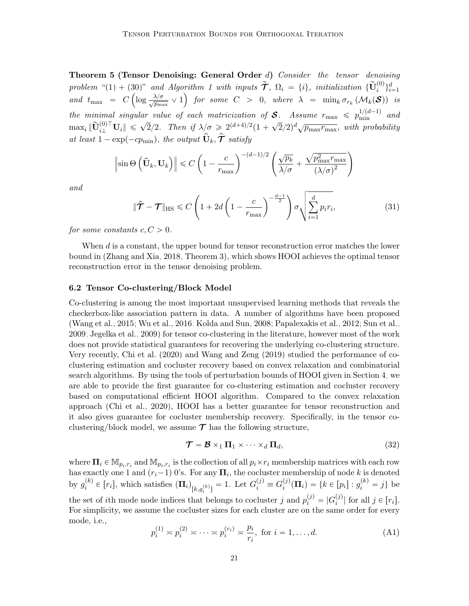**Theorem 5 (Tensor Denoising: General Order d)** Consider the tensor denoising problem "[\(1\)](#page-2-0) + [\(30\)](#page-19-2)" and Algorithm [1](#page-3-0) with inputs  $\widetilde{\mathcal{T}}$ ,  $\Omega_i = \{i\}$ , initialization  $\{\widetilde{\mathbf{U}}_i^{(0)}\}_{i=1}^d$ and  $t_{\max}$  =  $C\left(\log \frac{\lambda/\sigma}{\sqrt{p_{\max}}}\vee 1\right)$  for some  $C > 0$ , where  $\lambda$  =  $\min_k \sigma_{r_k}(\mathcal{M}_k(\mathcal{S}))$  is the minimal singular value of each matricization of S. Assume  $r_{\text{max}} \leqslant p_{\text{min}}^{1/(d-1)}$  and  $\max_i \|\widetilde{\mathbf{U}}_{i\perp}^{(0)\top} \mathbf{U}_i\| \leqslant \sqrt{2}/2.$  Then if  $\lambda/\sigma \geqslant 2^{(d+4)/2}(1+\sigma)$ ?  $\sqrt{2}/2$ <sup>d</sup> $\sqrt{p_{\max}r_{\max}}$ , with probability at least  $1 - \exp(-c p_{\min})$ , the output  $\hat{\mathbf{U}}_k, \hat{\boldsymbol{\tau}}$  satisfy

$$
\left\|\sin\Theta\left(\hat{\mathbf{U}}_k,\mathbf{U}_k\right)\right\| \leq C\left(1 - \frac{c}{r_{\text{max}}}\right)^{-(d-1)/2} \left(\frac{\sqrt{p_k}}{\lambda/\sigma} + \frac{\sqrt{p_{\text{max}}^2 r_{\text{max}}}}{(\lambda/\sigma)^2}\right)
$$

and

$$
\|\hat{\mathcal{T}} - \mathcal{T}\|_{\text{HS}} \leq C \left(1 + 2d\left(1 - \frac{c}{r_{\text{max}}}\right)^{-\frac{d-1}{2}}\right) \sigma \sqrt{\sum_{i=1}^{d} p_i r_i},\tag{31}
$$

for some constants  $c, C > 0$ .

When d is a constant, the upper bound for tensor reconstruction error matches the lower bound in [\(Zhang and Xia, 2018,](#page-47-6) Theorem 3), which shows HOOI achieves the optimal tensor reconstruction error in the tensor denoising problem.

#### 6.2 Tensor Co-clustering/Block Model

Co-clustering is among the most important unsupervised learning methods that reveals the checkerbox-like association pattern in data. A number of algorithms have been proposed [\(Wang et al., 2015;](#page-46-9) [Wu et al., 2016;](#page-46-10) [Kolda and Sun, 2008;](#page-43-7) [Papalexakis et al., 2012;](#page-44-12) [Sun et al.,](#page-45-14) [2009;](#page-45-14) [Jegelka et al., 2009\)](#page-42-12) for tensor co-clustering in the literature, however most of the work does not provide statistical guarantees for recovering the underlying co-clustering structure. Very recently, [Chi et al.](#page-40-11) [\(2020\)](#page-40-11) and [Wang and Zeng](#page-46-8) [\(2019\)](#page-46-8) studied the performance of coclustering estimation and cocluster recovery based on convex relaxation and combinatorial search algorithms. By using the tools of perturbation bounds of HOOI given in Section [4,](#page-14-2) we are able to provide the first guarantee for co-clustering estimation and cocluster recovery based on computational efficient HOOI algorithm. Compared to the convex relaxation approach [\(Chi et al., 2020\)](#page-40-11), HOOI has a better guarantee for tensor reconstruction and it also gives guarantee for cocluster membership recovery. Specifically, in the tensor coclustering/block model, we assume  $\mathcal T$  has the following structure,

<span id="page-20-0"></span>
$$
\mathcal{T} = \mathcal{B} \times_1 \mathbf{\Pi}_1 \times \cdots \times_d \mathbf{\Pi}_d, \tag{32}
$$

where  $\Pi_i \in \mathbb{M}_{p_i,r_i}$  and  $\mathbb{M}_{p_i,r_i}$  is the collection of all  $p_i \times r_i$  membership matrices with each row has exactly one 1 and  $(r_i-1)$  0's. For any  $\mathbf{\Pi}_i$ , the cocluster membership of node k is denoted by  $g_i^{(k)}$  $i^{(k)} \in [r_i]$ , which satisfies  $(\mathbf{\Pi}_i)_{[k,g_i^{(k)}]} = 1$ . Let  $G_i^{(j)} \equiv G_i^{(j)}$ i  $i_j^{(j)}(\mathbf{\Pi}_i) = \{k \in [p_i] : g_i^{(k)} = j\}$  be the set of *i*th mode node indices that belongs to cocluster *j* and  $p_i^{(j)} = |G_i^{(j)}|$  $\binom{[J]}{i}$  for all  $j \in [r_i]$ . For simplicity, we assume the cocluster sizes for each cluster are on the same order for every mode, i.e.,

<span id="page-20-1"></span>
$$
p_i^{(1)} \approx p_i^{(2)} \approx \dots \approx p_i^{(r_i)} \approx \frac{p_i}{r_i}, \text{ for } i = 1, \dots, d.
$$
 (A1)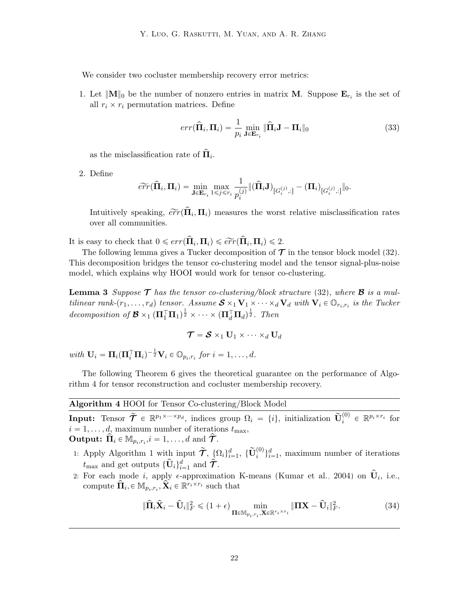We consider two cocluster membership recovery error metrics:

1. Let  $||\mathbf{M}||_0$  be the number of nonzero entries in matrix **M**. Suppose  $\mathbf{E}_{r_i}$  is the set of all  $r_i \times r_i$  permutation matrices. Define

$$
err(\hat{\mathbf{\Pi}}_i, \mathbf{\Pi}_i) = \frac{1}{p_i} \min_{\mathbf{J} \in \mathbf{E}_{r_i}} \|\hat{\mathbf{\Pi}}_i \mathbf{J} - \mathbf{\Pi}_i\|_0
$$
\n(33)

as the misclassification rate of  $\widehat{\mathbf{\Pi}}_i$ .

2. Define

$$
\widetilde{err}(\widehat{\boldsymbol{\Pi}}_i, \boldsymbol{\Pi}_i) = \min_{\boldsymbol{\mathsf{J}} \in \mathbf{E}_{r_i}} \max_{1 \leq j \leq r_i} \frac{1}{p_i^{(j)}} \|(\widehat{\boldsymbol{\Pi}}_i \boldsymbol{\mathsf{J}})_{[G_i^{(j)},:]} - (\boldsymbol{\Pi}_i)_{[G_i^{(j)},:]} \|_0.
$$

Intuitively speaking,  $\widetilde{err}(\hat{\mathbf{\Pi}}_i, \mathbf{\Pi}_i)$  measures the worst relative misclassification rates over all communities.

It is easy to check that  $0 \leqslant err(\hat{\mathbf{\Pi}}_i, \mathbf{\Pi}_i) \leqslant \widetilde{err}(\hat{\mathbf{\Pi}}_i, \mathbf{\Pi}_i) \leqslant 2$ .

The following lemma gives a Tucker decomposition of  $\mathcal T$  in the tensor block model [\(32\)](#page-20-0). This decomposition bridges the tensor co-clustering model and the tensor signal-plus-noise model, which explains why HOOI would work for tensor co-clustering.

**Lemma 3** Suppose  $\mathcal{T}$  has the tensor co-clustering/block structure [\(32\)](#page-20-0), where  $\mathcal{B}$  is a multilinear rank- $(r_1, \ldots, r_d)$  tensor. Assume  $S \times_1 V_1 \times \cdots \times_d V_d$  with  $V_i \in \mathbb{O}_{r_i, r_i}$  is the Tucker decomposition of  $\mathcal{B} \times_1 (\Pi_1^{\top} \Pi_1)^{\frac{1}{2}} \times \cdots \times (\Pi_d^{\top} \Pi_d)^{\frac{1}{2}}$ . Then

<span id="page-21-2"></span>
$$
\boldsymbol{\mathcal{T}} = \boldsymbol{\mathcal{S}} \times_1 \mathbf{U}_1 \times \cdots \times_d \mathbf{U}_d
$$

with  $\mathbf{U}_i = \mathbf{\Pi}_i (\mathbf{\Pi}_i^\top \mathbf{\Pi}_i)^{-\frac{1}{2}} \mathbf{V}_i \in \mathbb{O}_{p_i, r_i}$  for  $i = 1, \ldots, d$ .

The following Theorem [6](#page-21-0) gives the theoretical guarantee on the performance of Algorithm [4](#page-21-1) for tensor reconstruction and cocluster membership recovery.

Algorithm 4 HOOI for Tensor Co-clustering/Block Model

<span id="page-21-1"></span>**Input:** Tensor  $\widetilde{\mathcal{T}} \in \mathbb{R}^{p_1 \times \cdots \times p_d}$ , indices group  $\Omega_i = \{i\}$ , initialization  $\widetilde{\mathbf{U}}_i^{(0)} \in \mathbb{R}^{p_i \times r_i}$  for  $i = 1, \ldots, d$ , maximum number of iterations  $t_{\text{max}}$ , **Output:**  $\hat{\Pi}_i \in M_{p_i, r_i}, i = 1, ..., d$  and  $\hat{\mathcal{T}}$ .

- 1: Apply Algorithm [1](#page-3-0) with input  $\widetilde{\mathcal{T}}$ ,  $\{\Omega_i\}_{i=1}^d$ ,  $\{\widetilde{\mathbf{U}}_i^{(0)}\}_{i=1}^d$ , maximum number of iterations  $t_{\text{max}}$  and get outputs  $\{\widehat{\mathbf{U}}_i\}_{i=1}^d$  and  $\widehat{\widehat{\mathcal{T}}}$ .
- <span id="page-21-0"></span>2: For each mode i, apply  $\epsilon$ -approximation K-means [\(Kumar et al., 2004\)](#page-43-11) on  $\hat{\mathbf{U}}_i$ , i.e., compute  $\hat{\Pi}_i \in M_{p_i,r_i}, \hat{\mathbf{X}}_i \in \mathbb{R}^{r_i \times r_i}$  such that

$$
\|\widehat{\mathbf{H}}_i\widehat{\mathbf{X}}_i - \widehat{\mathbf{U}}_i\|_F^2 \leq (1+\epsilon) \min_{\mathbf{\Pi} \in \mathbb{M}_{p_i, r_i}, \mathbf{X} \in \mathbb{R}^{r_i \times r_i}} \|\mathbf{\Pi}\mathbf{X} - \widehat{\mathbf{U}}_i\|_F^2.
$$
 (34)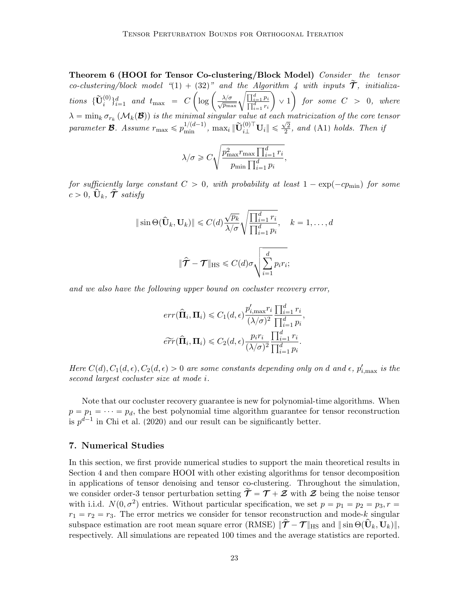Theorem 6 (HOOI for Tensor Co-clustering/Block Model) Consider the tensor co-clustering/block model " $(1) + (32)$  $(1) + (32)$  $(1) + (32)$ " and the Algorithm [4](#page-21-1) with inputs  $\widetilde{\mathcal{T}}$ , initializa- $\begin{array}{lllll} co-clustering/block\ model\end{array} \begin{array}{lll} \text{\small\it (1)} + (32)^\circ\ \text{\small\it and}\ \text{\small\it the\ Algorithm\ }\text{\small\it 4}\ \text{\small\it with\ inputs\ }\boldsymbol{\mathcal{T}},\ \text{\small\it initializa-} \ \text{\small\it 1} & \text{\small\it 1} & \text{\small\it 1} & \text{\small\it 2} & \text{\small\it 3} \end{array} \begin{array}{lll} \text{\small\it (1)} + (32)^\circ\ \text{\small\it and\ the\ Algorithm\ }\text{\small\it 4}\ \text{\small\it with\ inputs\ }\boldsymbol{\mathcal$  $\lambda = \min_k \sigma_{r_k}\left(\mathcal{M}_k(\mathcal{B})\right)$  is the minimal singular value at each matricization of the core tensor  $parameter \mathbf{\mathcal{B}}.$  Assume  $r_{\text{max}} \leqslant p_{\text{min}}^{1/(d-1)}$ ,  $\max_i \|\widetilde{\mathbf{U}}_{i\perp}^{(0)\top} \mathbf{U}_i\| \leqslant$  $\sqrt{2}$  $\frac{\sqrt{2}}{2}$ , and [\(A1\)](#page-20-1) holds. Then if

$$
\lambda/\sigma \geqslant C \sqrt{\frac{p_{\max}^2 r_{\max} \prod_{i=1}^d r_i}{p_{\min} \prod_{i=1}^d p_i}},
$$

for sufficiently large constant  $C > 0$ , with probability at least  $1 - \exp(-cp_{\text{min}})$  for some  $c > 0, \, \mathbf{\hat{U}}_k, \, \mathbf{\hat{\mathcal{T}}}$  satisfy

$$
\|\sin\Theta(\hat{\mathbf{U}}_k, \mathbf{U}_k)\| \le C(d) \frac{\sqrt{p_k}}{\lambda/\sigma} \sqrt{\frac{\prod_{i=1}^d r_i}{\prod_{i=1}^d p_i}}, \quad k = 1, ..., d
$$

$$
\|\hat{\mathbf{T}} - \mathbf{T}\|_{\text{HS}} \le C(d)\sigma \sqrt{\sum_{i=1}^d p_i r_i};
$$

and we also have the following upper bound on cocluster recovery error,

$$
err(\widehat{\Pi}_i, \Pi_i) \le C_1(d, \epsilon) \frac{p'_{i, \max} r_i}{(\lambda/\sigma)^2} \frac{\prod_{i=1}^d r_i}{\prod_{i=1}^d p_i},
$$
  

$$
\widetilde{err}(\widehat{\Pi}_i, \Pi_i) \le C_2(d, \epsilon) \frac{p_i r_i}{(\lambda/\sigma)^2} \frac{\prod_{i=1}^d r_i}{\prod_{i=1}^d p_i}.
$$

Here  $C(d)$ ,  $C_1(d, \epsilon)$ ,  $C_2(d, \epsilon) > 0$  are some constants depending only on d and  $\epsilon$ ,  $p'_{i, \text{max}}$  is the second largest cocluster size at mode i.

Note that our cocluster recovery guarantee is new for polynomial-time algorithms. When  $p = p_1 = \cdots = p_d$ , the best polynomial time algorithm guarantee for tensor reconstruction is  $p^{d-1}$  in [Chi et al.](#page-40-11) [\(2020\)](#page-40-11) and our result can be significantly better.

### <span id="page-22-0"></span>7. Numerical Studies

In this section, we first provide numerical studies to support the main theoretical results in Section [4](#page-14-2) and then compare HOOI with other existing algorithms for tensor decomposition in applications of tensor denoising and tensor co-clustering. Throughout the simulation, we consider order-3 tensor perturbation setting  $\tilde{\mathcal{T}} = \mathcal{T} + \mathcal{Z}$  with  $\mathcal{Z}$  being the noise tensor with i.i.d.  $N(0, \sigma^2)$  entries. Without particular specification, we set  $p = p_1 = p_2 = p_3, r =$  $r_1 = r_2 = r_3$ . The error metrics we consider for tensor reconstruction and mode-k singular subspace estimation are root mean square error  $(RMSE)$   $\Vert \hat{\mathcal{T}} - \mathcal{T} \Vert_{HS}$  and  $\Vert \sin \Theta(\hat{\mathbf{U}}_k, \mathbf{U}_k) \Vert$ , respectively. All simulations are repeated 100 times and the average statistics are reported.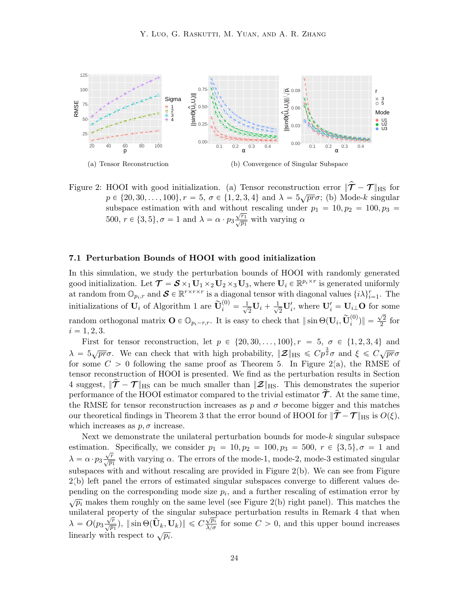

<span id="page-23-1"></span>Figure 2: HOOI with good initialization. (a) Tensor reconstruction error  $\|\hat{\mathcal{T}} - \mathcal{T}\|_{\text{HS}}$  for  $p \in \{20, 30, \ldots, 100\}, r = 5, \sigma \in \{1, 2, 3, 4\}$  and  $\lambda = 5\sqrt{pr}\sigma$ ; (b) Mode-k singular subspace estimation with and without rescaling under  $p_1 = 10, p_2 = 100, p_3 =$ 500,  $r \in \{3, 5\}, \sigma = 1$  and  $\lambda = \alpha \cdot p_3 \frac{\sqrt{r_1}}{\sqrt{p_1}}$  $\frac{r_1}{p_1}$  with varying  $\alpha$ 

#### <span id="page-23-0"></span>7.1 Perturbation Bounds of HOOI with good initialization

In this simulation, we study the perturbation bounds of HOOI with randomly generated good initialization. Let  $\mathcal{T} = \mathcal{S} \times_1 \mathbf{U}_1 \times_2 \mathbf{U}_2 \times_3 \mathbf{U}_3$ , where  $\mathbf{U}_i \in \mathbb{R}^{p_i \times r}$  is generated uniformly at random from  $\mathbb{O}_{p_i,r}$  and  $\mathcal{S} \in \mathbb{R}^{r \times r \times r}$  is a diagonal tensor with diagonal values  $\{i\lambda\}_{i=1}^r$ . The initializations of  $\mathbf{U}_i$  of Algorithm [1](#page-3-0) are  $\widetilde{\mathbf{U}}_i^{(0)} = \frac{1}{\sqrt{n}}$  $\frac{1}{2}\mathbf{U}_i+\frac{1}{\sqrt{2}}$  $\frac{1}{2}$ **U**<sup> $'$ </sup><sub>i</sub>, where **U**<sup> $'$ </sup><sub>i</sub> = **U**<sub>i</sub><sub>1</sub>**O** for some random orthogonal matrix  $\mathbf{O} \in \mathbb{O}_{p_i-r,r}$ . It is easy to check that  $\|\sin \Theta(\mathbf{U}_i, \widetilde{\mathbf{U}}_i^{(0)})\| =$  $\sqrt{2}$  $\frac{2}{2}$  for  $i = 1, 2, 3.$ 

First for tensor reconstruction, let  $p \in \{20, 30, \ldots, 100\}, r = 5, \sigma \in \{1, 2, 3, 4\}$  and  $\lambda = 5\sqrt{pr}\sigma$ . We can check that with high probability,  $\|\mathcal{Z}\|_{\text{HS}} \leqslant Cp^{\frac{3}{2}}\sigma$  and  $\xi \leqslant C\sqrt{pr}\sigma$ for some  $C > 0$  following the same proof as Theorem [5.](#page-19-3) In Figure [2\(](#page-23-1)a), the RMSE of tensor reconstruction of HOOI is presented. We find as the perturbation results in Section [4](#page-14-2) suggest,  $\|\hat{\mathcal{T}} - \mathcal{T}\|_{\text{HS}}$  can be much smaller than  $\|\mathcal{Z}\|_{\text{HS}}$ . This demonstrates the superior performance of the HOOI estimator compared to the trivial estimator  $\mathcal{T}$ . At the same time, the RMSE for tensor reconstruction increases as p and  $\sigma$  become bigger and this matches our theoretical findings in Theorem [3](#page-14-0) that the error bound of HOOI for  $\|\mathcal{T}-\mathcal{T}\|_{\text{HS}}$  is  $O(\xi)$ , which increases as  $p, \sigma$  increase.

Next we demonstrate the unilateral perturbation bounds for mode- $k$  singular subspace estimation. Specifically, we consider  $p_1 = 10, p_2 = 100, p_3 = 500, r \in \{3, 5\}, \sigma = 1$  and  $\lambda = \alpha \cdot p_3 \frac{\sqrt{r}}{\sqrt{p_1}}$  with varying  $\alpha$ . The errors of the mode-1, mode-2, mode-3 estimated singular subspaces with and without rescaling are provided in Figure [2\(](#page-23-1)b). We can see from Figure [2\(](#page-23-1)b) left panel the errors of estimated singular subspaces converge to different values depending on the corresponding mode size  $p_i$ , and a further rescaling of estimation error by  $\sqrt{p_i}$  makes them roughly on the same level (see Figure [2\(](#page-23-1)b) right panel). This matches the unilateral property of the singular subspace perturbation results in Remark [4](#page-12-0) that when  $\lambda = O(p_3 \frac{\sqrt{r}}{\sqrt{p_1}}), \|\sin \Theta(\hat{\mathbf{U}}_k, \mathbf{U}_k)\| \leq C \frac{\sqrt{p_i}}{\lambda/\sigma}$  $\frac{\sqrt{p_i}}{\lambda/\sigma}$  for some  $C > 0$ , and this upper bound increases linearly with respect to  $\sqrt{p_i}$ .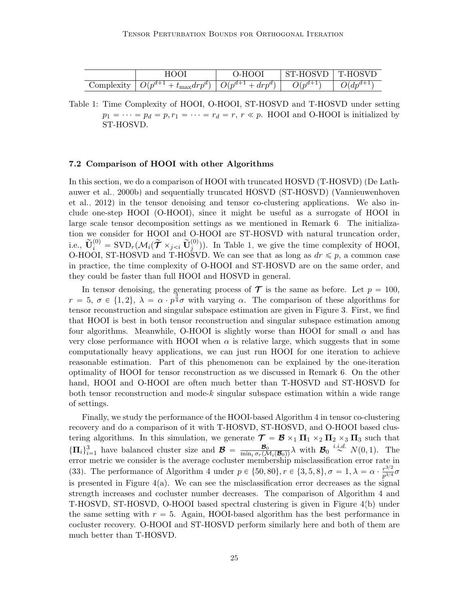<span id="page-24-1"></span>

|                               |                                                                                           | $\mathcal{L}$<br>. ) . H (                                | . H (  | <b>T-HOSVE</b> |
|-------------------------------|-------------------------------------------------------------------------------------------|-----------------------------------------------------------|--------|----------------|
| $\cup$ omplexity<br>$\bullet$ | $d_{\mathbf{r}\mathbf{n}}d^{\dagger}$<br>$U(n^{d+1})$<br>$v_{\text{max}}$ $u_{\ell}$<br>v | $d_{max}u$<br><b>.</b><br>$\boldsymbol{\omega}$<br>◡<br>v | $\sim$ | $\mu$          |

Table 1: Time Complexity of HOOI, O-HOOI, ST-HOSVD and T-HOSVD under setting  $p_1 = \cdots = p_d = p, r_1 = \cdots = r_d = r, r \ll p$ . HOOI and O-HOOI is initialized by ST-HOSVD.

# <span id="page-24-0"></span>7.2 Comparison of HOOI with other Algorithms

In this section, we do a comparison of HOOI with truncated HOSVD (T-HOSVD) [\(De Lath](#page-41-4)[auwer et al., 2000b\)](#page-41-4) and sequentially truncated HOSVD (ST-HOSVD) [\(Vannieuwenhoven](#page-45-1) [et al., 2012\)](#page-45-1) in the tensor denoising and tensor co-clustering applications. We also include one-step HOOI (O-HOOI), since it might be useful as a surrogate of HOOI in large scale tensor decomposition settings as we mentioned in Remark [6.](#page-14-1) The initialization we consider for HOOI and O-HOOI are ST-HOSVD with natural truncation order, i.e.,  $\widetilde{\mathbf{U}}_i^{(0)} = \text{SVD}_r(\mathcal{M}_i(\widetilde{\boldsymbol{\mathcal{T}}} \times_{j In Table [1,](#page-24-1) we give the time complexity of HOOI,$ O-HOOI, ST-HOSVD and T-HOSVD. We can see that as long as  $dr \leq p$ , a common case in practice, the time complexity of O-HOOI and ST-HOSVD are on the same order, and they could be faster than full HOOI and HOSVD in general.

In tensor denoising, the generating process of  $\tau$  is the same as before. Let  $p = 100$ ,  $r = 5$ ,  $\sigma \in \{1, 2\}$ ,  $\lambda = \alpha \cdot p^{\frac{3}{4}}\sigma$  with varying  $\alpha$ . The comparison of these algorithms for tensor reconstruction and singular subspace estimation are given in Figure [3.](#page-25-0) First, we find that HOOI is best in both tensor reconstruction and singular subspace estimation among four algorithms. Meanwhile, O-HOOI is slightly worse than HOOI for small  $\alpha$  and has very close performance with HOOI when  $\alpha$  is relative large, which suggests that in some computationally heavy applications, we can just run HOOI for one iteration to achieve reasonable estimation. Part of this phenomenon can be explained by the one-iteration optimality of HOOI for tensor reconstruction as we discussed in Remark [6.](#page-14-1) On the other hand, HOOI and O-HOOI are often much better than T-HOSVD and ST-HOSVD for both tensor reconstruction and mode-k singular subspace estimation within a wide range of settings.

Finally, we study the performance of the HOOI-based Algorithm [4](#page-21-1) in tensor co-clustering recovery and do a comparison of it with T-HOSVD, ST-HOSVD, and O-HOOI based clustering algorithms. In this simulation, we generate  $\mathcal{T} = \mathcal{B} \times_1 \Pi_1 \times_2 \Pi_2 \times_3 \Pi_3$  such that  ${\{\Pi_i\}}_{i=1}^3$  have balanced cluster size and  ${\mathcal{B}} = \frac{{\mathcal{B}}_0}{\min_i \sigma_r(\mathcal{M}_i({\mathcal{B}}_0))} \lambda$  with  ${\mathcal{B}}_0 \stackrel{i.i.d.}{\sim} N(0, 1)$ . The error metric we consider is the average cocluster membership misclassification error rate in [\(33\)](#page-20-1). The performance of Algorithm [4](#page-21-1) under  $p \in \{50, 80\}, r \in \{3, 5, 8\}, \sigma = 1, \lambda = \alpha \cdot \frac{r^{3/2}}{r^{3/4}}$  $\frac{r^{3/2}}{p^{3/4}}\sigma$ is presented in Figure  $4(a)$ . We can see the misclassification error decreases as the signal strength increases and cocluster number decreases. The comparison of Algorithm [4](#page-21-1) and T-HOSVD, ST-HOSVD, O-HOOI based spectral clustering is given in Figure [4\(](#page-25-1)b) under the same setting with  $r = 5$ . Again, HOOI-based algorithm has the best performance in cocluster recovery. O-HOOI and ST-HOSVD perform similarly here and both of them are much better than T-HOSVD.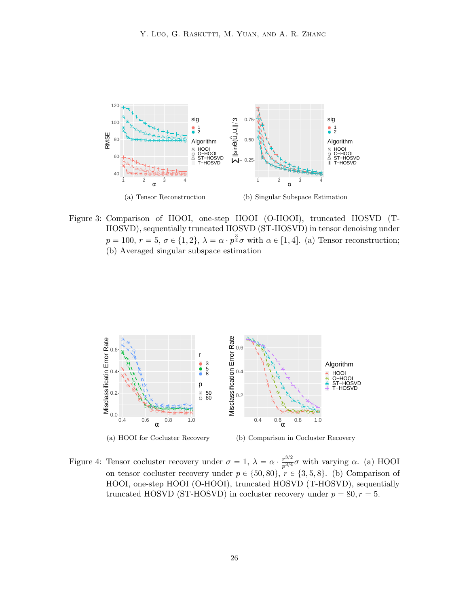<span id="page-25-0"></span>

Figure 3: Comparison of HOOI, one-step HOOI (O-HOOI), truncated HOSVD (T-HOSVD), sequentially truncated HOSVD (ST-HOSVD) in tensor denoising under  $p = 100, r = 5, \sigma \in \{1, 2\}, \lambda = \alpha \cdot p^{\frac{3}{4}}\sigma \text{ with } \alpha \in [1, 4].$  (a) Tensor reconstruction; (b) Averaged singular subspace estimation



<span id="page-25-1"></span>(b) Comparison in Cocluster Recovery

Figure 4: Tensor cocluster recovery under  $\sigma = 1, \ \lambda = \alpha \cdot \frac{r^{3/2}}{r^{3/4}}$  $\frac{r^{3/2}}{p^{3/4}}\sigma$  with varying  $\alpha$ . (a) HOOI on tensor cocluster recovery under  $p \in \{50, 80\}$ ,  $r \in \{3, 5, 8\}$ . (b) Comparison of HOOI, one-step HOOI (O-HOOI), truncated HOSVD (T-HOSVD), sequentially truncated HOSVD (ST-HOSVD) in cocluster recovery under  $p = 80, r = 5$ .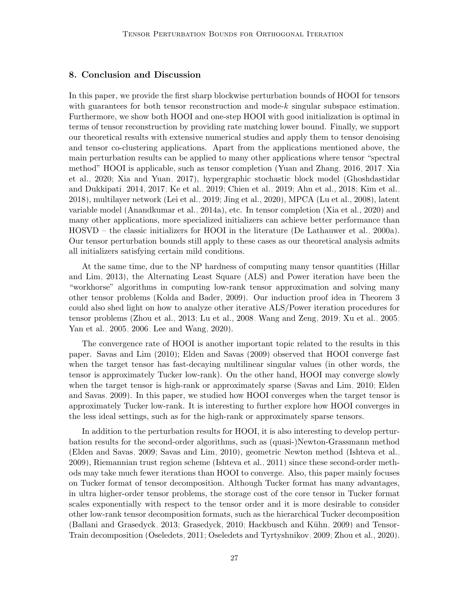# <span id="page-26-0"></span>8. Conclusion and Discussion

In this paper, we provide the first sharp blockwise perturbation bounds of HOOI for tensors with guarantees for both tensor reconstruction and mode-k singular subspace estimation. Furthermore, we show both HOOI and one-step HOOI with good initialization is optimal in terms of tensor reconstruction by providing rate matching lower bound. Finally, we support our theoretical results with extensive numerical studies and apply them to tensor denoising and tensor co-clustering applications. Apart from the applications mentioned above, the main perturbation results can be applied to many other applications where tensor "spectral method" HOOI is applicable, such as tensor completion [\(Yuan and Zhang, 2016,](#page-47-2) [2017;](#page-47-3) [Xia](#page-46-0) [et al., 2020;](#page-46-0) [Xia and Yuan, 2017\)](#page-46-11), hypergraphic stochastic block model [\(Ghoshdastidar](#page-41-11) [and Dukkipati, 2014,](#page-41-11) [2017;](#page-41-12) [Ke et al., 2019;](#page-42-7) [Chien et al., 2019;](#page-40-12) [Ahn et al., 2018;](#page-39-11) [Kim et al.,](#page-42-13) [2018\)](#page-42-13), multilayer network [\(Lei et al., 2019;](#page-43-10) [Jing et al., 2020\)](#page-42-8), MPCA [\(Lu et al., 2008\)](#page-43-12), latent variable model [\(Anandkumar et al., 2014a\)](#page-39-1), etc. In tensor completion [\(Xia et al., 2020\)](#page-46-0) and many other applications, more specialized initializers can achieve better performance than HOSVD – the classic initializers for HOOI in the literature [\(De Lathauwer et al., 2000a\)](#page-41-0). Our tensor perturbation bounds still apply to these cases as our theoretical analysis admits all initializers satisfying certain mild conditions.

At the same time, due to the NP hardness of computing many tensor quantities [\(Hillar](#page-42-3) [and Lim, 2013\)](#page-42-3), the Alternating Least Square (ALS) and Power iteration have been the "workhorse" algorithms in computing low-rank tensor approximation and solving many other tensor problems [\(Kolda and Bader, 2009\)](#page-42-0). Our induction proof idea in Theorem [3](#page-14-0) could also shed light on how to analyze other iterative ALS/Power iteration procedures for tensor problems [\(Zhou et al., 2013;](#page-47-1) [Lu et al., 2008;](#page-43-12) [Wang and Zeng, 2019;](#page-46-8) [Xu et al., 2005;](#page-46-12) [Yan et al., 2005,](#page-46-13) [2006;](#page-47-11) [Lee and Wang, 2020\)](#page-43-13).

The convergence rate of HOOI is another important topic related to the results in this paper. [Savas and Lim](#page-44-3) [\(2010\)](#page-44-3); [Elden and Savas](#page-41-3) [\(2009\)](#page-41-3) observed that HOOI converge fast when the target tensor has fast-decaying multilinear singular values (in other words, the tensor is approximately Tucker low-rank). On the other hand, HOOI may converge slowly when the target tensor is high-rank or approximately sparse [\(Savas and Lim, 2010;](#page-44-3) [Elden](#page-41-3) [and Savas, 2009\)](#page-41-3). In this paper, we studied how HOOI converges when the target tensor is approximately Tucker low-rank. It is interesting to further explore how HOOI converges in the less ideal settings, such as for the high-rank or approximately sparse tensors.

In addition to the perturbation results for HOOI, it is also interesting to develop perturbation results for the second-order algorithms, such as (quasi-)Newton-Grassmann method [\(Elden and Savas, 2009;](#page-41-3) [Savas and Lim, 2010\)](#page-44-3), geometric Newton method [\(Ishteva et al.,](#page-42-5) [2009\)](#page-42-5), Riemannian trust region scheme [\(Ishteva et al., 2011\)](#page-42-4) since these second-order methods may take much fewer iterations than HOOI to converge. Also, this paper mainly focuses on Tucker format of tensor decomposition. Although Tucker format has many advantages, in ultra higher-order tensor problems, the storage cost of the core tensor in Tucker format scales exponentially with respect to the tensor order and it is more desirable to consider other low-rank tensor decomposition formats, such as the hierarchical Tucker decomposition [\(Ballani and Grasedyck, 2013;](#page-39-12) [Grasedyck, 2010;](#page-41-13) Hackbusch and Kühn, 2009) and Tensor-Train decomposition [\(Oseledets, 2011;](#page-44-13) [Oseledets and Tyrtyshnikov, 2009;](#page-44-14) [Zhou et al., 2020\)](#page-47-12).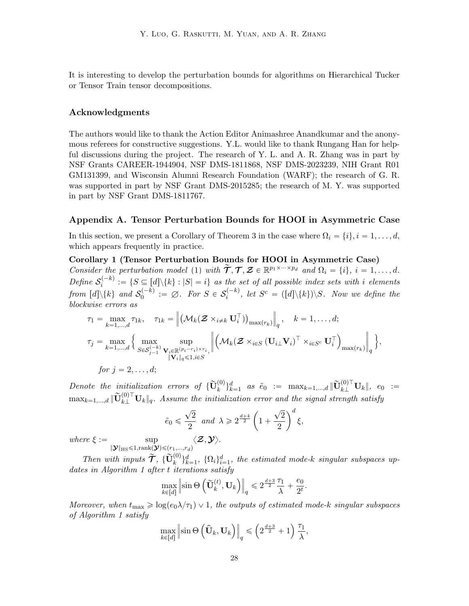It is interesting to develop the perturbation bounds for algorithms on Hierarchical Tucker or Tensor Train tensor decompositions.

# Acknowledgments

The authors would like to thank the Action Editor Animashree Anandkumar and the anonymous referees for constructive suggestions. Y.L. would like to thank Rungang Han for helpful discussions during the project. The research of Y. L. and A. R. Zhang was in part by NSF Grants CAREER-1944904, NSF DMS-1811868, NSF DMS-2023239, NIH Grant R01 GM131399, and Wisconsin Alumni Research Foundation (WARF); the research of G. R. was supported in part by NSF Grant DMS-2015285; the research of M. Y. was supported in part by NSF Grant DMS-1811767.

#### Appendix A. Tensor Perturbation Bounds for HOOI in Asymmetric Case

<span id="page-27-0"></span>In this section, we present a Corollary of Theorem [3](#page-14-0) in the case where  $\Omega_i = \{i\}, i = 1, \ldots, d$ , which appears frequently in practice.

Corollary 1 (Tensor Perturbation Bounds for HOOI in Asymmetric Case) Consider the perturbation model [\(1\)](#page-2-0) with  $\tilde{\mathcal{T}}, \mathcal{T}, \mathcal{Z} \in \mathbb{R}^{p_1 \times \cdots \times p_d}$  and  $\Omega_i = \{i\}, i = 1, \ldots, d$ . Define  $S_i^{(-k)}$  $\mathcal{E}_i^{(-\kappa)} := \{ S \subseteq [d] \backslash \{k\} : |S| = i \}$  as the set of all possible index sets with i elements from  $[d]\backslash\{k\}$  and  $\mathcal{S}^{(-k)}_0$  $D_0^{(-k)} := \emptyset$ . For  $S \in \mathcal{S}_i^{(-k)}$  $e_i^{(-k)}$ , let  $S^c = ([d]\setminus\{k\})\setminus S$ . Now we define the blockwise errors as

$$
\tau_1 = \max_{k=1,\dots,d} \tau_{1k}, \quad \tau_{1k} = \left\| \left( \mathcal{M}_k(\mathcal{Z} \times_{i \neq k} \mathbf{U}_i^{\top}) \right)_{\max(r_k)} \right\|_q, \quad k = 1,\dots,d;
$$
\n
$$
\tau_j = \max_{k=1,\dots,d} \left\{ \max_{S \in \mathcal{S}_{j-1}^{(-k)}} \sup_{\mathbf{V}_i \in \mathbb{R}^{(p_i - r_i) \times r_i}, \dots, \atop ||\mathbf{V}_i||_q \leq 1, i \in S} \left| \left( \mathcal{M}_k(\mathcal{Z} \times_{i \in S} (\mathbf{U}_{i \perp} \mathbf{V}_i)^{\top} \times_{i \in S^c} \mathbf{U}_i^{\top} \right)_{\max(r_k)} \right\|_q \right\},
$$
\nfor  $j = 2, \dots, d;$ 

Denote the initialization errors of  $\{\widetilde{\mathbf{U}}_k^{(0)}\}_{k=1}^d$  as  $\tilde{e}_0 := \max_{k=1,\dots,d} \|\widetilde{\mathbf{U}}_{k\perp}^{(0)\top} \mathbf{U}_k\|$ ,  $e_0 :=$  $\max_{k=1,\dots,d} \|\widetilde{\mathbf{U}}_{k\perp}^{(0)\top} \mathbf{U}_{k}\|_q$ . Assume the initialization error and the signal strength satisfy

$$
\tilde{e}_0 \leq \frac{\sqrt{2}}{2}
$$
 and  $\lambda \geq 2^{\frac{d+4}{2}} \left(1 + \frac{\sqrt{2}}{2}\right)^d \xi$ ,  
 $\langle \mathcal{Z}, \mathbf{Y} \rangle$ .

where  $\xi := \sup$  $\|\boldsymbol{\mathcal{Y}}\|_{\text{HS}}{\leqslant}1,\text{rank}(\boldsymbol{\mathcal{Y}}){\leqslant}(r_1,...,r_d)$ 

Then with inputs  $\widetilde{\mathcal{T}}$ ,  $\{\widetilde{\mathbf{U}}_k^{(0)}\}_{k=1}^d$ ,  $\{\Omega_i\}_{i=1}^d$ , the estimated mode-k singular subspaces up-dates in Algorithm [1](#page-3-0) after t iterations satisfy<br>  $\max \|\sin \Theta\left(\widetilde{\mathbf{U}}_{k}^{(t)}, \mathbf{U}_{k}\right)\|$ 

$$
\max_{k \in [d]} \left\| \sin \Theta\left(\widetilde{\mathbf{U}}_k^{(t)}, \mathbf{U}_k\right) \right\|_q \leq 2^{\frac{d+3}{2}} \frac{\tau_1}{\lambda} + \frac{e_0}{2^t}.
$$

Moreover, when  $t_{\text{max}} \geq \log(e_0 \lambda/\tau_1) \vee 1$ , the outputs of estimated mode-k singular subspaces of Algorithm [1](#page-3-0) satisfy .<br>. . .

$$
\max_{k \in [d]} \left\| \sin \Theta\left(\hat{\mathbf{U}}_k, \mathbf{U}_k\right) \right\|_q \leqslant \left(2^{\frac{d+3}{2}} + 1\right) \frac{\tau_1}{\lambda},
$$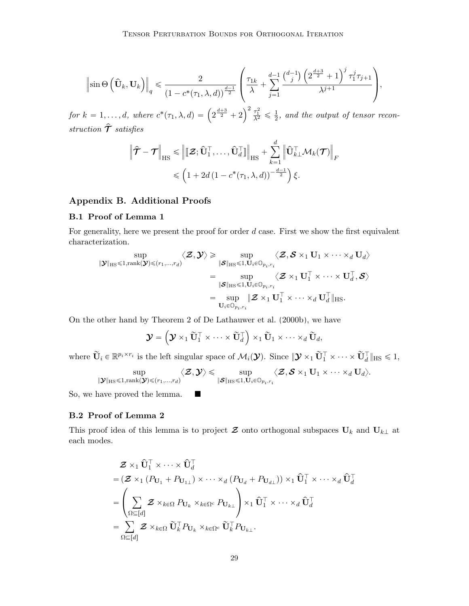$$
\left\|\sin\Theta\left(\hat{\mathbf{U}}_k,\mathbf{U}_k\right)\right\|_q \leq \frac{2}{\left(1-c^*(\tau_1,\lambda,d)\right)^{\frac{d-1}{2}}} \left(\frac{\tau_{1k}}{\lambda} + \sum_{j=1}^{d-1} \frac{\binom{d-1}{j}\left(2^{\frac{d+3}{2}}+1\right)^j \tau_1^j \tau_{j+1}}{\lambda^{j+1}}\right),\,
$$

for  $k = 1, ..., d$ , where  $c^*(\tau_1, \lambda, d) = \left(2^{\frac{d+3}{2}} + 2\right)$  $\left.\begin{array}{l} \lambda \\ \lambda^2 \leq \frac{1}{2} \end{array}\right. \leq \frac{1}{2}$  $\frac{1}{2}$ , and the output of tensor reconstruction  $\hat{\mathcal{T}}$  satisfies

$$
\|\hat{\mathcal{T}} - \mathcal{T}\|_{\text{HS}} \leq \|\mathbf{Z}; \hat{\mathbf{U}}_1^{\top}, \dots, \hat{\mathbf{U}}_d^{\top}\|_{\text{HS}} + \sum_{k=1}^d \left\|\hat{\mathbf{U}}_{k\perp}^{\top} \mathcal{M}_k(\mathcal{T})\right\|_F
$$
  

$$
\leq \left(1 + 2d\left(1 - c^*(\tau_1, \lambda, d)\right)^{-\frac{d-1}{2}}\right)\xi.
$$

# Appendix B. Additional Proofs

## B.1 Proof of Lemma [1](#page-9-1)

For generality, here we present the proof for order  $d$  case. First we show the first equivalent characterization.

$$
\begin{aligned} \sup\limits_{\|\boldsymbol{\mathcal{Y}}\|_{\text{HS}}\leqslant 1, \text{rank}(\boldsymbol{\mathcal{Y}})\leqslant (r_1,...,r_d)}\langle \boldsymbol{\mathcal{Z}},\boldsymbol{\mathcal{Y}}\rangle &\geqslant \sup\limits_{\|\boldsymbol{\mathcal{S}}\|_{\text{HS}}\leqslant 1, \mathbf{U}_i\in\mathbb{O}_{p_i,r_i}}\langle \boldsymbol{\mathcal{Z}},\boldsymbol{\mathcal{S}}\times_1 \mathbf{U}_1\times\cdots\times_d \mathbf{U}_d\rangle \\&= \sup\limits_{\|\boldsymbol{\mathcal{S}}\|_{\text{HS}}\leqslant 1, \mathbf{U}_i\in\mathbb{O}_{p_i,r_i}}\langle \boldsymbol{\mathcal{Z}}\times_1 \mathbf{U}_1^\top\times\cdots\times \mathbf{U}_d^\top, \boldsymbol{\mathcal{S}}\rangle \\&= \sup\limits_{\mathbf{U}_i\in\mathbb{O}_{p_i,r_i}}\|\boldsymbol{\mathcal{Z}}\times_1 \mathbf{U}_1^\top\times\cdots\times_d \mathbf{U}_d^\top \|_{\text{HS}}. \end{aligned}
$$

On the other hand by Theorem 2 of [De Lathauwer et al.](#page-41-4) [\(2000b\)](#page-41-4), we have ´ ¯

$$
\boldsymbol{\mathcal{Y}} = \left(\boldsymbol{\mathcal{Y}} \times_1 \widetilde{\mathbf{U}}_1^\top \times \cdots \times \widetilde{\mathbf{U}}_d^\top \right) \times_1 \widetilde{\mathbf{U}}_1 \times \cdots \times_d \widetilde{\mathbf{U}}_d,
$$

where  $\widetilde{\mathbf{U}}_i \in \mathbb{R}^{p_i \times r_i}$  is the left singular space of  $\mathcal{M}_i(\mathcal{Y})$ . Since  $\|\mathcal{Y} \times_1 \widetilde{\mathbf{U}}_1^{\top} \times \cdots \times \widetilde{\mathbf{U}}_d^{\top}\|_{\text{HS}} \leq 1$ ,

$$
\sup_{\|\boldsymbol{\mathcal{Y}}\|_{\text{HS}}\leqslant 1, \text{rank}(\boldsymbol{\mathcal{Y}})\leqslant (r_1,\dots,r_d)} \langle \boldsymbol{\mathcal{Z}}, \boldsymbol{\mathcal{Y}} \rangle \leqslant \sup_{\|\boldsymbol{\mathcal{S}}\|_{\text{HS}}\leqslant 1, \mathbf{U}_i\in\mathbb{O}_{p_i,r_i}} \langle \boldsymbol{\mathcal{Z}}, \boldsymbol{\mathcal{S}}\times_1 \mathbf{U}_1 \times \dots \times_d \mathbf{U}_d \rangle.
$$

So, we have proved the lemma.  $\blacksquare$ 

# B.2 Proof of Lemma [2](#page-13-2)

This proof idea of this lemma is to project  $\mathcal Z$  onto orthogonal subspaces  $\mathbf U_k$  and  $\mathbf U_{k\perp}$  at each modes.

$$
\mathcal{Z} \times_1 \hat{\mathbf{U}}_1^{\top} \times \cdots \times \hat{\mathbf{U}}_d^{\top} \n= (\mathcal{Z} \times_1 (P_{\mathbf{U}_1} + P_{\mathbf{U}_{1\perp}}) \times \cdots \times_d (P_{\mathbf{U}_d} + P_{\mathbf{U}_{d\perp}})) \times_1 \hat{\mathbf{U}}_1^{\top} \times \cdots \times_d \hat{\mathbf{U}}_d^{\top} \n= \left( \sum_{\Omega \subseteq [d]} \mathcal{Z} \times_{k \in \Omega} P_{\mathbf{U}_k} \times_{k \in \Omega^c} P_{\mathbf{U}_{k\perp}} \right) \times_1 \hat{\mathbf{U}}_1^{\top} \times \cdots \times_d \hat{\mathbf{U}}_d^{\top} \n= \sum_{\Omega \subseteq [d]} \mathcal{Z} \times_{k \in \Omega} \tilde{\mathbf{U}}_k^{\top} P_{\mathbf{U}_k} \times_{k \in \Omega^c} \tilde{\mathbf{U}}_k^{\top} P_{\mathbf{U}_{k\perp}}.
$$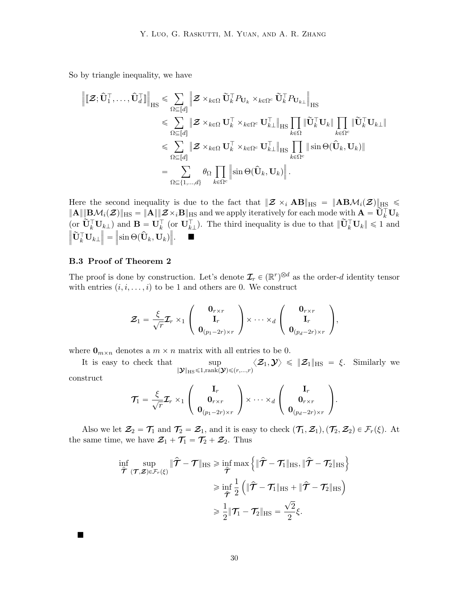So by triangle inequality, we have

$$
\begin{aligned}\n\left\| \left[ \boldsymbol{\mathcal{Z}}; \hat{\mathbf{U}}_1^\top, \ldots, \hat{\mathbf{U}}_d^\top \right] \right\|_{\text{HS}} &\leq \sum_{\Omega \subseteq [d]} \left\| \boldsymbol{\mathcal{Z}} \times_{k \in \Omega} \tilde{\mathbf{U}}_k^\top P_{\mathbf{U}_k} \times_{k \in \Omega^c} \tilde{\mathbf{U}}_k^\top P_{\mathbf{U}_{k\perp}} \right\|_{\text{HS}} \\
&\leqslant \sum_{\Omega \subseteq [d]} \left\| \boldsymbol{\mathcal{Z}} \times_{k \in \Omega} \mathbf{U}_k^\top \times_{k \in \Omega^c} \mathbf{U}_{k\perp}^\top \right\|_{\text{HS}} \prod_{k \in \Omega} \left\| \tilde{\mathbf{U}}_k^\top \mathbf{U}_k \right\|_{\text{HS}} \prod_{k \in \Omega^c} \left\| \tilde{\mathbf{U}}_k^\top \mathbf{U}_{k\perp} \right\| \\
&\leqslant \sum_{\Omega \subseteq [d]} \left\| \boldsymbol{\mathcal{Z}} \times_{k \in \Omega} \mathbf{U}_k^\top \times_{k \in \Omega^c} \mathbf{U}_{k\perp}^\top \right\|_{\text{HS}} \prod_{k \in \Omega^c} \left\| \sin \Theta(\hat{\mathbf{U}}_k, \mathbf{U}_k) \right\| \\
&=\sum_{\Omega \subseteq \{1, \ldots, d\}} \theta_{\Omega} \prod_{k \in \Omega^c} \left\| \sin \Theta(\hat{\mathbf{U}}_k, \mathbf{U}_k) \right\|.\n\end{aligned}
$$

Here the second inequality is due to the fact that  $\|\mathcal{Z} \times_i \mathbf{AB}\|_{\text{HS}} = \|\mathbf{ABM}_i(\mathcal{Z})\|_{\text{HS}} \leq$  $\|{\bf A}\| \|{\bf B}\mathcal{M}_i(\mathcal{Z})\|_{\text{HS}} = \|{\bf A}\| \|\mathcal{Z}\times_i {\bf B}\|_{\text{HS}}$  and we apply iteratively for each mode with  ${\bf A} = {\bf U}_k^\top {\bf U}_k$  $(\text{or } \overset{\sim}{\mathbf{U}}_{k}^{\top} \mathbf{U}_{k})$  and  $\mathbf{B} = \overset{\sim}{\mathbf{U}}_{k}^{\top}$  (or  $\overset{\sim}{\mathbf{U}}_{k}^{\top}$ ). The third inequality is due to that  $\|\overset{\sim}{\mathbf{U}}_{k}^{\top} \mathbf{U}_{k}\| \leq 1$  and  $\big\| \widetilde{\mathbf{U}}_k^\top \mathbf{U}_{k\perp}$  $\|\hat{\mathbf{S}}\| = \|\sin \Theta(\hat{\mathbf{U}}_k, \mathbf{U}_k)\|$  $\parallel.$   $\blacksquare$ 

### B.3 Proof of Theorem [2](#page-13-0)

Ë

The proof is done by construction. Let's denote  $\mathcal{I}_r \in (\mathbb{R}^r)^{\otimes d}$  as the order-d identity tensor with entries  $(i, i, \ldots, i)$  to be 1 and others are 0. We construct

$$
\mathcal{Z}_1 = \frac{\xi}{\sqrt{r}} \mathcal{I}_r \times_1 \left( \begin{array}{c} \mathbf{0}_{r \times r} \\ \mathbf{I}_r \\ \mathbf{0}_{(p_1 - 2r) \times r} \end{array} \right) \times \cdots \times_d \left( \begin{array}{c} \mathbf{0}_{r \times r} \\ \mathbf{I}_r \\ \mathbf{0}_{(p_d - 2r) \times r} \end{array} \right),
$$

where  $\mathbf{0}_{m \times n}$  denotes a  $m \times n$  matrix with all entries to be 0.

It is easy to check that  $\|\boldsymbol{\mathcal{Y}}\|_{\text{HS}}{\leqslant}1,\text{rank}(\boldsymbol{\mathcal{Y}}){\leqslant}(r,...,r)$  $\langle \mathcal{Z}_1, \mathcal{Y} \rangle \leqslant \| \mathcal{Z}_1 \|_{\text{HS}} \ = \ \xi. \ \ \text{Similarly we}$ construct

$$
\mathcal{T}_1 = \frac{\xi}{\sqrt{r}} \mathcal{I}_r \times_1 \left( \begin{array}{c} \mathbf{I}_r \\ \mathbf{0}_{r \times r} \\ \mathbf{0}_{(p_1 - 2r) \times r} \end{array} \right) \times \cdots \times_d \left( \begin{array}{c} \mathbf{I}_r \\ \mathbf{0}_{r \times r} \\ \mathbf{0}_{(p_d - 2r) \times r} \end{array} \right).
$$

Also we let  $\mathcal{Z}_2 = \mathcal{T}_1$  and  $\mathcal{T}_2 = \mathcal{Z}_1$ , and it is easy to check  $(\mathcal{T}_1, \mathcal{Z}_1), (\mathcal{T}_2, \mathcal{Z}_2) \in \mathcal{F}_r(\xi)$ . At the same time, we have  $\mathcal{Z}_1 + \mathcal{T}_1 = \mathcal{T}_2 + \mathcal{Z}_2$ . Thus

$$
\inf_{\hat{\mathcal{T}}} \sup_{(\mathcal{T}, \mathcal{Z}) \in \mathcal{F}_r(\xi)} \| \hat{\mathcal{T}} - \mathcal{T} \|_{\text{HS}} \ge \inf_{\hat{\mathcal{T}}} \max \left\{ \| \hat{\mathcal{T}} - \mathcal{T}_1 \|_{\text{HS}}, \| \hat{\mathcal{T}} - \mathcal{T}_2 \|_{\text{HS}} \right\} \\
\ge \inf_{\hat{\mathcal{T}}} \frac{1}{2} \left( \| \hat{\mathcal{T}} - \mathcal{T}_1 \|_{\text{HS}} + \| \hat{\mathcal{T}} - \mathcal{T}_2 \|_{\text{HS}} \right) \\
\ge \frac{1}{2} \| \mathcal{T}_1 - \mathcal{T}_2 \|_{\text{HS}} = \frac{\sqrt{2}}{2} \xi.
$$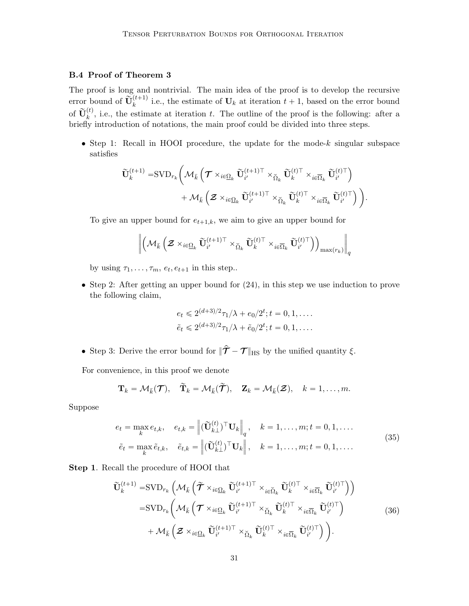# B.4 Proof of Theorem [3](#page-14-0)

The proof is long and nontrivial. The main idea of the proof is to develop the recursive error bound of  $\widetilde{\mathbf{U}}_k^{(t+1)}$  i.e., the estimate of  $\mathbf{U}_k$  at iteration  $t + 1$ , based on the error bound of  $\tilde{\mathbf{U}}_k^{(t)}$ , i.e., the estimate at iteration t. The outline of the proof is the following: after a briefly introduction of notations, the main proof could be divided into three steps.

• Step 1: Recall in HOOI procedure, the update for the mode- $k$  singular subspace satisfies

$$
\begin{aligned} \widetilde{\mathbf{U}}_k^{(t+1)}=&\text{SVD}_{r_k}\bigg(\mathcal{M}_{\bar{k}}\left(\boldsymbol{\mathcal{T}}\times_{i\in\underline{\Omega}_k}\widetilde{\mathbf{U}}_{i'}^{(t+1)\top}\times_{\check{\Omega}_k}\widetilde{\mathbf{U}}_k^{(t)\top}\times_{i\in\overline{\Omega}_k}\widetilde{\mathbf{U}}_{i'}^{(t)\top}\right)\\ &+\mathcal{M}_{\bar{k}}\left(\boldsymbol{\mathcal{Z}}\times_{i\in\underline{\Omega}_k}\widetilde{\mathbf{U}}_{i'}^{(t+1)\top}\times_{\check{\Omega}_k}\widetilde{\mathbf{U}}_k^{(t)\top}\times_{i\in\overline{\Omega}_k}\widetilde{\mathbf{U}}_{i'}^{(t)\top}\right)\bigg). \end{aligned}
$$

To give an upper bound for  $e_{t+1,k}$ , we aim to give an upper bound for

$$
\left\|\left(\mathcal{M}_{\bar{k}}\left(\boldsymbol{\mathcal{Z}}\times_{i\in\underline{\Omega}_{k}}\widetilde{\mathbf{U}}_{i'}^{(t+1)\top}\times_{\check{\Omega}_{k}}\widetilde{\mathbf{U}}_{k}^{(t)\top}\times_{i\in\overline{\Omega}_{k}}\widetilde{\mathbf{U}}_{i'}^{(t)\top}\right)\right)_{\max(r_{k})}\right\|_{q}
$$

by using  $\tau_1, \ldots, \tau_m, e_t, e_{t+1}$  in this step..

• Step 2: After getting an upper bound for [\(24\)](#page-16-0), in this step we use induction to prove the following claim,

$$
e_t \leq 2^{(d+3)/2} \tau_1 / \lambda + e_0 / 2^t; t = 0, 1, \dots
$$
  

$$
\tilde{e}_t \leq 2^{(d+3)/2} \tau_1 / \lambda + \tilde{e}_0 / 2^t; t = 0, 1, \dots
$$

• Step 3: Derive the error bound for  $\|\hat{\mathcal{T}} - \mathcal{T}\|_{\text{HS}}$  by the unified quantity  $\xi$ .

For convenience, in this proof we denote

$$
\mathbf{T}_k = \mathcal{M}_{\bar{k}}(\mathcal{T}), \quad \widetilde{\mathbf{T}}_k = \mathcal{M}_{\bar{k}}(\widetilde{\mathcal{T}}), \quad \mathbf{Z}_k = \mathcal{M}_{\bar{k}}(\mathcal{Z}), \quad k = 1, \ldots, m.
$$

Suppose

$$
e_t = \max_k e_{t,k}, \quad e_{t,k} = \left\| (\widetilde{\mathbf{U}}_{k\perp}^{(t)})^\top \mathbf{U}_k \right\|_q, \quad k = 1, \dots, m; t = 0, 1, \dots
$$

$$
\tilde{e}_t = \max_k \tilde{e}_{t,k}, \quad \tilde{e}_{t,k} = \left\| (\widetilde{\mathbf{U}}_{k\perp}^{(t)})^\top \mathbf{U}_k \right\|, \quad k = 1, \dots, m; t = 0, 1, \dots
$$

Step 1. Recall the procedure of HOOI that

$$
\widetilde{\mathbf{U}}_{k}^{(t+1)} = \text{SVD}_{r_{k}} \left( \mathcal{M}_{\bar{k}} \left( \widetilde{\boldsymbol{\mathcal{T}}} \times_{i \in \underline{\Omega}_{k}} \widetilde{\mathbf{U}}_{i'}^{(t+1)\top} \times_{i \in \widetilde{\Omega}_{k}} \widetilde{\mathbf{U}}_{k}^{(t)\top} \times_{i \in \overline{\Omega}_{k}} \widetilde{\mathbf{U}}_{i'}^{(t)\top} \right) \right) \n= \text{SVD}_{r_{k}} \left( \mathcal{M}_{\bar{k}} \left( \boldsymbol{\mathcal{T}} \times_{i \in \underline{\Omega}_{k}} \widetilde{\mathbf{U}}_{i'}^{(t+1)\top} \times_{\check{\Omega}_{k}} \widetilde{\mathbf{U}}_{k}^{(t)\top} \times_{i \in \overline{\Omega}_{k}} \widetilde{\mathbf{U}}_{i'}^{(t)\top} \right) \n+ \mathcal{M}_{\bar{k}} \left( \boldsymbol{\mathcal{Z}} \times_{i \in \underline{\Omega}_{k}} \widetilde{\mathbf{U}}_{i'}^{(t+1)\top} \times_{\check{\Omega}_{k}} \widetilde{\mathbf{U}}_{k}^{(t)\top} \times_{i \in \overline{\Omega}_{k}} \widetilde{\mathbf{U}}_{i'}^{(t)\top} \right) \right). \tag{36}
$$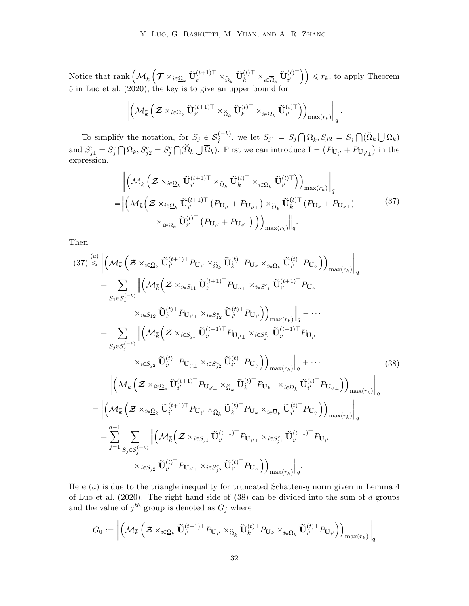Notice that rank  $\left(\mathcal{M}_{\bar{k}}\right)$  $\boldsymbol{\mathcal{T}}\times_{i\in\overline{\Omega}_k}\widetilde{\mathbf{U}}_{i'}^{(t+1)\top}\times_{\widecheck{\Omega}_k}\widetilde{\mathbf{U}}_{k}^{(t)\top}\times_{i\in\overline{\Omega}_k}\widetilde{\mathbf{U}}_{i'}^{(t)\top}$ ¯¯  $\leq r_k$ , to apply Theorem 5 in [Luo et al.](#page-44-9) [\(2020\)](#page-44-9), the key is to give an upper bound for

$$
\left\| \left({\mathcal M}_{\bar{k}} \left({\boldsymbol{\mathcal Z}} \times_{i \in \underline{\Omega}_k} \widetilde{\mathbf{U}}_{i'}^{(t+1)\top} \times_{\widecheck{\Omega}_k} \widetilde{\mathbf{U}}_k^{(t)\top} \times_{i \in \overline{\Omega}_k} \widetilde{\mathbf{U}}_{i'}^{(t)\top} \right) \right)_\text{max}(r_k) \right\|_q.
$$

To simplify the notation, for  $S_j \in \mathcal{S}_j^{(-\bar{k})}$  $j_j^{(-\kappa)}$ , we let  $S_{j1} = S_j$ ş  $\Omega_k, S_{j2} = S_j$  $\bigcap (\breve{\Omega}_k \bigcup$  $\overline{\Omega}_k)$ and  $S_{j1}^c = S_j^c$  $\mathbf{y}$  $\underline{\Omega}_k$ ,  $S_{j2}^c = S_j^c$  $\bigcap (\v{\Omega}_k \bigcup$  $\overline{\Omega}_k$ . First we can introduce  $\mathbf{I} =$  $\overline{\phantom{a}}$  $P_{\mathbf{U}_{i'}} + P_{\mathbf{U}_{i'\perp}}$  $\boldsymbol{k}$ in the expression,

<span id="page-31-0"></span>
$$
\left\| \left( \mathcal{M}_{\bar{k}} \left( \mathcal{Z} \times_{i \in \underline{\Omega}_k} \widetilde{\mathbf{U}}_{i'}^{(t+1)\top} \times_{\widetilde{\Omega}_k} \widetilde{\mathbf{U}}_k^{(t)\top} \times_{i \in \overline{\Omega}_k} \widetilde{\mathbf{U}}_{i'}^{(t)\top} \right) \right)_{\max(r_k)} \right\|_q
$$
\n
$$
= \left\| \left( \mathcal{M}_{\bar{k}} \left( \mathcal{Z} \times_{i \in \underline{\Omega}_k} \widetilde{\mathbf{U}}_{i'}^{(t+1)\top} \left( P_{\mathbf{U}_{i'}} + P_{\mathbf{U}_{i'\perp}} \right) \times_{\widetilde{\Omega}_k} \widetilde{\mathbf{U}}_k^{(t)\top} \left( P_{\mathbf{U}_k} + P_{\mathbf{U}_{k\perp}} \right) \right) \times_{i \in \overline{\Omega}_k} \widetilde{\mathbf{U}}_{i'}^{(t)\top} \left( P_{\mathbf{U}_{i'}} + P_{\mathbf{U}_{i'\perp}} \right) \right) \right\|_{\max(r_k)} \right\|_q.
$$
\n
$$
(37)
$$

<span id="page-31-1"></span>Then

$$
(37) \leq \left\| (\mathcal{M}_{\bar{k}} \left( \mathbf{Z} \times_{i \in \Omega_{k}} \tilde{\mathbf{U}}_{i'}^{(t+1) \top} P_{\mathbf{U}_{i'}} \times_{\tilde{\Omega}_{k}} \tilde{\mathbf{U}}_{k}^{(t) \top} P_{\mathbf{U}_{k}} \times_{i \in \overline{\Omega}_{k}} \tilde{\mathbf{U}}_{i'}^{(t) \top} P_{\mathbf{U}_{i'}}) \right)_{\max(r_{k})} \right\|_{q} + \sum_{S_{1} \in S_{1}^{(-\bar{k})}} \left\| (\mathcal{M}_{\bar{k}} \left( \mathbf{Z} \times_{i \in S_{11}} \tilde{\mathbf{U}}_{i'}^{(t+1) \top} P_{\mathbf{U}_{i'} \bot} \times_{i \in S_{11}} \tilde{\mathbf{U}}_{i'}^{(t+1) \top} P_{\mathbf{U}_{i'}}) \right)_{\max(r_{k})} \right\|_{q} + \cdots + \sum_{S_{j} \in S_{j}^{(-\bar{k})}} \left\| (\mathcal{M}_{\bar{k}} \left( \mathbf{Z} \times_{i \in S_{j1}} \tilde{\mathbf{U}}_{i'}^{(t+1) \top} P_{\mathbf{U}_{i'} \bot} \times_{i \in S_{j1}^{c}} \tilde{\mathbf{U}}_{i'}^{(t+1) \top} P_{\mathbf{U}_{i'}}) \right)_{\max(r_{k})} \right\|_{q} + \cdots + \sum_{S_{j} \in S_{j}^{(-\bar{k})}} \left\| (\mathcal{M}_{\bar{k}} \left( \mathbf{Z} \times_{i \in S_{j1}} \tilde{\mathbf{U}}_{i'}^{(t+1) \top} P_{\mathbf{U}_{i'} \bot} \times_{i \in S_{j2}^{c}} \tilde{\mathbf{U}}_{i'}^{(t) \top} P_{\mathbf{U}_{i'}}) \right)_{\max(r_{k})} \right\|_{q} + \cdots \qquad (38)
$$
  
+ 
$$
\left\| (\mathcal{M}_{\bar{k}} \left( \mathbf{Z} \times_{i \in \Omega_{k}} \tilde{\mathbf{U}}_{i'}^{(t+1) \top} P_{\mathbf{U}_{i'} \bot} \times_{\tilde{\Omega}_{k}} \tilde{\mathbf{U}}_{i'}^{(t) \top}
$$

Here  $(a)$  is due to the triangle inequality for truncated Schatten-q norm given in Lemma 4 of [Luo et al.](#page-44-9)  $(2020)$ . The right hand side of  $(38)$  can be divided into the sum of d groups and the value of  $j^{th}$  group is denoted as  $G_j$  where

$$
G_0:=\left\|\left(\mathcal{M}_{\bar{k}}\left(\boldsymbol{\mathcal{Z}}\times_{i\in\underline{\Omega}_{k}}\tilde{\mathbf{U}}_{i'}^{(t+1)\top}P_{\mathbf{U}_{i'}}\times_{\check{\Omega}_{k}}\tilde{\mathbf{U}}_{k}^{(t)\top}P_{\mathbf{U}_{k}}\times_{i\in\overline{\Omega}_{k}}\tilde{\mathbf{U}}_{i'}^{(t)\top}P_{\mathbf{U}_{i'}}\right)\right)_{\max(r_{k})}\right\|_{q}
$$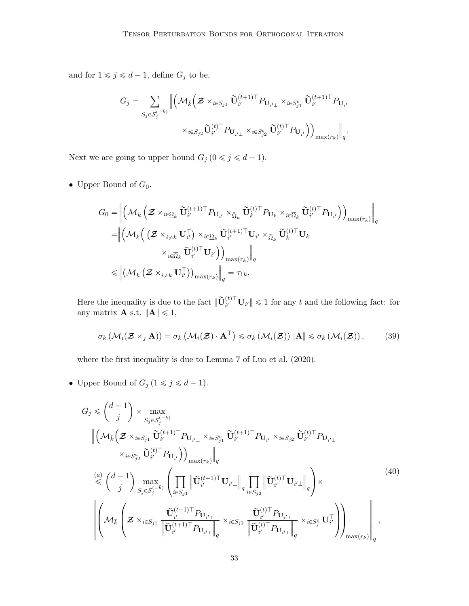and for  $1 \leqslant j \leqslant d-1,$  define  $G_j$  to be,

$$
G_j = \sum_{S_j \in \mathcal{S}_j^{(-\bar{k})}} \Big\| \Big( \mathcal{M}_{\bar{k}} \Big( \mathcal{Z} \times_{i \in S_{j1}} \widetilde{\mathbf{U}}_{i'}^{(t+1)\top} P_{\mathbf{U}_{i'\perp}} \times_{i \in S_{j1}^c} \widetilde{\mathbf{U}}_{i'}^{(t+1)\top} P_{\mathbf{U}_{i'}}
$$

$$
\times_{i \in S_{j2}} \widetilde{\mathbf{U}}_{i'}^{(t)\top} P_{\mathbf{U}_{i'\perp}} \times_{i \in S_{j2}^c} \widetilde{\mathbf{U}}_{i'}^{(t)\top} P_{\mathbf{U}_{i'}} \Big) \Big)_{\max(r_k)} \Big\|_q.
$$

Next we are going to upper bound  $G_j$   $(0 \le j \le d - 1)$ .

• Upper Bound of  $G_0$ .

$$
G_{0} = \left\| \left( \mathcal{M}_{\bar{k}} \left( \boldsymbol{\mathcal{Z}} \times_{i \in \underline{\Omega}_{k}} \widetilde{\mathbf{U}}_{i'}^{(t+1)\top} P_{\mathbf{U}_{i'}} \times_{\check{\Omega}_{k}} \widetilde{\mathbf{U}}_{k}^{(t)\top} P_{\mathbf{U}_{k}} \times_{i \in \overline{\Omega}_{k}} \widetilde{\mathbf{U}}_{i'}^{(t)\top} P_{\mathbf{U}_{i'}} \right) \right)_{\max(r_{k})} \right\|_{q}
$$
  
\n
$$
= \left\| \left( \mathcal{M}_{\bar{k}} \left( \left( \boldsymbol{\mathcal{Z}} \times_{i \neq \bar{k}} \mathbf{U}_{i'}^{\top} \right) \times_{i \in \underline{\Omega}_{k}} \widetilde{\mathbf{U}}_{i'}^{(t+1)\top} \mathbf{U}_{i'} \times_{\check{\Omega}_{k}} \widetilde{\mathbf{U}}_{k}^{(t)\top} \mathbf{U}_{k} \right. \right) \times_{i \in \overline{\Omega}_{k}} \widetilde{\mathbf{U}}_{i'}^{(t)\top} \mathbf{U}_{i'} \right) \right\|_{q}
$$
  
\n
$$
\leq \left\| \left( \mathcal{M}_{\bar{k}} \left( \boldsymbol{\mathcal{Z}} \times_{i \neq \bar{k}} \mathbf{U}_{i'}^{\top} \right) \right)_{\max(r_{k})} \right\|_{q} = \tau_{1k}.
$$

Here the inequality is due to the fact  $\|\widetilde{\mathbf{U}}_{i'}^{(t)\top}\mathbf{U}_{i'}\| \leq 1$  for any t and the following fact: for any matrix **A** s.t.  $||A|| \le 1$ ,

<span id="page-32-0"></span>
$$
\sigma_k \left( \mathcal{M}_i(\mathcal{Z} \times_j \mathbf{A}) \right) = \sigma_k \left( \mathcal{M}_i(\mathcal{Z}) \cdot \mathbf{A}^\top \right) \leq \sigma_k \left( \mathcal{M}_i(\mathcal{Z}) \right) \|\mathbf{A}\| \leq \sigma_k \left( \mathcal{M}_i(\mathcal{Z}) \right), \tag{39}
$$

where the first inequality is due to Lemma 7 of [Luo et al.](#page-44-9) [\(2020\)](#page-44-9).

• Upper Bound of  $G_j$   $(1 \le j \le d - 1)$ .

$$
G_{j} \leq \binom{d-1}{j} \times \max_{S_{j} \in S_{j}^{(-\bar{k})}} \left\| \left( \mathcal{M}_{\bar{k}} \left( \mathcal{Z} \times_{i \in S_{j1}} \widetilde{\mathbf{U}}_{i'}^{(t+1)\top} P_{\mathbf{U}_{i'} \perp} \times_{i \in S_{j1}^{c}} \widetilde{\mathbf{U}}_{i'}^{(t+1)\top} P_{\mathbf{U}_{i'}} \times_{i \in S_{j2}} \widetilde{\mathbf{U}}_{i'}^{(t)\top} P_{\mathbf{U}_{i' \perp}} \right\|_{\times \left. \underset{\leq \epsilon_{j}^{c}}{\times} \widetilde{\mathbf{U}}_{i'}^{(t)\top} P_{\mathbf{U}_{i'}} \right) \right\|_{\max(r_{k})}} \right\|_{q}
$$
\n
$$
\leq \binom{d-1}{j} \max_{S_{j} \in S_{j}^{(-\bar{k})}} \left( \prod_{i \in S_{j1}} \left\| \widetilde{\mathbf{U}}_{i'}^{(t+1)\top} \mathbf{U}_{i' \perp} \right\|_{q} \prod_{i \in S_{j2}} \left\| \widetilde{\mathbf{U}}_{i'}^{(t)\top} \mathbf{U}_{i' \perp} \right\|_{q} \right) \times \left\| \left( 40 \right) \right\|_{\max(r_{k})} \left( \mathcal{Z} \times_{i \in S_{j1}} \frac{\widetilde{\mathbf{U}}_{i'}^{(t+1)\top} P_{\mathbf{U}_{i' \perp}}}{\left\| \widetilde{\mathbf{U}}_{i'}^{(t+1)\top} P_{\mathbf{U}_{i' \perp}} \right\|_{q}} \times_{i \in S_{j2}} \frac{\widetilde{\mathbf{U}}_{i'}^{(t)\top} P_{\mathbf{U}_{i' \perp}}}{\left\| \widetilde{\mathbf{U}}_{i'}^{(t)\top} P_{\mathbf{U}_{i' \perp}} \right\|_{q}} \times_{i \in S_{j}^{c}} \mathbf{U}_{i'}^{\top} \right) \right) \max(r_{k})} \right|_{q}, \tag{40}
$$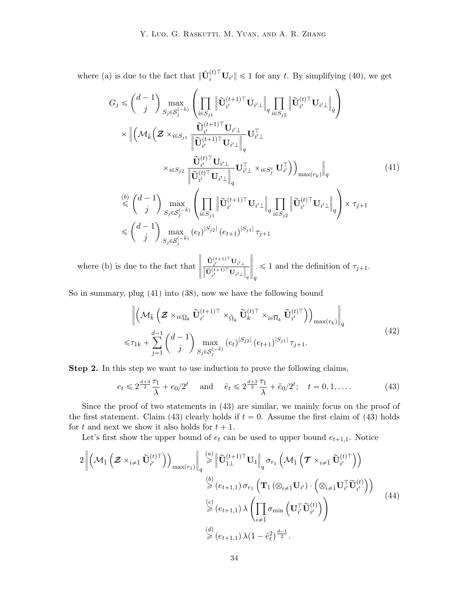where (a) is due to the fact that  $\|\tilde{\mathbf{U}}_i^{(t)\top}\mathbf{U}_{i'}\| \leq 1$  for any t. By simplifying [\(40\)](#page-32-0), we get ¨ ˛

<span id="page-33-0"></span>
$$
G_{j} \leq \binom{d-1}{j} \max_{S_{j} \in S_{j}^{(-\bar{k})}} \left( \prod_{i \in S_{j1}} \left\| \widetilde{\mathbf{U}}_{i'}^{(t+1)\top} \mathbf{U}_{i'\perp} \right\|_{q} \prod_{i \in S_{j2}} \left\| \widetilde{\mathbf{U}}_{i'}^{(t)\top} \mathbf{U}_{i'\perp} \right\|_{q} \right) \times \left\| \left( \mathcal{M}_{\bar{k}} \left( \mathcal{Z} \times_{i \in S_{j1}} \frac{\widetilde{\mathbf{U}}_{i'}^{(t+1)\top} \mathbf{U}_{i'\perp}}{\left\| \widetilde{\mathbf{U}}_{i'}^{(t+1)\top} \mathbf{U}_{i'\perp} \right\|_{q}} \mathbf{U}_{i'\perp}^{\top} \right. \times \sum_{i \in S_{j2}} \frac{\widetilde{\mathbf{U}}_{i'}^{(t)\top} \mathbf{U}_{i'\perp}}{\left\| \widetilde{\mathbf{U}}_{i'}^{(t)\top} \mathbf{U}_{i'\perp} \right\|_{q}} \mathbf{U}_{i'\perp}^{\top} \times_{i \in S_{j}^{c}} \mathbf{U}_{i'}^{\top} \right) \right)_{\max(r_{k})} \left\|_{q} \right\|
$$
\n
$$
\stackrel{(b)}{\leq} \binom{d-1}{j} \max_{S_{j} \in S_{j}^{(-\bar{k})}} \left( \prod_{i \in S_{j1}} \left\| \widetilde{\mathbf{U}}_{i'}^{(t+1)\top} \mathbf{U}_{i'\perp} \right\|_{q} \prod_{i \in S_{j2}} \left\| \widetilde{\mathbf{U}}_{i'}^{(t)\top} \mathbf{U}_{i'\perp} \right\|_{q} \right) \times \tau_{j+1}
$$
\n
$$
\leq \binom{d-1}{j} \max_{S_{j} \in S_{j}^{(-\bar{k})}} (e_{t})^{|S_{j2}|} (e_{t+1})^{|S_{j1}|} \tau_{j+1}
$$
\n
$$
(41)
$$

where (b) is due to the fact that › › › › ›  $\frac{\widetilde{\mathbf{U}}_{i'}^{(t+1)\top}\mathbf{U}_{i'\perp}}{\left\Vert \widetilde{\mathbf{U}}_{i'}^{(t+1)\top}\mathbf{U}_{i'\perp}\right\Vert }$  $\overline{\big\Vert}_q$ › › › › › q  $\leq 1$  and the definition of  $\tau_{j+1}$ .

So in summary, plug [\(41\)](#page-33-0) into [\(38\)](#page-31-1), now we have the following bound

<span id="page-33-2"></span><span id="page-33-1"></span>
$$
\left\| \left( \mathcal{M}_{\bar{k}} \left( \mathcal{Z} \times_{i \in \Omega_k} \tilde{\mathbf{U}}_{i'}^{(t+1)\top} \times_{\check{\Omega}_k} \tilde{\mathbf{U}}_k^{(t)\top} \times_{i \in \overline{\Omega}_k} \tilde{\mathbf{U}}_{i'}^{(t)\top} \right) \right)_{\max(r_k)} \right\|_q
$$
  

$$
\leq \tau_{1k} + \sum_{j=1}^{d-1} {d-1 \choose j} \max_{S_j \in \mathcal{S}_j^{(-\bar{k})}} (e_t)^{|S_{j2}|} (e_{t+1})^{|S_{j1}|} \tau_{j+1}.
$$
 (42)

Step 2. In this step we want to use induction to prove the following claims,

<span id="page-33-3"></span>
$$
e_t \leq 2^{\frac{d+3}{2}} \frac{\tau_1}{\lambda} + e_0/2^t
$$
 and  $\tilde{e}_t \leq 2^{\frac{d+3}{2}} \frac{\tau_1}{\lambda} + \tilde{e}_0/2^t$ ;  $t = 0, 1, ...$  (43)

Since the proof of two statements in [\(43\)](#page-33-1) are similar, we mainly focus on the proof of the first statement. Claim [\(43\)](#page-33-1) clearly holds if  $t = 0$ . Assume the first claim of (43) holds for t and next we show it also holds for  $t + 1$ .

Let's first show the upper bound of  $e_t$  can be used to upper bound  $e_{t+1,1}$ . Notice

$$
2\left\| \left( \mathcal{M}_{\bar{1}}\left( \mathcal{Z} \times_{i \neq \bar{1}} \widetilde{\mathbf{U}}_{i'}^{(t)\top} \right) \right)_{\max(r_{1})} \right\|_{q} \stackrel{(a)}{\geq} \left\| \widetilde{\mathbf{U}}_{1\perp}^{(t+1)\top} \mathbf{U}_{1} \right\|_{q} \sigma_{r_{1}}\left( \mathcal{M}_{\bar{1}}\left( \mathcal{T} \times_{i \neq \bar{1}} \widetilde{\mathbf{U}}_{i'}^{(t)\top} \right) \right) \n\geqslant (e_{t+1,1}) \sigma_{r_{1}}\left( \mathbf{T}_{1} \left( \otimes_{i \neq \bar{1}} \mathbf{U}_{i'} \right) \cdot \left( \otimes_{i \neq \bar{1}} \mathbf{U}_{i'}^{\top} \widetilde{\mathbf{U}}_{i'}^{(t)} \right) \right) \n\geqslant (e_{t+1,1}) \lambda \left( \prod_{i \neq \bar{1}} \sigma_{\min} \left( \mathbf{U}_{i'}^{\top} \widetilde{\mathbf{U}}_{i'}^{(t)} \right) \right) \n\geqslant (e_{t+1,1}) \lambda (1 - \tilde{e}_{t}^{2})^{\frac{d-1}{2}}.
$$
\n(44)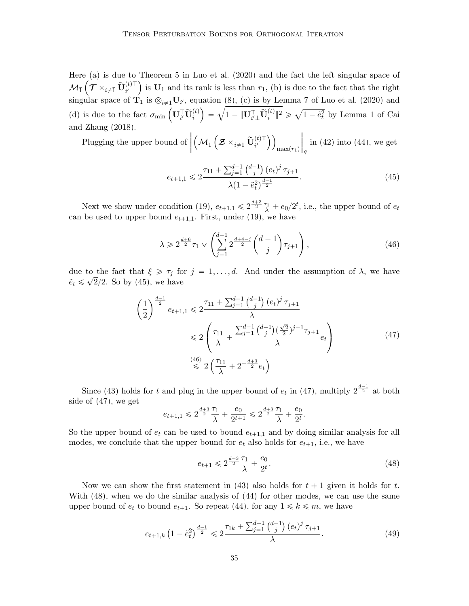Here (a) is due to Theorem 5 in [Luo et al.](#page-44-9) [\(2020\)](#page-44-9) and the fact the left singular space of  $\mathcal{M}_{\bar{1}}\left(\mathcal{T} \times_{i \neq \bar{1}} \widetilde{\mathbf{U}}_{i'}^{(t)\top}\right)$  is  $\mathbf{U}_1$  and its rank is less than  $r_1$ , (b) is due to the fact that the right singular space of  $\mathbf{T}_1$  is  $\otimes_{i \neq \tilde{1}} \mathbf{U}_{i'}$ , equation [\(8\)](#page-8-4), (c) is by Lemma 7 of [Luo et al.](#page-44-9) [\(2020\)](#page-44-9) and singular space of  $\mathbf{I}_1$  is  $\otimes_{i \neq 1} \mathbf{U}_{i'}$ , equation (8), (c) is by Lemma 1 of Luo et al. (2020) and<br>
(d) is due to the fact  $\sigma_{\min} (\mathbf{U}_{i'}^{\top} \tilde{\mathbf{U}}_i^{(t)}) = \sqrt{1 - ||\mathbf{U}_{i'}^{\top} \tilde{\mathbf{U}}_i^{(t)}||^2} \geq \sqrt{1 - \tilde{e}_$ [and Zhang](#page-40-3) [\(2018\)](#page-40-3).

Plugging the upper bound of  $\begin{array}{c} \hline \end{array}$  $\mathcal{M}_{\bar{1}}$  $\boldsymbol{\mathcal{Z}}\times_{i\neq\bar{1}}\widetilde{\mathbf{U}}_{i'}^{(t)\top}$  $max(r_1)$  $\begin{array}{c} \hline \end{array}$ q in [\(42\)](#page-33-2) into [\(44\)](#page-33-3), we get

<span id="page-34-0"></span>
$$
e_{t+1,1} \leq 2 \frac{\tau_{11} + \sum_{j=1}^{d-1} {d-1 \choose j} (e_t)^j \tau_{j+1}}{\lambda (1 - \tilde{e}_t^2)^{\frac{d-1}{2}}}.
$$
\n(45)

Next we show under condition [\(19\)](#page-15-1),  $e_{t+1,1} \leqslant 2^{\frac{d+3}{2}} \frac{\tau_1}{\lambda} + e_0/2^t$ , i.e., the upper bound of  $e_t$ can be used to upper bound  $e_{t+1,1}$ . First, under [\(19\)](#page-15-1), we have

<span id="page-34-1"></span>
$$
\lambda \geq 2^{\frac{d+6}{2}} \tau_1 \vee \left( \sum_{j=1}^{d-1} 2^{\frac{d+4-j}{2}} {d-1 \choose j} \tau_{j+1} \right), \tag{46}
$$

due to the fact that  $\xi \ge \tau_j$  for  $j = 1, ..., d$ . And under the assumption of  $\lambda$ , we have  $\tilde{e}_t \leq \sqrt{2}/2$ . So by [\(45\)](#page-34-0), we have

<span id="page-34-2"></span>
$$
\left(\frac{1}{2}\right)^{\frac{d-1}{2}} e_{t+1,1} \leq 2 \frac{\tau_{11} + \sum_{j=1}^{d-1} {d-1 \choose j} (e_t)^j \tau_{j+1}}{\lambda} \leq 2 \left(\frac{\tau_{11}}{\lambda} + \frac{\sum_{j=1}^{d-1} {d-1 \choose j} (\frac{\sqrt{2}}{2})^{j-1} \tau_{j+1}}{\lambda} e_t\right)
$$
\n
$$
\stackrel{(46)}{\leq} 2 \left(\frac{\tau_{11}}{\lambda} + 2^{-\frac{d+3}{2}} e_t\right)
$$
\n(47)

Since [\(43\)](#page-33-1) holds for t and plug in the upper bound of  $e_t$  in [\(47\)](#page-34-2), multiply  $2^{\frac{d-1}{2}}$  at both side of [\(47\)](#page-34-2), we get

$$
e_{t+1,1} \leqslant 2^{\frac{d+3}{2}}\frac{\tau_1}{\lambda} + \frac{e_0}{2^{t+1}} \leqslant 2^{\frac{d+3}{2}}\frac{\tau_1}{\lambda} + \frac{e_0}{2^t}.
$$

So the upper bound of  $e_t$  can be used to bound  $e_{t+1,1}$  and by doing similar analysis for all modes, we conclude that the upper bound for  $e_t$  also holds for  $e_{t+1}$ , i.e., we have

<span id="page-34-4"></span><span id="page-34-3"></span>
$$
e_{t+1} \leqslant 2^{\frac{d+3}{2}} \frac{\tau_1}{\lambda} + \frac{e_0}{2^t}.\tag{48}
$$

Now we can show the first statement in [\(43\)](#page-33-1) also holds for  $t + 1$  given it holds for t. With [\(48\)](#page-34-3), when we do the similar analysis of [\(44\)](#page-33-3) for other modes, we can use the same upper bound of  $e_t$  to bound  $e_{t+1}$ . So repeat [\(44\)](#page-33-3), for any  $1 \leq k \leq m$ , we have

$$
e_{t+1,k} \left(1 - \tilde{e}_t^2\right)^{\frac{d-1}{2}} \leq 2 \frac{\tau_{1k} + \sum_{j=1}^{d-1} {d-1 \choose j} (e_t)^j \tau_{j+1}}{\lambda}.
$$
 (49)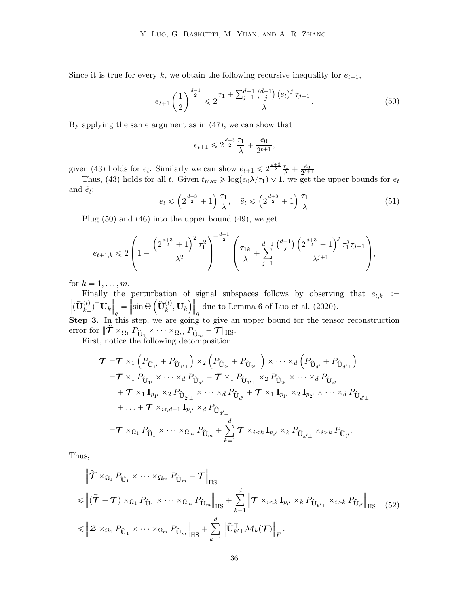Since it is true for every k, we obtain the following recursive inequality for  $e_{t+1}$ ,

$$
e_{t+1}\left(\frac{1}{2}\right)^{\frac{d-1}{2}} \leq 2\frac{\tau_1 + \sum_{j=1}^{d-1} {d-1 \choose j} (e_t)^j \tau_{j+1}}{\lambda}.
$$
 (50)

By applying the same argument as in [\(47\)](#page-34-2), we can show that

<span id="page-35-0"></span>
$$
e_{t+1}\leqslant 2^{\frac{d+3}{2}}\frac{\tau_1}{\lambda}+\frac{e_0}{2^{t+1}},
$$

given [\(43\)](#page-33-1) holds for  $e_t$ . Similarly we can show  $\tilde{e}_{t+1} \leq 2^{\frac{d+3}{2}} \frac{\tau_1}{\lambda} + \frac{\tilde{e}_0}{2^{t+1}}$ <br>Thus, (43) holds for all t. Given  $t_{\text{max}} \geq \log(e_0 \lambda/\tau_1) \vee 1$ , we get the upper bounds for  $e_t$ 

and  $\tilde{e}_t$ :  $\sqrt{\tau_1}$  $\sqrt{\tau_1}$ 

$$
e_t \leqslant \left(2^{\frac{d+3}{2}} + 1\right) \frac{\tau_1}{\lambda}, \quad \tilde{e}_t \leqslant \left(2^{\frac{d+3}{2}} + 1\right) \frac{\tau_1}{\lambda} \tag{51}
$$

Plug [\(50\)](#page-35-0) and [\(46\)](#page-34-1) into the upper bound [\(49\)](#page-34-4), we get

$$
e_{t+1,k} \leqslant 2 \left(1 - \frac{\left(2^{\frac{d+3}{2}} + 1\right)^2 \tau_1^2}{\lambda^2} \right)^{-\frac{d-1}{2}} \left( \frac{\tau_{1k}}{\lambda} + \sum_{j=1}^{d-1} \frac{\binom{d-1}{j} \left(2^{\frac{d+3}{2}} + 1\right)^j \tau_1^j \tau_{j+1}}{\lambda^{j+1}} \right),
$$

for  $k = 1, \ldots, m$ .

Finally the perturbation of signal subspaces follows by observing that  $e_{t,k}$  :=  $\left\| (\widetilde{\mathbf{U}}_{k\perp}^{(t)})^\top \mathbf{U}_k \right\|$  $\frac{1}{q}$ perturbation of<br>  $\sin \Theta \left( \tilde{\mathbf{U}}_k^{(t)}, \mathbf{U}_k \right)$  $\parallel$ due to Lemma 6 of [Luo et al.](#page-44-9) [\(2020\)](#page-44-9).

Step 3. In this step, we are going to give an upper bound for the tensor reconstruction error for  $\|\tilde{\boldsymbol{\tau}} \times_{\Omega_1} P_{\hat{\mathbf{U}}_1} \times \cdots \times_{\Omega_m} P_{\hat{\mathbf{U}}_m} - \boldsymbol{\tau}\|_{\text{HS}}.$ 

First, notice the following decomposition

 $\mathcal{L}^{\mathcal{L}}$ 

$$
\mathcal{T} = \mathcal{T} \times_1 \left( P_{\hat{\mathbf{U}}_{1'}} + P_{\hat{\mathbf{U}}_{1'}} \right) \times_2 \left( P_{\hat{\mathbf{U}}_{2'}} + P_{\hat{\mathbf{U}}_{2'}} \right) \times \cdots \times_d \left( P_{\hat{\mathbf{U}}_{d'}} + P_{\hat{\mathbf{U}}_{d'}} \right) \n= \mathcal{T} \times_1 P_{\hat{\mathbf{U}}_{1'}} \times \cdots \times_d P_{\hat{\mathbf{U}}_{d'}} + \mathcal{T} \times_1 P_{\hat{\mathbf{U}}_{1'}} \times_2 P_{\hat{\mathbf{U}}_{2'}} \times \cdots \times_d P_{\hat{\mathbf{U}}_{d'}} \n+ \mathcal{T} \times_1 \mathbf{I}_{p_{1'}} \times_2 P_{\hat{\mathbf{U}}_{2'}} \times \cdots \times_d P_{\hat{\mathbf{U}}_{d'}} + \mathcal{T} \times_1 \mathbf{I}_{p_{1'}} \times_2 \mathbf{I}_{p_{2'}} \times \cdots \times_d P_{\hat{\mathbf{U}}_{d'}} \n+ \cdots + \mathcal{T} \times_{i \leq d-1} \mathbf{I}_{p_{i'}} \times_d P_{\hat{\mathbf{U}}_{d'_{1}}}
$$
\n
$$
= \mathcal{T} \times_{\Omega_1} P_{\hat{\mathbf{U}}_1} \times \cdots \times_{\Omega_m} P_{\hat{\mathbf{U}}_m} + \sum_{k=1}^d \mathcal{T} \times_{i \leq k} \mathbf{I}_{p_{i'}} \times_k P_{\hat{\mathbf{U}}_{k'}_{1}} \times_{i > k} P_{\hat{\mathbf{U}}_{i'}}.
$$

Thus,

<span id="page-35-1"></span>
$$
\|\tilde{\boldsymbol{\tau}} \times_{\Omega_1} P_{\hat{\mathbf{U}}_1} \times \cdots \times_{\Omega_m} P_{\hat{\mathbf{U}}_m} - \boldsymbol{\tau} \|_{\text{HS}}
$$
\n
$$
\leq \|\tilde{\boldsymbol{\tau}} - \boldsymbol{\tau}\| \times_{\Omega_1} P_{\hat{\mathbf{U}}_1} \times \cdots \times_{\Omega_m} P_{\hat{\mathbf{U}}_m} \|_{\text{HS}} + \sum_{k=1}^d \|\boldsymbol{\tau} \times_{i < k} \mathbf{I}_{p_{i'}} \times_k P_{\hat{\mathbf{U}}_{k'} \times k} P_{\hat{\mathbf{U}}_{i'}} \|_{\text{HS}} \quad (52)
$$
\n
$$
\leq \|\boldsymbol{Z} \times_{\Omega_1} P_{\hat{\mathbf{U}}_1} \times \cdots \times_{\Omega_m} P_{\hat{\mathbf{U}}_m} \|_{\text{HS}} + \sum_{k=1}^d \|\hat{\mathbf{U}}_{k'}^\top \mathcal{M}_k(\boldsymbol{\tau})\|_F.
$$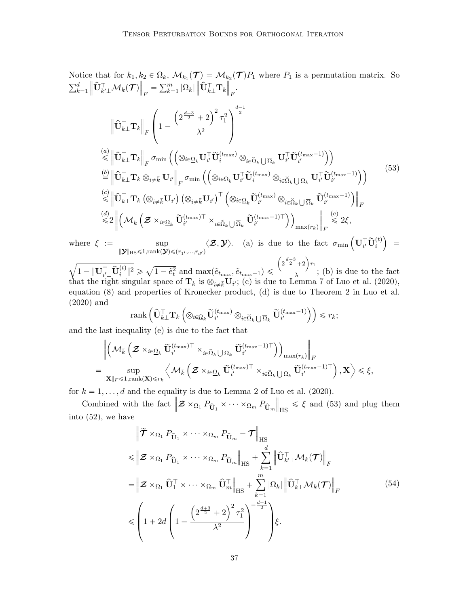Notice that for  $k_1, k_2 \in \Omega_k$ ,  $\mathcal{M}_{k_1}(\mathcal{T}) = \mathcal{M}_{k_2}(\mathcal{T})P_1$  where  $P_1$  is a permutation matrix. So  $\frac{1}{\nabla^d}$  $k=1$  $\big\| \widehat{\mathbf{U}}_{k' \bot}^{\top} \boldsymbol{\mathcal{M}}_k(\boldsymbol{\mathcal{T}})$  $\tilde{\parallel}$  $E = \sum_{k=1}^{n}$  $_{k=1}^{m}$  | $\Omega_k$ |  $\|\hat{\mathbf{U}}_{k\perp}^{\top} \mathbf{T}_{k}$ › › F .

<span id="page-36-0"></span>
$$
\left\| \widehat{\mathbf{U}}_{k\perp}^{\top} \mathbf{T}_{k} \right\|_{F} \left( 1 - \frac{\left( 2^{\frac{d+3}{2}} + 2 \right)^{2} \tau_{1}^{2}}{\lambda^{2}} \right)^{\frac{d-1}{2}} \n\stackrel{(a)}{\leq} \left\| \widehat{\mathbf{U}}_{k\perp}^{\top} \mathbf{T}_{k} \right\|_{F} \sigma_{\min} \left( \left( \otimes_{i \in \Omega_{k}} \mathbf{U}_{i'}^{\top} \widetilde{\mathbf{U}}_{i}^{(t_{\max})} \otimes_{i \in \widetilde{\Omega}_{k}} \mathbf{U}_{i'}^{\top} \widetilde{\mathbf{U}}_{i'}^{(t_{\max}-1)} \right) \right) \n\stackrel{(b)}{=} \left\| \widehat{\mathbf{U}}_{k\perp}^{\top} \mathbf{T}_{k} \otimes_{i \neq \overline{k}} \mathbf{U}_{i'} \right\|_{F} \sigma_{\min} \left( \left( \otimes_{i \in \Omega_{k}} \mathbf{U}_{i'}^{\top} \widetilde{\mathbf{U}}_{i}^{(t_{\max})} \otimes_{i \in \widetilde{\Omega}_{k}} \mathbf{U}_{i'}^{\top} \widetilde{\mathbf{U}}_{i'}^{(t_{\max}-1)} \right) \right) \n\stackrel{(c)}{\leq} \left\| \widehat{\mathbf{U}}_{k\perp}^{\top} \mathbf{T}_{k} \left( \otimes_{i \neq \overline{k}} \mathbf{U}_{i'} \right) \left( \otimes_{i \neq \overline{k}} \mathbf{U}_{i'} \right)^{\top} \left( \otimes_{i \in \Omega_{k}} \widetilde{\mathbf{U}}_{i'}^{(t_{\max})} \otimes_{i \in \widetilde{\Omega}_{k}} \mathbf{U}_{i'}^{\top} \widetilde{\mathbf{U}}_{i'}^{(t_{\max}-1)} \right) \right) \right\|_{F} \n\stackrel{(d)}{\leq} \left\| \left( \mathcal{M}_{k} \left( \mathcal{Z} \times_{i \in \Omega_{k}} \widetilde{\mathbf{U}}_{i'}^{(t_{\max})} \right) \times_{i \in \widetilde{\Omega}_{k}} \mathbf{U}_{i'}^{\top} \widetilde{\mathbf{U}}_{i'}^{(t_{\max
$$

where  $\xi$  := sup  $\|\boldsymbol{\mathcal{Y}}\|_{\text{HS}}\leqslant1,\text{rank}(\boldsymbol{\mathcal{Y}})\leqslant(r_{1},...,r_{d'})$  $\langle \mathcal{Z}, \mathcal{Y} \rangle$ . (a) is due to the fact  $\sigma_{\min} \left( \mathbf{U}_{i'}^\top \widetilde{\mathbf{U}}_{i}^{(t)} \right)$  $=$ **b** 

 $1-\|\mathbf{U}_{i'\perp}^{\top} \widetilde{\mathbf{U}}_{i}^{(t)}\|^{2} \geqslant$ a  $1 - \tilde{e}_t^2$  and  $\max(\tilde{e}_{t_{\text{max}}}, \tilde{e}_{t_{\text{max}}-1}) \leq$  $2^{\frac{d+3}{2}}+2\right) \tau_1$  $\frac{1}{\lambda}$ ; (b) is due to the fact that the right singular space of  $\mathbf{T}_k$  is  $\otimes_{i \neq \bar{k}} \mathbf{U}_{i'}$ ; (c) is due to Lemma 7 of [Luo et al.](#page-44-9) [\(2020\)](#page-44-9), equation [\(8\)](#page-8-4) and properties of Kronecker product, (d) is due to Theorem 2 in [Luo et al.](#page-44-9) [\(2020\)](#page-44-9) and ¯¯

$$
\operatorname{rank}\left(\widehat{\mathbf{U}}_{k\perp}^{\top}\mathbf{T}_{k}\left(\otimes_{i\in\underline{\Omega}_{k}}\widetilde{\mathbf{U}}_{i'}^{(t_{\max})}\otimes_{i\in\widecheck{\Omega}_{k}\bigcup\overline{\Omega}_{k}}\widetilde{\mathbf{U}}_{i'}^{(t_{\max}-1)}\right)\right)\leqslant r_{k};
$$

and the last inequality  $(e)$  is due to the fact that

$$
\begin{array}{l} \left\| \left( \mathcal{M}_{\bar{k}} \left( \boldsymbol{\mathcal{Z}} \times_{i \in \underline{\Omega}_k} \tilde{\mathbf{U}}_{i'}^{(t_{\max})\top} \times_{i \in \widecheck{\Omega}_k} \bigcup_{\overline{\Omega}_k} \tilde{\mathbf{U}}_{i'}^{(t_{\max}-1)\top} \right) \right)_{\max(r_k)} \right\|_F \\ = \sup_{\|\mathbf{X}\|_F \leqslant 1, \mathrm{rank}(\mathbf{X}) \leqslant r_k} \left\langle \mathcal{M}_{\bar{k}} \left( \boldsymbol{\mathcal{Z}} \times_{i \in \underline{\Omega}_k} \tilde{\mathbf{U}}_{i'}^{(t_{\max})\top} \times_{i \in \widecheck{\Omega}_k} \bigcup_{\overline{\Omega}_k} \tilde{\mathbf{U}}_{i'}^{(t_{\max}-1)\top} \right), \mathbf{X} \right\rangle \leqslant \xi, \end{array}
$$

for  $k = 1, ..., d$  and the equality is due to Lemma 2 of [Luo et al.](#page-44-9) [\(2020\)](#page-44-9).

Combined with the fact  $\mathbf{z} \times_{\Omega_1} P_{\hat{\mathbf{U}}_1} \times \cdots \times_{\Omega_m} P_{\hat{\mathbf{U}}_m}$  $\sum_{i=1}^{n}$  $_{\text{HS}} \le \xi$  and [\(53\)](#page-36-0) and plug them into [\(52\)](#page-35-1), we have

$$
\begin{split}\n&\|\widetilde{\boldsymbol{\mathcal{T}}}\times\Omega_{1} P_{\widehat{\mathbf{U}}_{1}}\times\cdots\times\Omega_{m} P_{\widehat{\mathbf{U}}_{m}} - \boldsymbol{\mathcal{T}}\|_{\text{HS}} \\
&\leqslant \|\mathbf{\mathcal{Z}}\times\Omega_{1} P_{\widehat{\mathbf{U}}_{1}}\times\cdots\times\Omega_{m} P_{\widehat{\mathbf{U}}_{m}}\|_{\text{HS}} + \sum_{k=1}^{d} \|\widehat{\mathbf{U}}_{k'\perp}^{\top} \mathcal{M}_{k}(\boldsymbol{\mathcal{T}})\|_{F} \\
&=\|\mathbf{\mathcal{Z}}\times\Omega_{1} \widehat{\mathbf{U}}_{1}^{\top}\times\cdots\times\Omega_{m} \widehat{\mathbf{U}}_{m}^{\top}\|_{\text{HS}} + \sum_{k=1}^{m} |\Omega_{k}| \|\widehat{\mathbf{U}}_{k\perp}^{\top} \mathcal{M}_{k}(\boldsymbol{\mathcal{T}})\|_{F} \\
&\leqslant \left(1+2d\left(1-\frac{\left(2^{\frac{d+3}{2}}+2\right)^{2}\tau_{1}^{2}}{\lambda^{2}}\right)^{-\frac{d-1}{2}}\right)\xi.\n\end{split} \tag{54}
$$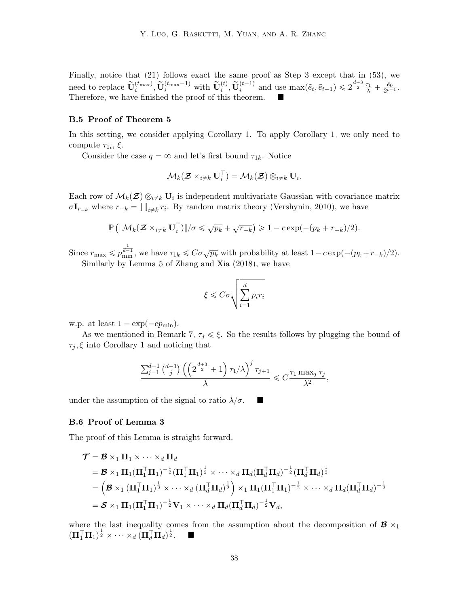Finally, notice that [\(21\)](#page-15-3) follows exact the same proof as Step 3 except that in [\(53\)](#page-36-0), we need to replace  $\widetilde{\mathbf{U}}_i^{(t_{\text{max}})}$ ,  $\widetilde{\mathbf{U}}_i^{(t_{\text{max}}-1)}$  with  $\widetilde{\mathbf{U}}_i^{(t)}$ ,  $\widetilde{\mathbf{U}}_i^{(t-1)}$  and use  $\max(\tilde{e}_t, \tilde{e}_{t-1}) \leq 2^{\frac{d+3}{2}} \frac{\tau_1}{\lambda} + \frac{\tilde{e}_0}{2^{t-1}}$ . Therefore, we have finished the proof of this theorem.

### B.5 Proof of Theorem [5](#page-19-3)

In this setting, we consider applying Corollary [1.](#page-27-0) To apply Corollary [1,](#page-27-0) we only need to compute  $\tau_{1i}, \xi$ .

Consider the case  $q = \infty$  and let's first bound  $\tau_{1k}$ . Notice

$$
\mathcal{M}_k(\mathcal{Z}\times_{i\neq k} \mathbf{U}_i^\top) = \mathcal{M}_k(\mathcal{Z}) \otimes_{i\neq k} \mathbf{U}_i.
$$

Each row of  $\mathcal{M}_k(\mathcal{Z}) \otimes_{i \neq k} U_i$  is independent multivariate Gaussian with covariance matrix  $\sigma I_{r_{-k}}$  where  $r_{-k} = \prod_{i \neq k} r_i$ . By random matrix theory [\(Vershynin, 2010\)](#page-45-13), we have

$$
\mathbb{P}\left(\|\mathcal{M}_k(\mathcal{Z}\times_{i\neq k}\mathbf{U}_i^\top)\|/\sigma\leqslant\sqrt{p_k}+\sqrt{r_{-k}}\right)\geqslant 1-c\exp(-(p_k+r_{-k})/2).
$$

Since  $r_{\text{max}} \leqslant p_{\text{min}}^{\frac{1}{d-1}}$ , we have  $\tau_{1k} \leqslant C \sigma \sqrt{p_k}$  with probability at least  $1 - c \exp(-(p_k + r_{-k})/2)$ . Similarly by Lemma 5 of [Zhang and Xia](#page-47-6) [\(2018\)](#page-47-6), we have

$$
\xi \leq C\sigma \sqrt{\sum_{i=1}^{d} p_i r_i}
$$

w.p. at least  $1 - \exp(-cp_{\min}).$ 

As we mentioned in Remark [7,](#page-15-6)  $\tau_j \leq \xi$ . So the results follows by plugging the bound of  $\tau_j, \xi$  into Corollary [1](#page-27-0) and noticing that

$$
\frac{\sum_{j=1}^{d-1} {d-j \choose j} \left( \left( 2^{\frac{d+3}{2}} + 1 \right) \tau_1/\lambda \right)^j \tau_{j+1}}{\lambda} \leqslant C \frac{\tau_1 \max_j \tau_j}{\lambda^2},
$$

under the assumption of the signal to ratio  $\lambda/\sigma$ .

# B.6 Proof of Lemma [3](#page-21-2)

The proof of this Lemma is straight forward.

$$
\mathcal{T} = \mathcal{B} \times_1 \mathbf{\Pi}_1 \times \cdots \times_d \mathbf{\Pi}_d
$$
  
\n
$$
= \mathcal{B} \times_1 \mathbf{\Pi}_1 (\mathbf{\Pi}_1^\top \mathbf{\Pi}_1)^{-\frac{1}{2}} (\mathbf{\Pi}_1^\top \mathbf{\Pi}_1)^{\frac{1}{2}} \times \cdots \times_d \mathbf{\Pi}_d (\mathbf{\Pi}_d^\top \mathbf{\Pi}_d)^{-\frac{1}{2}} (\mathbf{\Pi}_d^\top \mathbf{\Pi}_d)^{\frac{1}{2}}
$$
  
\n
$$
= \left( \mathcal{B} \times_1 (\mathbf{\Pi}_1^\top \mathbf{\Pi}_1)^{\frac{1}{2}} \times \cdots \times_d (\mathbf{\Pi}_d^\top \mathbf{\Pi}_d)^{\frac{1}{2}} \right) \times_1 \mathbf{\Pi}_1 (\mathbf{\Pi}_1^\top \mathbf{\Pi}_1)^{-\frac{1}{2}} \times \cdots \times_d \mathbf{\Pi}_d (\mathbf{\Pi}_d^\top \mathbf{\Pi}_d)^{-\frac{1}{2}}
$$
  
\n
$$
= \mathcal{S} \times_1 \mathbf{\Pi}_1 (\mathbf{\Pi}_1^\top \mathbf{\Pi}_1)^{-\frac{1}{2}} \mathbf{V}_1 \times \cdots \times_d \mathbf{\Pi}_d (\mathbf{\Pi}_d^\top \mathbf{\Pi}_d)^{-\frac{1}{2}} \mathbf{V}_d,
$$

where the last inequality comes from the assumption about the decomposition of  $\mathcal{B} \times_1$  $(\mathbf{\Pi}_1^{\top} \mathbf{\Pi}_1)^{\frac{1}{2}} \times \cdots \times_d (\mathbf{\Pi}_d^{\top} \mathbf{\Pi}_d)^{\frac{1}{2}}.$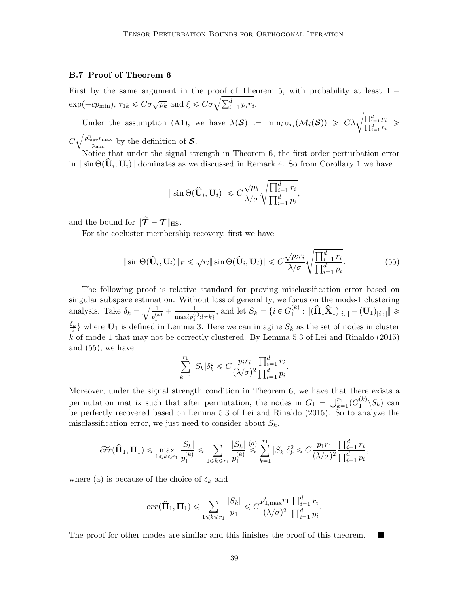# B.7 Proof of Theorem [6](#page-21-0)

First by the same argument in the proof of Theorem [5,](#page-19-3) with probability at least  $1 -$ First by the same argument in the proof of The<br>  $\exp(-cp_{\text{min}})$ ,  $\tau_{1k} \leq C\sigma\sqrt{p_k}$  and  $\xi \leq C\sigma\sqrt{\sum_{i=1}^d p_i r_i}$ .

Under the assumption [\(A1\)](#page-20-1), we have  $\lambda(\mathcal{S}) := \min_i \sigma_{r_i}(\mathcal{M}_i(\mathcal{S})) \geq C \lambda \sqrt{\frac{\prod_{i=1}^d p_i}{\prod_{i=1}^d r_i}} \geq$ 

 $\mathcal{C}_{0}^{(n)}$  $p_{\rm max}^2 r_{\rm max}$  $\frac{\mu_{\text{max}} r_{\text{max}}}{p_{\text{min}}}$  by the definition of  $\mathcal{S}$ .

Notice that under the signal strength in Theorem [6,](#page-21-0) the first order perturbation error  $\lim_{n \to \infty} \frac{1}{n} \sin \Theta(\hat{\mathbf{U}}_i, \mathbf{U}_i)$  dominates as we discussed in Remark [4.](#page-12-0) So from Corollary [1](#page-27-0) we have

<span id="page-38-0"></span>
$$
\|\sin\Theta(\widehat{\mathbf{U}}_i, \mathbf{U}_i)\| \leq C \frac{\sqrt{p_k}}{\lambda/\sigma} \sqrt{\frac{\prod_{i=1}^d r_i}{\prod_{i=1}^d p_i}},
$$

and the bound for  $\|\hat{\mathcal{T}} - \mathcal{T}\|_{\text{HS}}$ .

For the cocluster membership recovery, first we have

$$
\|\sin\Theta(\widehat{\mathbf{U}}_i, \mathbf{U}_i)\|_F \leq \sqrt{r_i} \|\sin\Theta(\widehat{\mathbf{U}}_i, \mathbf{U}_i)\| \leq C \frac{\sqrt{p_i r_i}}{\lambda/\sigma} \sqrt{\frac{\prod_{i=1}^d r_i}{\prod_{i=1}^d p_i}}.
$$
(55)

The following proof is relative standard for proving misclassification error based on singular subspace estimation. Without loss of generality, we focus on the mode-1 clustering singular subspace estima<br>analysis. Take  $\delta_k = \sqrt{\frac{1}{\pi^{(l)}}}$  $\frac{1}{p_1^{(k)}} + \frac{1}{\max\{p_1^{(l)}\}}$  $\frac{1}{\max\{p_1^{(l)}:l\neq k\}}$ , and let  $S_k = \{i \in G_1^{(k)}\}$  $\hat{\tilde{\mathbf{H}}}_1^{(k)}: \|(\mathbf{\hat{\Pi}}_1\mathbf{\hat{X}}_1)_{[i,:]}-(\mathbf{U}_1)_{[i,:]} \| \geqslant 0$  $\frac{\delta_k}{2}$  where  $\mathbf{U}_1$  is defined in Lemma [3.](#page-21-2) Here we can imagine  $S_k$  as the set of nodes in cluster k of mode 1 that may not be correctly clustered. By Lemma 5.3 of [Lei and Rinaldo](#page-43-14)  $(2015)$ and [\(55\)](#page-38-0), we have

$$
\sum_{k=1}^{r_1} |S_k| \delta_k^2 \leqslant C \frac{p_i r_i}{(\lambda/\sigma)^2} \frac{\prod_{i=1}^d r_i}{\prod_{i=1}^d p_i}.
$$

Moreover, under the signal strength condition in Theorem [6,](#page-21-0) we have that there exists a Moreover, under the signal strength condition in Theorem 6, we have that<br>permutation matrix such that after permutation, the nodes in  $G_1 = \bigcup_{k=1}^{r_1}$  $_{k=1}^{r_1} (G_1^{(k)}$  $\binom{\kappa}{1} \langle S_k \rangle$  can be perfectly recovered based on Lemma 5.3 of [Lei and Rinaldo](#page-43-14) [\(2015\)](#page-43-14). So to analyze the misclassification error, we just need to consider about  $S_k$ .

$$
\widetilde{err}(\widehat{\boldsymbol{\Pi}}_1,\boldsymbol{\Pi}_1) \leqslant \max_{1 \leqslant k \leqslant r_1} \frac{|S_k|}{p_1^{(k)}} \leqslant \sum_{1 \leqslant k \leqslant r_1} \frac{|S_k|}{p_1^{(k)}} \stackrel{(a)}{\leqslant} \sum_{k=1}^{r_1} |S_k| \delta_k^2 \leqslant C \frac{p_1 r_1}{(\lambda/\sigma)^2} \frac{\prod_{i=1}^d r_i}{\prod_{i=1}^d p_i},
$$

where (a) is because of the choice of  $\delta_k$  and

$$
err(\hat{\mathbf{\Pi}}_1, \mathbf{\Pi}_1) \le \sum_{1 \le k \le r_1} \frac{|S_k|}{p_1} \le C \frac{p'_{1,\max} r_1}{(\lambda/\sigma)^2} \frac{\prod_{i=1}^d r_i}{\prod_{i=1}^d p_i}.
$$

The proof for other modes are similar and this finishes the proof of this theorem.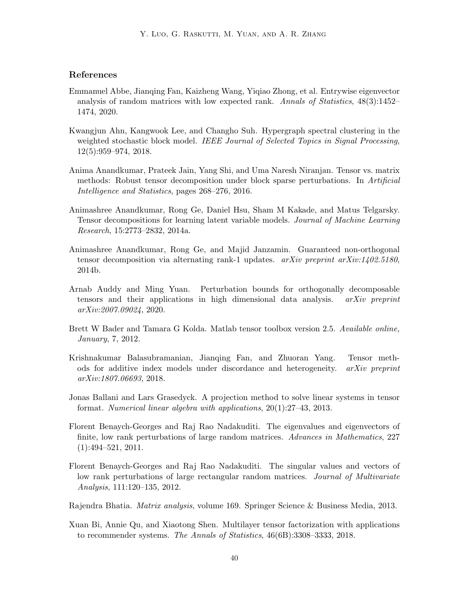# References

- <span id="page-39-6"></span>Emmanuel Abbe, Jianqing Fan, Kaizheng Wang, Yiqiao Zhong, et al. Entrywise eigenvector analysis of random matrices with low expected rank. Annals of Statistics, 48(3):1452– 1474, 2020.
- <span id="page-39-11"></span>Kwangjun Ahn, Kangwook Lee, and Changho Suh. Hypergraph spectral clustering in the weighted stochastic block model. IEEE Journal of Selected Topics in Signal Processing, 12(5):959–974, 2018.
- <span id="page-39-8"></span>Anima Anandkumar, Prateek Jain, Yang Shi, and Uma Naresh Niranjan. Tensor vs. matrix methods: Robust tensor decomposition under block sparse perturbations. In Artificial Intelligence and Statistics, pages 268–276, 2016.
- <span id="page-39-1"></span>Animashree Anandkumar, Rong Ge, Daniel Hsu, Sham M Kakade, and Matus Telgarsky. Tensor decompositions for learning latent variable models. Journal of Machine Learning Research, 15:2773–2832, 2014a.
- <span id="page-39-10"></span>Animashree Anandkumar, Rong Ge, and Majid Janzamin. Guaranteed non-orthogonal tensor decomposition via alternating rank-1 updates.  $arXiv$  preprint  $arXiv:1402.5180$ , 2014b.
- <span id="page-39-9"></span>Arnab Auddy and Ming Yuan. Perturbation bounds for orthogonally decomposable tensors and their applications in high dimensional data analysis.  $arXiv$  preprint arXiv:2007.09024, 2020.
- <span id="page-39-4"></span>Brett W Bader and Tamara G Kolda. Matlab tensor toolbox version 2.5. Available online, January, 7, 2012.
- <span id="page-39-2"></span>Krishnakumar Balasubramanian, Jianqing Fan, and Zhuoran Yang. Tensor methods for additive index models under discordance and heterogeneity. arXiv preprint arXiv:1807.06693, 2018.
- <span id="page-39-12"></span>Jonas Ballani and Lars Grasedyck. A projection method to solve linear systems in tensor format. Numerical linear algebra with applications, 20(1):27–43, 2013.
- <span id="page-39-5"></span>Florent Benaych-Georges and Raj Rao Nadakuditi. The eigenvalues and eigenvectors of finite, low rank perturbations of large random matrices. Advances in Mathematics, 227  $(1):494-521, 2011.$
- <span id="page-39-7"></span>Florent Benaych-Georges and Raj Rao Nadakuditi. The singular values and vectors of low rank perturbations of large rectangular random matrices. Journal of Multivariate Analysis, 111:120–135, 2012.
- <span id="page-39-3"></span>Rajendra Bhatia. Matrix analysis, volume 169. Springer Science & Business Media, 2013.
- <span id="page-39-0"></span>Xuan Bi, Annie Qu, and Xiaotong Shen. Multilayer tensor factorization with applications to recommender systems. The Annals of Statistics, 46(6B):3308–3333, 2018.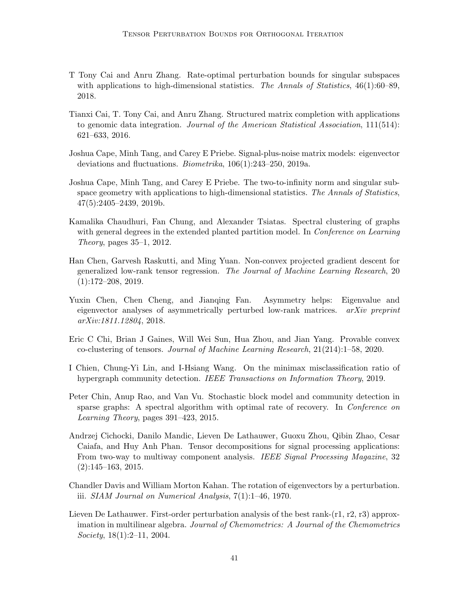- <span id="page-40-3"></span>T Tony Cai and Anru Zhang. Rate-optimal perturbation bounds for singular subspaces with applications to high-dimensional statistics. The Annals of Statistics,  $46(1):60-89$ , 2018.
- <span id="page-40-9"></span>Tianxi Cai, T. Tony Cai, and Anru Zhang. Structured matrix completion with applications to genomic data integration. Journal of the American Statistical Association, 111(514): 621–633, 2016.
- <span id="page-40-5"></span>Joshua Cape, Minh Tang, and Carey E Priebe. Signal-plus-noise matrix models: eigenvector deviations and fluctuations. Biometrika, 106(1):243–250, 2019a.
- <span id="page-40-4"></span>Joshua Cape, Minh Tang, and Carey E Priebe. The two-to-infinity norm and singular subspace geometry with applications to high-dimensional statistics. The Annals of Statistics, 47(5):2405–2439, 2019b.
- <span id="page-40-7"></span>Kamalika Chaudhuri, Fan Chung, and Alexander Tsiatas. Spectral clustering of graphs with general degrees in the extended planted partition model. In *Conference on Learning* Theory, pages 35–1, 2012.
- <span id="page-40-1"></span>Han Chen, Garvesh Raskutti, and Ming Yuan. Non-convex projected gradient descent for generalized low-rank tensor regression. The Journal of Machine Learning Research, 20 (1):172–208, 2019.
- <span id="page-40-6"></span>Yuxin Chen, Chen Cheng, and Jianqing Fan. Asymmetry helps: Eigenvalue and eigenvector analyses of asymmetrically perturbed low-rank matrices. arXiv preprint arXiv:1811.12804, 2018.
- <span id="page-40-11"></span>Eric C Chi, Brian J Gaines, Will Wei Sun, Hua Zhou, and Jian Yang. Provable convex co-clustering of tensors. Journal of Machine Learning Research, 21(214):1–58, 2020.
- <span id="page-40-12"></span>I Chien, Chung-Yi Lin, and I-Hsiang Wang. On the minimax misclassification ratio of hypergraph community detection. IEEE Transactions on Information Theory, 2019.
- <span id="page-40-8"></span>Peter Chin, Anup Rao, and Van Vu. Stochastic block model and community detection in sparse graphs: A spectral algorithm with optimal rate of recovery. In Conference on Learning Theory, pages 391–423, 2015.
- <span id="page-40-0"></span>Andrzej Cichocki, Danilo Mandic, Lieven De Lathauwer, Guoxu Zhou, Qibin Zhao, Cesar Caiafa, and Huy Anh Phan. Tensor decompositions for signal processing applications: From two-way to multiway component analysis. IEEE Signal Processing Magazine, 32  $(2):145-163, 2015.$
- <span id="page-40-2"></span>Chandler Davis and William Morton Kahan. The rotation of eigenvectors by a perturbation. iii. SIAM Journal on Numerical Analysis, 7(1):1–46, 1970.
- <span id="page-40-10"></span>Lieven De Lathauwer. First-order perturbation analysis of the best rank-(r1, r2, r3) approximation in multilinear algebra. Journal of Chemometrics: A Journal of the Chemometrics Society, 18(1):2–11, 2004.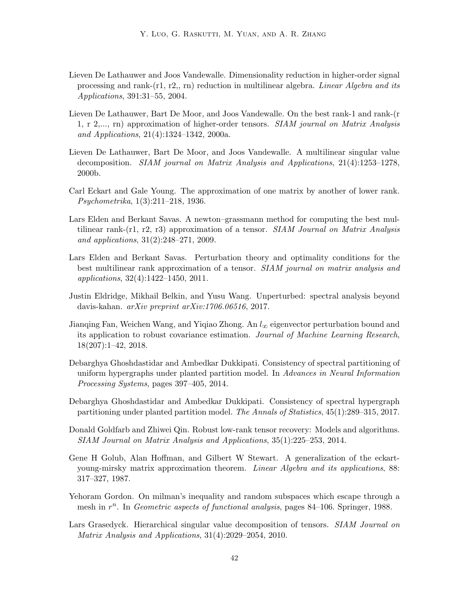- <span id="page-41-6"></span>Lieven De Lathauwer and Joos Vandewalle. Dimensionality reduction in higher-order signal processing and rank-(r1, r2,, rn) reduction in multilinear algebra. Linear Algebra and its Applications, 391:31–55, 2004.
- <span id="page-41-0"></span>Lieven De Lathauwer, Bart De Moor, and Joos Vandewalle. On the best rank-1 and rank-(r 1, r 2,..., rn) approximation of higher-order tensors. SIAM journal on Matrix Analysis and Applications, 21(4):1324–1342, 2000a.
- <span id="page-41-4"></span>Lieven De Lathauwer, Bart De Moor, and Joos Vandewalle. A multilinear singular value decomposition. SIAM journal on Matrix Analysis and Applications, 21(4):1253–1278, 2000b.
- <span id="page-41-1"></span>Carl Eckart and Gale Young. The approximation of one matrix by another of lower rank. Psychometrika, 1(3):211–218, 1936.
- <span id="page-41-3"></span>Lars Elden and Berkant Savas. A newton–grassmann method for computing the best multilinear rank-(r1, r2, r3) approximation of a tensor. SIAM Journal on Matrix Analysis and applications, 31(2):248–271, 2009.
- <span id="page-41-9"></span>Lars Elden and Berkant Savas. Perturbation theory and optimality conditions for the best multilinear rank approximation of a tensor. SIAM journal on matrix analysis and applications, 32(4):1422–1450, 2011.
- <span id="page-41-8"></span>Justin Eldridge, Mikhail Belkin, and Yusu Wang. Unperturbed: spectral analysis beyond davis-kahan. arXiv preprint arXiv:1706.06516, 2017.
- <span id="page-41-7"></span>Jianging Fan, Weichen Wang, and Yiqiao Zhong. An  $l_{\infty}$  eigenvector perturbation bound and its application to robust covariance estimation. Journal of Machine Learning Research, 18(207):1–42, 2018.
- <span id="page-41-11"></span>Debarghya Ghoshdastidar and Ambedkar Dukkipati. Consistency of spectral partitioning of uniform hypergraphs under planted partition model. In Advances in Neural Information Processing Systems, pages 397–405, 2014.
- <span id="page-41-12"></span>Debarghya Ghoshdastidar and Ambedkar Dukkipati. Consistency of spectral hypergraph partitioning under planted partition model. The Annals of Statistics, 45(1):289–315, 2017.
- <span id="page-41-10"></span>Donald Goldfarb and Zhiwei Qin. Robust low-rank tensor recovery: Models and algorithms. SIAM Journal on Matrix Analysis and Applications, 35(1):225–253, 2014.
- <span id="page-41-2"></span>Gene H Golub, Alan Hoffman, and Gilbert W Stewart. A generalization of the eckartyoung-mirsky matrix approximation theorem. Linear Algebra and its applications, 88: 317–327, 1987.
- <span id="page-41-5"></span>Yehoram Gordon. On milman's inequality and random subspaces which escape through a mesh in  $r^n$ . In Geometric aspects of functional analysis, pages 84–106. Springer, 1988.
- <span id="page-41-13"></span>Lars Grasedyck. Hierarchical singular value decomposition of tensors. *SIAM Journal on* Matrix Analysis and Applications, 31(4):2029–2054, 2010.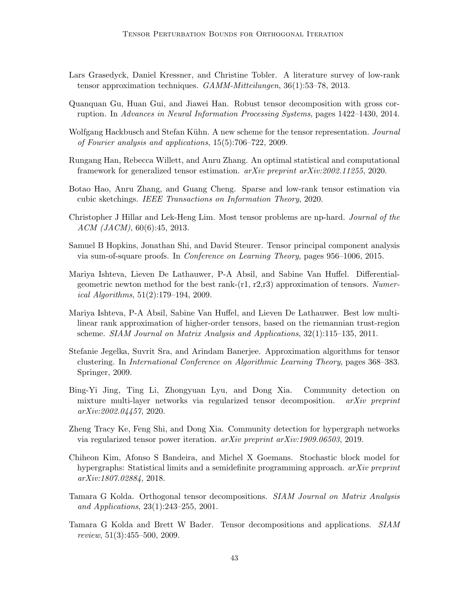- <span id="page-42-6"></span>Lars Grasedyck, Daniel Kressner, and Christine Tobler. A literature survey of low-rank tensor approximation techniques. GAMM-Mitteilungen, 36(1):53–78, 2013.
- <span id="page-42-10"></span>Quanquan Gu, Huan Gui, and Jiawei Han. Robust tensor decomposition with gross corruption. In Advances in Neural Information Processing Systems, pages 1422–1430, 2014.
- <span id="page-42-14"></span>Wolfgang Hackbusch and Stefan Kühn. A new scheme for the tensor representation. *Journal* of Fourier analysis and applications, 15(5):706–722, 2009.
- <span id="page-42-1"></span>Rungang Han, Rebecca Willett, and Anru Zhang. An optimal statistical and computational framework for generalized tensor estimation. arXiv preprint arXiv:2002.11255, 2020.
- <span id="page-42-2"></span>Botao Hao, Anru Zhang, and Guang Cheng. Sparse and low-rank tensor estimation via cubic sketchings. IEEE Transactions on Information Theory, 2020.
- <span id="page-42-3"></span>Christopher J Hillar and Lek-Heng Lim. Most tensor problems are np-hard. Journal of the ACM (JACM), 60(6):45, 2013.
- <span id="page-42-9"></span>Samuel B Hopkins, Jonathan Shi, and David Steurer. Tensor principal component analysis via sum-of-square proofs. In Conference on Learning Theory, pages 956–1006, 2015.
- <span id="page-42-5"></span>Mariya Ishteva, Lieven De Lathauwer, P-A Absil, and Sabine Van Huffel. Differentialgeometric newton method for the best rank- $(r1, r2,r3)$  approximation of tensors. Numerical Algorithms, 51(2):179–194, 2009.
- <span id="page-42-4"></span>Mariya Ishteva, P-A Absil, Sabine Van Huffel, and Lieven De Lathauwer. Best low multilinear rank approximation of higher-order tensors, based on the riemannian trust-region scheme. SIAM Journal on Matrix Analysis and Applications, 32(1):115–135, 2011.
- <span id="page-42-12"></span>Stefanie Jegelka, Suvrit Sra, and Arindam Banerjee. Approximation algorithms for tensor clustering. In International Conference on Algorithmic Learning Theory, pages 368–383. Springer, 2009.
- <span id="page-42-8"></span>Bing-Yi Jing, Ting Li, Zhongyuan Lyu, and Dong Xia. Community detection on mixture multi-layer networks via regularized tensor decomposition. arXiv preprint arXiv:2002.04457, 2020.
- <span id="page-42-7"></span>Zheng Tracy Ke, Feng Shi, and Dong Xia. Community detection for hypergraph networks via regularized tensor power iteration. arXiv preprint arXiv:1909.06503, 2019.
- <span id="page-42-13"></span>Chiheon Kim, Afonso S Bandeira, and Michel X Goemans. Stochastic block model for hypergraphs: Statistical limits and a semidefinite programming approach. *arXiv preprint* arXiv:1807.02884, 2018.
- <span id="page-42-11"></span>Tamara G Kolda. Orthogonal tensor decompositions. SIAM Journal on Matrix Analysis and Applications, 23(1):243–255, 2001.
- <span id="page-42-0"></span>Tamara G Kolda and Brett W Bader. Tensor decompositions and applications. SIAM review, 51(3):455–500, 2009.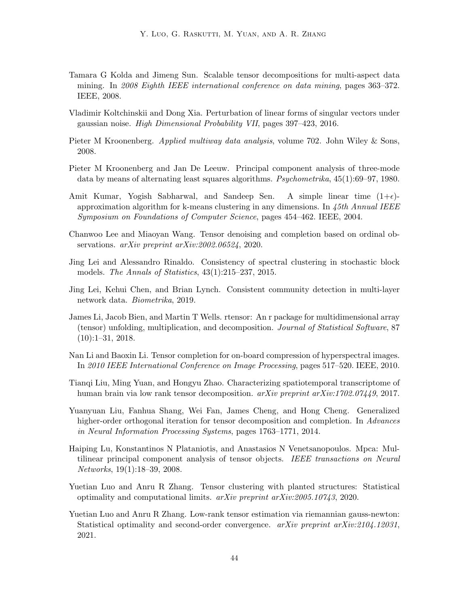- <span id="page-43-7"></span>Tamara G Kolda and Jimeng Sun. Scalable tensor decompositions for multi-aspect data mining. In 2008 Eighth IEEE international conference on data mining, pages 363–372. IEEE, 2008.
- <span id="page-43-8"></span>Vladimir Koltchinskii and Dong Xia. Perturbation of linear forms of singular vectors under gaussian noise. High Dimensional Probability VII, pages 397–423, 2016.
- <span id="page-43-0"></span>Pieter M Kroonenberg. *Applied multiway data analysis*, volume 702. John Wiley & Sons, 2008.
- <span id="page-43-3"></span>Pieter M Kroonenberg and Jan De Leeuw. Principal component analysis of three-mode data by means of alternating least squares algorithms. Psychometrika, 45(1):69–97, 1980.
- <span id="page-43-11"></span>Amit Kumar, Yogish Sabharwal, and Sandeep Sen. A simple linear time  $(1+\epsilon)$ approximation algorithm for k-means clustering in any dimensions. In 45th Annual IEEE Symposium on Foundations of Computer Science, pages 454–462. IEEE, 2004.
- <span id="page-43-13"></span>Chanwoo Lee and Miaoyan Wang. Tensor denoising and completion based on ordinal observations. arXiv preprint arXiv:2002.06524, 2020.
- <span id="page-43-14"></span>Jing Lei and Alessandro Rinaldo. Consistency of spectral clustering in stochastic block models. The Annals of Statistics, 43(1):215–237, 2015.
- <span id="page-43-10"></span>Jing Lei, Kehui Chen, and Brian Lynch. Consistent community detection in multi-layer network data. Biometrika, 2019.
- <span id="page-43-6"></span>James Li, Jacob Bien, and Martin T Wells. rtensor: An r package for multidimensional array (tensor) unfolding, multiplication, and decomposition. Journal of Statistical Software, 87  $(10):1-31, 2018.$
- <span id="page-43-1"></span>Nan Li and Baoxin Li. Tensor completion for on-board compression of hyperspectral images. In 2010 IEEE International Conference on Image Processing, pages 517–520. IEEE, 2010.
- <span id="page-43-2"></span>Tianqi Liu, Ming Yuan, and Hongyu Zhao. Characterizing spatiotemporal transcriptome of human brain via low rank tensor decomposition. *arXiv preprint arXiv:1702.07449*, 2017.
- <span id="page-43-5"></span>Yuanyuan Liu, Fanhua Shang, Wei Fan, James Cheng, and Hong Cheng. Generalized higher-order orthogonal iteration for tensor decomposition and completion. In Advances in Neural Information Processing Systems, pages 1763–1771, 2014.
- <span id="page-43-12"></span>Haiping Lu, Konstantinos N Plataniotis, and Anastasios N Venetsanopoulos. Mpca: Multilinear principal component analysis of tensor objects. IEEE transactions on Neural Networks, 19(1):18–39, 2008.
- <span id="page-43-4"></span>Yuetian Luo and Anru R Zhang. Tensor clustering with planted structures: Statistical optimality and computational limits.  $arXiv$  preprint  $arXiv:2005.10743$ , 2020.
- <span id="page-43-9"></span>Yuetian Luo and Anru R Zhang. Low-rank tensor estimation via riemannian gauss-newton: Statistical optimality and second-order convergence. arXiv preprint arXiv:2104.12031, 2021.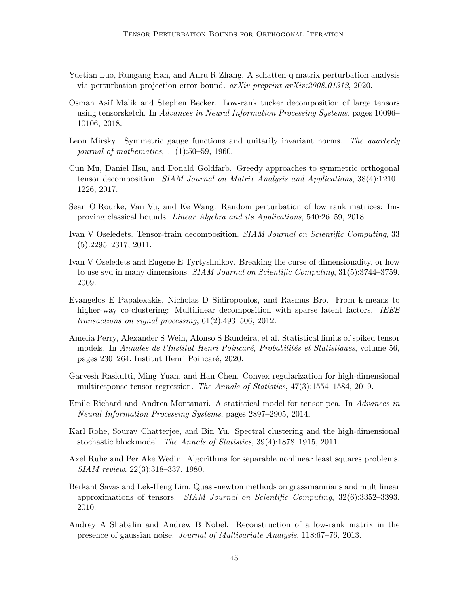- <span id="page-44-9"></span>Yuetian Luo, Rungang Han, and Anru R Zhang. A schatten-q matrix perturbation analysis via perturbation projection error bound. arXiv preprint arXiv:2008.01312, 2020.
- <span id="page-44-4"></span>Osman Asif Malik and Stephen Becker. Low-rank tucker decomposition of large tensors using tensorsketch. In Advances in Neural Information Processing Systems, pages 10096– 10106, 2018.
- <span id="page-44-2"></span>Leon Mirsky. Symmetric gauge functions and unitarily invariant norms. The quarterly journal of mathematics, 11(1):50–59, 1960.
- <span id="page-44-8"></span>Cun Mu, Daniel Hsu, and Donald Goldfarb. Greedy approaches to symmetric orthogonal tensor decomposition. SIAM Journal on Matrix Analysis and Applications, 38(4):1210– 1226, 2017.
- <span id="page-44-6"></span>Sean O'Rourke, Van Vu, and Ke Wang. Random perturbation of low rank matrices: Improving classical bounds. Linear Algebra and its Applications, 540:26–59, 2018.
- <span id="page-44-13"></span>Ivan V Oseledets. Tensor-train decomposition. SIAM Journal on Scientific Computing, 33  $(5):2295-2317, 2011.$
- <span id="page-44-14"></span>Ivan V Oseledets and Eugene E Tyrtyshnikov. Breaking the curse of dimensionality, or how to use svd in many dimensions. SIAM Journal on Scientific Computing, 31(5):3744–3759, 2009.
- <span id="page-44-12"></span>Evangelos E Papalexakis, Nicholas D Sidiropoulos, and Rasmus Bro. From k-means to higher-way co-clustering: Multilinear decomposition with sparse latent factors. IEEE transactions on signal processing, 61(2):493–506, 2012.
- <span id="page-44-11"></span>Amelia Perry, Alexander S Wein, Afonso S Bandeira, et al. Statistical limits of spiked tensor models. In Annales de l'Institut Henri Poincaré, Probabilités et Statistiques, volume 56, pages 230–264. Institut Henri Poincar´e, 2020.
- <span id="page-44-0"></span>Garvesh Raskutti, Ming Yuan, and Han Chen. Convex regularization for high-dimensional multiresponse tensor regression. The Annals of Statistics, 47(3):1554–1584, 2019.
- <span id="page-44-1"></span>Emile Richard and Andrea Montanari. A statistical model for tensor pca. In Advances in Neural Information Processing Systems, pages 2897–2905, 2014.
- <span id="page-44-7"></span>Karl Rohe, Sourav Chatterjee, and Bin Yu. Spectral clustering and the high-dimensional stochastic blockmodel. The Annals of Statistics, 39(4):1878–1915, 2011.
- <span id="page-44-10"></span>Axel Ruhe and Per Ake Wedin. Algorithms for separable nonlinear least squares problems. SIAM review, 22(3):318–337, 1980.
- <span id="page-44-3"></span>Berkant Savas and Lek-Heng Lim. Quasi-newton methods on grassmannians and multilinear approximations of tensors. SIAM Journal on Scientific Computing, 32(6):3352–3393, 2010.
- <span id="page-44-5"></span>Andrey A Shabalin and Andrew B Nobel. Reconstruction of a low-rank matrix in the presence of gaussian noise. Journal of Multivariate Analysis, 118:67–76, 2013.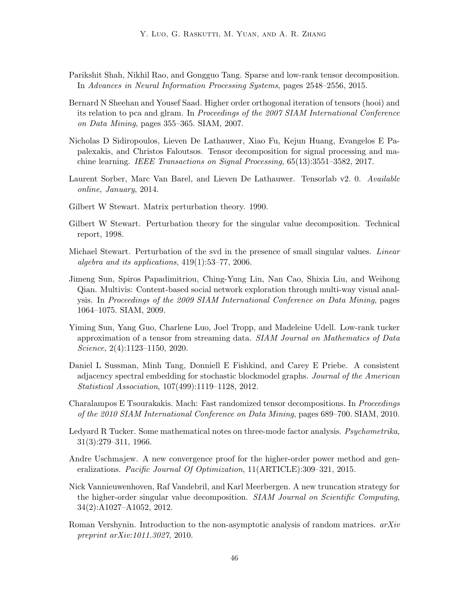- <span id="page-45-12"></span>Parikshit Shah, Nikhil Rao, and Gongguo Tang. Sparse and low-rank tensor decomposition. In Advances in Neural Information Processing Systems, pages 2548–2556, 2015.
- <span id="page-45-2"></span>Bernard N Sheehan and Yousef Saad. Higher order orthogonal iteration of tensors (hooi) and its relation to pca and glram. In Proceedings of the 2007 SIAM International Conference on Data Mining, pages 355–365. SIAM, 2007.
- <span id="page-45-0"></span>Nicholas D Sidiropoulos, Lieven De Lathauwer, Xiao Fu, Kejun Huang, Evangelos E Papalexakis, and Christos Faloutsos. Tensor decomposition for signal processing and machine learning. IEEE Transactions on Signal Processing, 65(13):3551–3582, 2017.
- <span id="page-45-6"></span>Laurent Sorber, Marc Van Barel, and Lieven De Lathauwer. Tensorlab v2. 0. Available online, January, 2014.
- <span id="page-45-4"></span>Gilbert W Stewart. Matrix perturbation theory. 1990.
- <span id="page-45-9"></span>Gilbert W Stewart. Perturbation theory for the singular value decomposition. Technical report, 1998.
- <span id="page-45-10"></span>Michael Stewart. Perturbation of the svd in the presence of small singular values. Linear algebra and its applications,  $419(1):53-77$ ,  $2006$ .
- <span id="page-45-14"></span>Jimeng Sun, Spiros Papadimitriou, Ching-Yung Lin, Nan Cao, Shixia Liu, and Weihong Qian. Multivis: Content-based social network exploration through multi-way visual analysis. In Proceedings of the 2009 SIAM International Conference on Data Mining, pages 1064–1075. SIAM, 2009.
- <span id="page-45-7"></span>Yiming Sun, Yang Guo, Charlene Luo, Joel Tropp, and Madeleine Udell. Low-rank tucker approximation of a tensor from streaming data. SIAM Journal on Mathematics of Data Science, 2(4):1123–1150, 2020.
- <span id="page-45-11"></span>Daniel L Sussman, Minh Tang, Donniell E Fishkind, and Carey E Priebe. A consistent adjacency spectral embedding for stochastic blockmodel graphs. Journal of the American Statistical Association, 107(499):1119–1128, 2012.
- <span id="page-45-8"></span>Charalampos E Tsourakakis. Mach: Fast randomized tensor decompositions. In Proceedings of the 2010 SIAM International Conference on Data Mining, pages 689–700. SIAM, 2010.
- <span id="page-45-5"></span>Ledyard R Tucker. Some mathematical notes on three-mode factor analysis. Psychometrika, 31(3):279–311, 1966.
- <span id="page-45-3"></span>Andre Uschmajew. A new convergence proof for the higher-order power method and generalizations. Pacific Journal Of Optimization, 11(ARTICLE):309–321, 2015.
- <span id="page-45-1"></span>Nick Vannieuwenhoven, Raf Vandebril, and Karl Meerbergen. A new truncation strategy for the higher-order singular value decomposition. SIAM Journal on Scientific Computing, 34(2):A1027–A1052, 2012.
- <span id="page-45-13"></span>Roman Vershynin. Introduction to the non-asymptotic analysis of random matrices.  $arXiv$ preprint arXiv:1011.3027, 2010.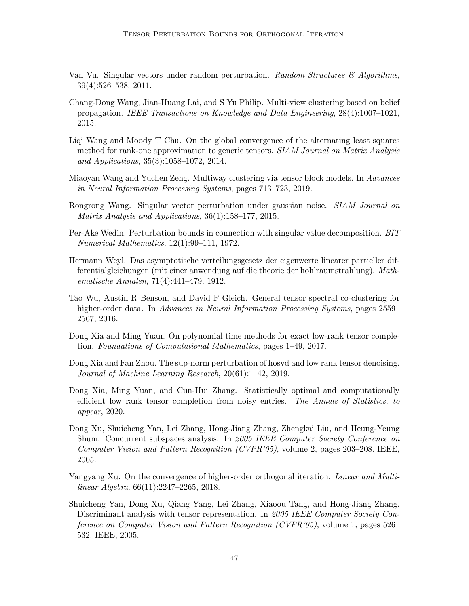- <span id="page-46-6"></span>Van Vu. Singular vectors under random perturbation. Random Structures  $\mathcal{C}$  Algorithms, 39(4):526–538, 2011.
- <span id="page-46-9"></span>Chang-Dong Wang, Jian-Huang Lai, and S Yu Philip. Multi-view clustering based on belief propagation. IEEE Transactions on Knowledge and Data Engineering, 28(4):1007–1021, 2015.
- <span id="page-46-1"></span>Liqi Wang and Moody T Chu. On the global convergence of the alternating least squares method for rank-one approximation to generic tensors. SIAM Journal on Matrix Analysis and Applications, 35(3):1058–1072, 2014.
- <span id="page-46-8"></span>Miaoyan Wang and Yuchen Zeng. Multiway clustering via tensor block models. In Advances in Neural Information Processing Systems, pages 713–723, 2019.
- <span id="page-46-7"></span>Rongrong Wang. Singular vector perturbation under gaussian noise. SIAM Journal on Matrix Analysis and Applications, 36(1):158–177, 2015.
- <span id="page-46-4"></span>Per-Ake Wedin. Perturbation bounds in connection with singular value decomposition. BIT Numerical Mathematics, 12(1):99–111, 1972.
- <span id="page-46-5"></span>Hermann Weyl. Das asymptotische verteilungsgesetz der eigenwerte linearer partieller differentialgleichungen (mit einer anwendung auf die theorie der hohlraumstrahlung). Mathematische Annalen, 71(4):441–479, 1912.
- <span id="page-46-10"></span>Tao Wu, Austin R Benson, and David F Gleich. General tensor spectral co-clustering for higher-order data. In Advances in Neural Information Processing Systems, pages 2559– 2567, 2016.
- <span id="page-46-11"></span>Dong Xia and Ming Yuan. On polynomial time methods for exact low-rank tensor completion. Foundations of Computational Mathematics, pages 1–49, 2017.
- <span id="page-46-3"></span>Dong Xia and Fan Zhou. The sup-norm perturbation of hosvd and low rank tensor denoising. Journal of Machine Learning Research, 20(61):1–42, 2019.
- <span id="page-46-0"></span>Dong Xia, Ming Yuan, and Cun-Hui Zhang. Statistically optimal and computationally efficient low rank tensor completion from noisy entries. The Annals of Statistics, to appear, 2020.
- <span id="page-46-12"></span>Dong Xu, Shuicheng Yan, Lei Zhang, Hong-Jiang Zhang, Zhengkai Liu, and Heung-Yeung Shum. Concurrent subspaces analysis. In 2005 IEEE Computer Society Conference on Computer Vision and Pattern Recognition (CVPR'05), volume 2, pages 203–208. IEEE, 2005.
- <span id="page-46-2"></span>Yangyang Xu. On the convergence of higher-order orthogonal iteration. *Linear and Multi*linear Algebra, 66(11):2247–2265, 2018.
- <span id="page-46-13"></span>Shuicheng Yan, Dong Xu, Qiang Yang, Lei Zhang, Xiaoou Tang, and Hong-Jiang Zhang. Discriminant analysis with tensor representation. In 2005 IEEE Computer Society Conference on Computer Vision and Pattern Recognition (CVPR'05), volume 1, pages 526– 532. IEEE, 2005.